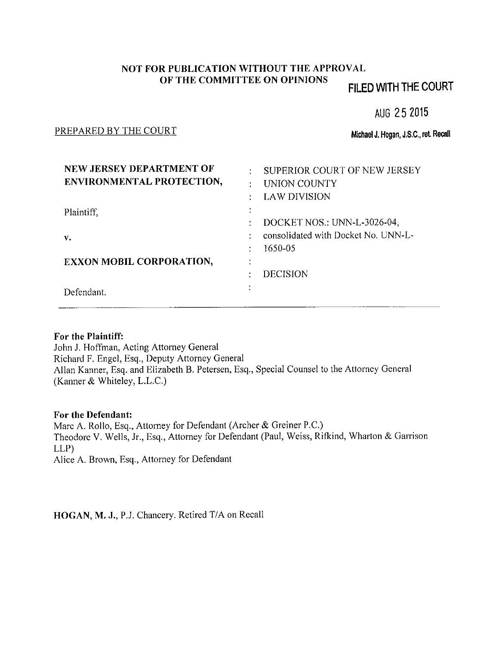# NOT FOR PUBLICATION WITHOUT THE APPROVAL OF THE COMMITTEE ON OPINIONS

# FILED WITH THE COURT

AUG 25 2015

### PREPARED BY THE COURT

Michael J. Hogan, J.S.C., ret. Recall

| NEW JERSEY DEPARTMENT OF<br>ENVIRONMENTAL PROTECTION, | ÷                      | SUPERIOR COURT OF NEW JERSEY<br>UNION COUNTY<br><b>LAW DIVISION</b>           |
|-------------------------------------------------------|------------------------|-------------------------------------------------------------------------------|
| Plaintiff,<br>v.                                      |                        | DOCKET NOS.: UNN-L-3026-04,<br>consolidated with Docket No. UNN-L-<br>1650-05 |
| <b>EXXON MOBIL CORPORATION,</b><br>Defendant.         | $\bullet$<br>$\bullet$ | <b>DECISION</b>                                                               |

## For the Plaintiff:

John J. Hoffman, Acting Attorney General Richard F. Engel, Esq., Deputy Attorney General Allan Kanner, Esq. and Elizabeth B. Petersen, Esq., Special Counsel to the Attorney General (Kanner & Whiteley, L.L.C.)

## For the Defendant:

Marc A. Rollo, Esq., Attorney for Defendant (Archer & Greiner P.C.) Theodore V. Wells, Jr., Esq., Attorney for Defendant (Paul, Weiss, Rifkind, Wharton & Garrison  $LLP$ Alice A. Brown, Esq., Attorney for Defendant

HOGAN, M. J., P.J. Chancery. Retired T/A on Recall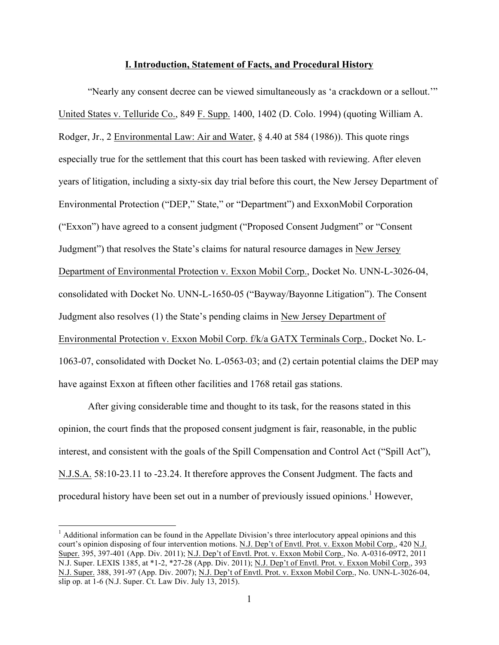#### **I. Introduction, Statement of Facts, and Procedural History**

"Nearly any consent decree can be viewed simultaneously as 'a crackdown or a sellout.'" United States v. Telluride Co., 849 F. Supp. 1400, 1402 (D. Colo. 1994) (quoting William A. Rodger, Jr., 2 Environmental Law: Air and Water, § 4.40 at 584 (1986)). This quote rings especially true for the settlement that this court has been tasked with reviewing. After eleven years of litigation, including a sixty-six day trial before this court, the New Jersey Department of Environmental Protection ("DEP," State," or "Department") and ExxonMobil Corporation ("Exxon") have agreed to a consent judgment ("Proposed Consent Judgment" or "Consent Judgment") that resolves the State's claims for natural resource damages in New Jersey Department of Environmental Protection v. Exxon Mobil Corp., Docket No. UNN-L-3026-04, consolidated with Docket No. UNN-L-1650-05 ("Bayway/Bayonne Litigation"). The Consent Judgment also resolves (1) the State's pending claims in New Jersey Department of Environmental Protection v. Exxon Mobil Corp. f/k/a GATX Terminals Corp., Docket No. L-1063-07, consolidated with Docket No. L-0563-03; and (2) certain potential claims the DEP may have against Exxon at fifteen other facilities and 1768 retail gas stations.

After giving considerable time and thought to its task, for the reasons stated in this opinion, the court finds that the proposed consent judgment is fair, reasonable, in the public interest, and consistent with the goals of the Spill Compensation and Control Act ("Spill Act"), N.J.S.A. 58:10-23.11 to -23.24. It therefore approves the Consent Judgment. The facts and procedural history have been set out in a number of previously issued opinions.<sup>1</sup> However,

 $<sup>1</sup>$  Additional information can be found in the Appellate Division's three interlocutory appeal opinions and this</sup> court's opinion disposing of four intervention motions. N.J. Dep't of Envtl. Prot. v. Exxon Mobil Corp., 420 N.J. Super. 395, 397-401 (App. Div. 2011); N.J. Dep't of Envtl. Prot. v. Exxon Mobil Corp., No. A-0316-09T2, 2011 N.J. Super. LEXIS 1385, at \*1-2, \*27-28 (App. Div. 2011); N.J. Dep't of Envtl. Prot. v. Exxon Mobil Corp., 393 N.J. Super. 388, 391-97 (App. Div. 2007); N.J. Dep't of Envtl. Prot. v. Exxon Mobil Corp., No. UNN-L-3026-04, slip op. at 1-6 (N.J. Super. Ct. Law Div. July 13, 2015).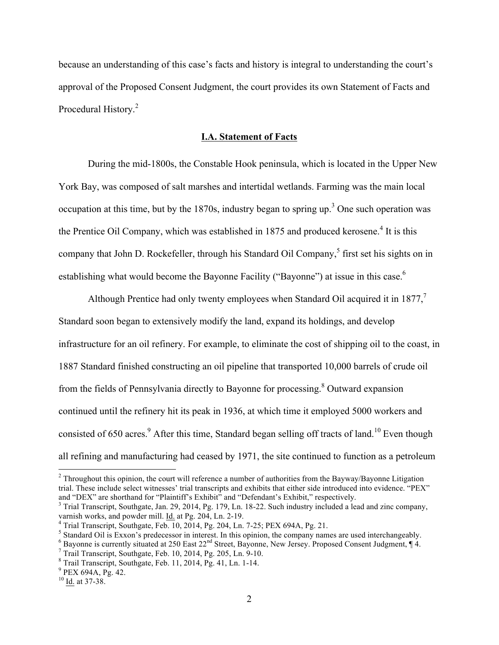because an understanding of this case's facts and history is integral to understanding the court's approval of the Proposed Consent Judgment, the court provides its own Statement of Facts and Procedural History.<sup>2</sup>

### **I.A. Statement of Facts**

During the mid-1800s, the Constable Hook peninsula, which is located in the Upper New York Bay, was composed of salt marshes and intertidal wetlands. Farming was the main local occupation at this time, but by the 1870s, industry began to spring up.<sup>3</sup> One such operation was the Prentice Oil Company, which was established in 1875 and produced kerosene.<sup>4</sup> It is this company that John D. Rockefeller, through his Standard Oil Company,<sup>5</sup> first set his sights on in establishing what would become the Bayonne Facility ("Bayonne") at issue in this case.<sup>6</sup>

Although Prentice had only twenty employees when Standard Oil acquired it in  $1877$ ,<sup>7</sup> Standard soon began to extensively modify the land, expand its holdings, and develop infrastructure for an oil refinery. For example, to eliminate the cost of shipping oil to the coast, in 1887 Standard finished constructing an oil pipeline that transported 10,000 barrels of crude oil from the fields of Pennsylvania directly to Bayonne for processing.<sup>8</sup> Outward expansion continued until the refinery hit its peak in 1936, at which time it employed 5000 workers and consisted of 650 acres.<sup>9</sup> After this time, Standard began selling off tracts of land.<sup>10</sup> Even though all refining and manufacturing had ceased by 1971, the site continued to function as a petroleum

<sup>&</sup>lt;sup>2</sup> Throughout this opinion, the court will reference a number of authorities from the Bayway/Bayonne Litigation trial. These include select witnesses' trial transcripts and exhibits that either side introduced into evidence. "PEX" and "DEX" are shorthand for "Plaintiff's Exhibit" and "Defendant's Exhibit," respectively.

 $3$  Trial Transcript, Southgate, Jan. 29, 2014, Pg. 179, Ln. 18-22. Such industry included a lead and zinc company, varnish works, and powder mill. Id. at Pg. 204, Ln. 2-19.

<sup>&</sup>lt;sup>4</sup> Trial Transcript, Southgate, Feb. 10, 2014, Pg. 204, Ln. 7-25; PEX 694A, Pg. 21.<br><sup>5</sup> Standard Oil is Exxon's predecessor in interest. In this opinion, the company names are used interchangeably.

<sup>&</sup>lt;sup>6</sup> Bayonne is currently situated at 250 East  $22^{nd}$  Street, Bayonne, New Jersey. Proposed Consent Judgment,  $\P$  4.<br><sup>7</sup> Trail Transcript, Southgate, Feb. 10, 2014, Pg. 205, Ln. 9-10.<br><sup>8</sup> Trail Transcript, Southgate, Feb.

 $10$  Id. at 37-38.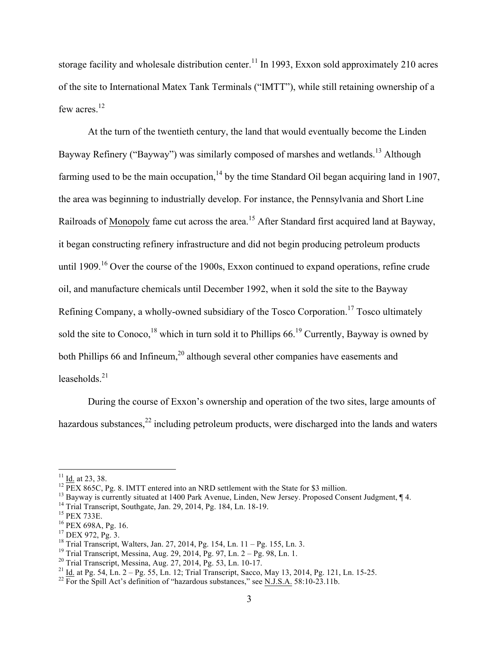storage facility and wholesale distribution center.<sup>11</sup> In 1993, Exxon sold approximately 210 acres of the site to International Matex Tank Terminals ("IMTT"), while still retaining ownership of a few acres.<sup>12</sup>

At the turn of the twentieth century, the land that would eventually become the Linden Bayway Refinery ("Bayway") was similarly composed of marshes and wetlands.<sup>13</sup> Although farming used to be the main occupation, $14$  by the time Standard Oil began acquiring land in 1907, the area was beginning to industrially develop. For instance, the Pennsylvania and Short Line Railroads of Monopoly fame cut across the area.<sup>15</sup> After Standard first acquired land at Bayway, it began constructing refinery infrastructure and did not begin producing petroleum products until 1909.<sup>16</sup> Over the course of the 1900s, Exxon continued to expand operations, refine crude oil, and manufacture chemicals until December 1992, when it sold the site to the Bayway Refining Company, a wholly-owned subsidiary of the Tosco Corporation.<sup>17</sup> Tosco ultimately sold the site to Conoco, <sup>18</sup> which in turn sold it to Phillips 66.<sup>19</sup> Currently, Bayway is owned by both Phillips 66 and Infineum,<sup>20</sup> although several other companies have easements and leaseholds. $21$ 

During the course of Exxon's ownership and operation of the two sites, large amounts of hazardous substances,<sup>22</sup> including petroleum products, were discharged into the lands and waters

<sup>&</sup>lt;sup>11</sup> Id. at 23, 38.<br>
<sup>12</sup> PEX 865C, Pg. 8. IMTT entered into an NRD settlement with the State for \$3 million.<br>
<sup>13</sup> Bayway is currently situated at 1400 Park Avenue, Linden, New Jersey. Proposed Consent Judgment, ¶ 4.<br>
<sup>1</sup>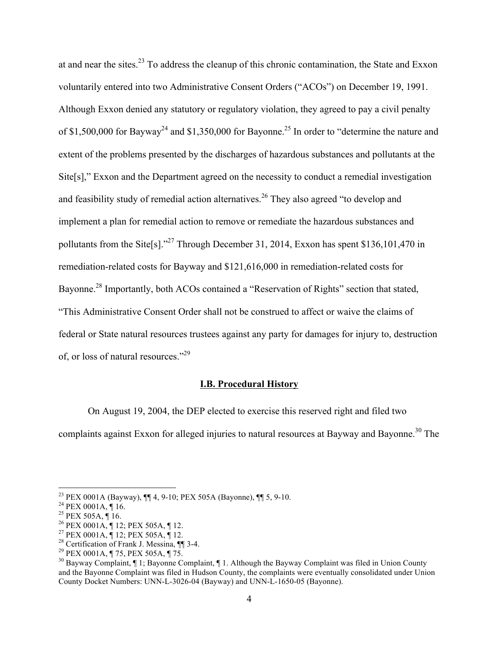at and near the sites.<sup>23</sup> To address the cleanup of this chronic contamination, the State and Exxon voluntarily entered into two Administrative Consent Orders ("ACOs") on December 19, 1991. Although Exxon denied any statutory or regulatory violation, they agreed to pay a civil penalty of \$1,500,000 for Bayway<sup>24</sup> and \$1,350,000 for Bayonne.<sup>25</sup> In order to "determine the nature and extent of the problems presented by the discharges of hazardous substances and pollutants at the Site[s]," Exxon and the Department agreed on the necessity to conduct a remedial investigation and feasibility study of remedial action alternatives.<sup>26</sup> They also agreed "to develop and implement a plan for remedial action to remove or remediate the hazardous substances and pollutants from the Site[s]."27 Through December 31, 2014, Exxon has spent \$136,101,470 in remediation-related costs for Bayway and \$121,616,000 in remediation-related costs for Bayonne.<sup>28</sup> Importantly, both ACOs contained a "Reservation of Rights" section that stated, "This Administrative Consent Order shall not be construed to affect or waive the claims of federal or State natural resources trustees against any party for damages for injury to, destruction of, or loss of natural resources."29

#### **I.B. Procedural History**

On August 19, 2004, the DEP elected to exercise this reserved right and filed two

complaints against Exxon for alleged injuries to natural resources at Bayway and Bayonne.<sup>30</sup> The

<sup>&</sup>lt;sup>23</sup> PEX 0001A (Bayway),  $\P$  4, 9-10; PEX 505A (Bayonne),  $\P$  5, 9-10.<br><sup>24</sup> PEX 0001A,  $\P$  16.<br><sup>25</sup> PEX 505A,  $\P$  16.<br><sup>25</sup> PEX 0001A,  $\P$  12; PEX 505A,  $\P$  12.<br><sup>27</sup> PEX 0001A,  $\P$  12; PEX 505A,  $\P$  12.<br><sup>27</sup> PEX 0001A,  $\P$ and the Bayonne Complaint was filed in Hudson County, the complaints were eventually consolidated under Union County Docket Numbers: UNN-L-3026-04 (Bayway) and UNN-L-1650-05 (Bayonne).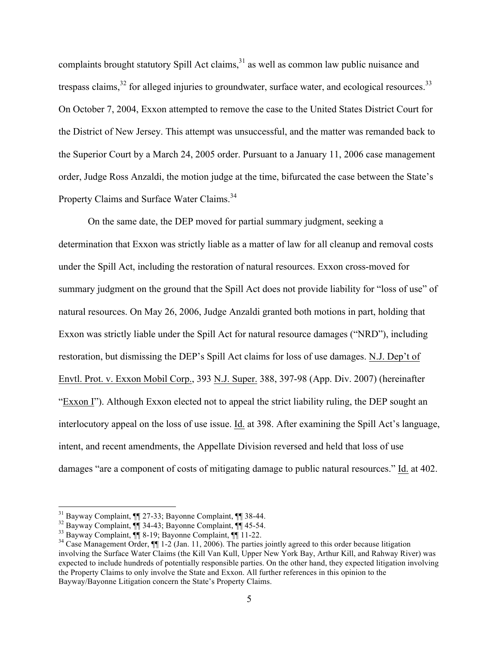complaints brought statutory Spill Act claims, $31$  as well as common law public nuisance and trespass claims,  $32$  for alleged injuries to groundwater, surface water, and ecological resources.  $33$ On October 7, 2004, Exxon attempted to remove the case to the United States District Court for the District of New Jersey. This attempt was unsuccessful, and the matter was remanded back to the Superior Court by a March 24, 2005 order. Pursuant to a January 11, 2006 case management order, Judge Ross Anzaldi, the motion judge at the time, bifurcated the case between the State's Property Claims and Surface Water Claims.<sup>34</sup>

On the same date, the DEP moved for partial summary judgment, seeking a determination that Exxon was strictly liable as a matter of law for all cleanup and removal costs under the Spill Act, including the restoration of natural resources. Exxon cross-moved for summary judgment on the ground that the Spill Act does not provide liability for "loss of use" of natural resources. On May 26, 2006, Judge Anzaldi granted both motions in part, holding that Exxon was strictly liable under the Spill Act for natural resource damages ("NRD"), including restoration, but dismissing the DEP's Spill Act claims for loss of use damages. N.J. Dep't of Envtl. Prot. v. Exxon Mobil Corp., 393 N.J. Super. 388, 397-98 (App. Div. 2007) (hereinafter "Exxon I"). Although Exxon elected not to appeal the strict liability ruling, the DEP sought an interlocutory appeal on the loss of use issue. Id. at 398. After examining the Spill Act's language, intent, and recent amendments, the Appellate Division reversed and held that loss of use damages "are a component of costs of mitigating damage to public natural resources." Id. at 402.

<sup>&</sup>lt;sup>31</sup> Bayway Complaint,  $\P$  27-33; Bayonne Complaint,  $\P$  38-44.<br><sup>32</sup> Bayway Complaint,  $\P$  34-43; Bayonne Complaint,  $\P$  45-54.<br><sup>33</sup> Bayway Complaint,  $\P$  8-19; Bayonne Complaint,  $\P$  11-22.<br><sup>34</sup> Case Management Order,  $\P$ involving the Surface Water Claims (the Kill Van Kull, Upper New York Bay, Arthur Kill, and Rahway River) was expected to include hundreds of potentially responsible parties. On the other hand, they expected litigation involving the Property Claims to only involve the State and Exxon. All further references in this opinion to the Bayway/Bayonne Litigation concern the State's Property Claims.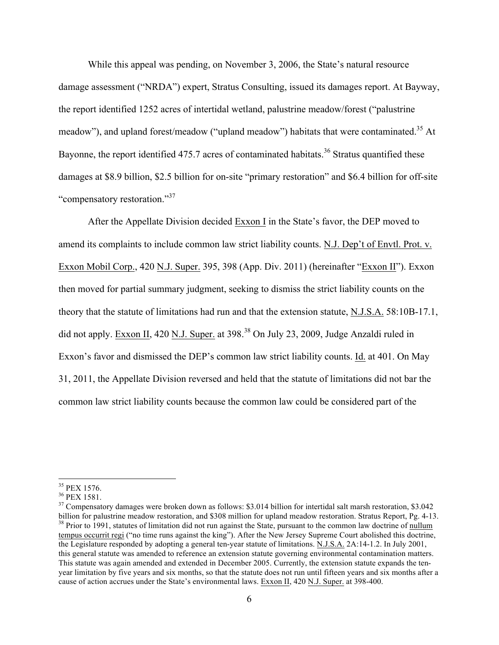While this appeal was pending, on November 3, 2006, the State's natural resource damage assessment ("NRDA") expert, Stratus Consulting, issued its damages report. At Bayway, the report identified 1252 acres of intertidal wetland, palustrine meadow/forest ("palustrine meadow"), and upland forest/meadow ("upland meadow") habitats that were contaminated.<sup>35</sup> At Bayonne, the report identified 475.7 acres of contaminated habitats.<sup>36</sup> Stratus quantified these damages at \$8.9 billion, \$2.5 billion for on-site "primary restoration" and \$6.4 billion for off-site "compensatory restoration."<sup>37</sup>

After the Appellate Division decided Exxon I in the State's favor, the DEP moved to amend its complaints to include common law strict liability counts. N.J. Dep't of Envtl. Prot. v. Exxon Mobil Corp., 420 N.J. Super. 395, 398 (App. Div. 2011) (hereinafter "Exxon II"). Exxon then moved for partial summary judgment, seeking to dismiss the strict liability counts on the theory that the statute of limitations had run and that the extension statute, N.J.S.A. 58:10B-17.1, did not apply. Exxon II, 420 N.J. Super. at 398.<sup>38</sup> On July 23, 2009, Judge Anzaldi ruled in Exxon's favor and dismissed the DEP's common law strict liability counts. Id. at 401. On May 31, 2011, the Appellate Division reversed and held that the statute of limitations did not bar the common law strict liability counts because the common law could be considered part of the

<sup>&</sup>lt;sup>35</sup> PEX 1576.<br><sup>36</sup> PEX 1581.<br><sup>37</sup> Compensatory damages were broken down as follows: \$3.014 billion for intertidal salt marsh restoration, \$3.042<br>billion for palustrine meadow restoration, and \$308 million for upland mead <sup>38</sup> Prior to 1991, statutes of limitation did not run against the State, pursuant to the common law doctrine of nullum tempus occurrit regi ("no time runs against the king"). After the New Jersey Supreme Court abolished this doctrine, the Legislature responded by adopting a general ten-year statute of limitations. N.J.S.A. 2A:14-1.2. In July 2001, this general statute was amended to reference an extension statute governing environmental contamination matters. This statute was again amended and extended in December 2005. Currently, the extension statute expands the tenyear limitation by five years and six months, so that the statute does not run until fifteen years and six months after a cause of action accrues under the State's environmental laws. Exxon II, 420 N.J. Super. at 398-400.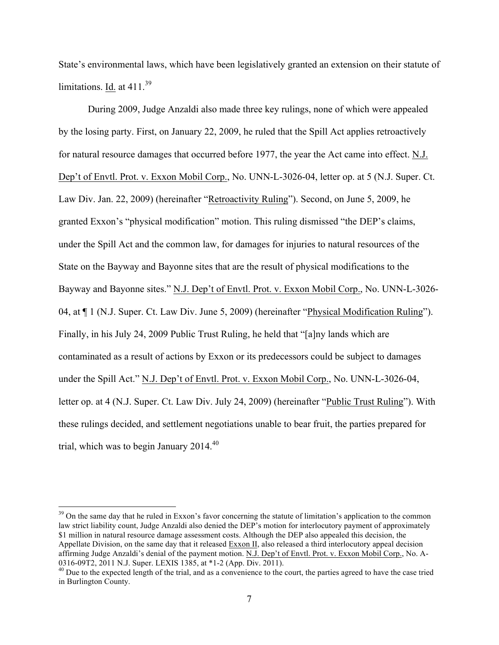State's environmental laws, which have been legislatively granted an extension on their statute of limitations. Id. at  $411^{39}$ 

During 2009, Judge Anzaldi also made three key rulings, none of which were appealed by the losing party. First, on January 22, 2009, he ruled that the Spill Act applies retroactively for natural resource damages that occurred before 1977, the year the Act came into effect. N.J. Dep't of Envtl. Prot. v. Exxon Mobil Corp., No. UNN-L-3026-04, letter op. at 5 (N.J. Super. Ct. Law Div. Jan. 22, 2009) (hereinafter "Retroactivity Ruling"). Second, on June 5, 2009, he granted Exxon's "physical modification" motion. This ruling dismissed "the DEP's claims, under the Spill Act and the common law, for damages for injuries to natural resources of the State on the Bayway and Bayonne sites that are the result of physical modifications to the Bayway and Bayonne sites." N.J. Dep't of Envtl. Prot. v. Exxon Mobil Corp., No. UNN-L-3026- 04, at ¶ 1 (N.J. Super. Ct. Law Div. June 5, 2009) (hereinafter "Physical Modification Ruling"). Finally, in his July 24, 2009 Public Trust Ruling, he held that "[a]ny lands which are contaminated as a result of actions by Exxon or its predecessors could be subject to damages under the Spill Act." N.J. Dep't of Envtl. Prot. v. Exxon Mobil Corp., No. UNN-L-3026-04, letter op. at 4 (N.J. Super. Ct. Law Div. July 24, 2009) (hereinafter "Public Trust Ruling"). With these rulings decided, and settlement negotiations unable to bear fruit, the parties prepared for trial, which was to begin January  $2014<sup>40</sup>$ 

<sup>&</sup>lt;sup>39</sup> On the same day that he ruled in Exxon's favor concerning the statute of limitation's application to the common law strict liability count, Judge Anzaldi also denied the DEP's motion for interlocutory payment of approximately \$1 million in natural resource damage assessment costs. Although the DEP also appealed this decision, the Appellate Division, on the same day that it released Exxon II, also released a third interlocutory appeal decision affirming Judge Anzaldi's denial of the payment motion. N.J. Dep't of Envtl. Prot. v. Exxon Mobil Corp., No. A-0316-09T2, 2011 N.J. Super. LEXIS 1385, at \*1-2 (App. Div. 2011).

 $^{40}$  Due to the expected length of the trial, and as a convenience to the court, the parties agreed to have the case tried in Burlington County.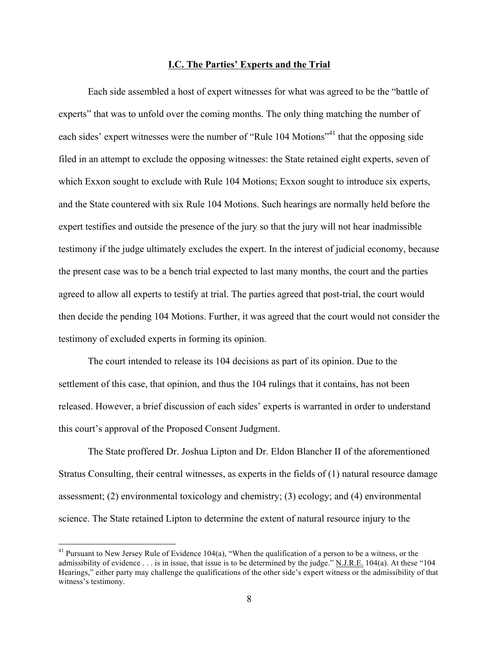#### **I.C. The Parties' Experts and the Trial**

Each side assembled a host of expert witnesses for what was agreed to be the "battle of experts" that was to unfold over the coming months. The only thing matching the number of each sides' expert witnesses were the number of "Rule 104 Motions"<sup>41</sup> that the opposing side filed in an attempt to exclude the opposing witnesses: the State retained eight experts, seven of which Exxon sought to exclude with Rule 104 Motions; Exxon sought to introduce six experts, and the State countered with six Rule 104 Motions. Such hearings are normally held before the expert testifies and outside the presence of the jury so that the jury will not hear inadmissible testimony if the judge ultimately excludes the expert. In the interest of judicial economy, because the present case was to be a bench trial expected to last many months, the court and the parties agreed to allow all experts to testify at trial. The parties agreed that post-trial, the court would then decide the pending 104 Motions. Further, it was agreed that the court would not consider the testimony of excluded experts in forming its opinion.

The court intended to release its 104 decisions as part of its opinion. Due to the settlement of this case, that opinion, and thus the 104 rulings that it contains, has not been released. However, a brief discussion of each sides' experts is warranted in order to understand this court's approval of the Proposed Consent Judgment.

The State proffered Dr. Joshua Lipton and Dr. Eldon Blancher II of the aforementioned Stratus Consulting, their central witnesses, as experts in the fields of (1) natural resource damage assessment; (2) environmental toxicology and chemistry; (3) ecology; and (4) environmental science. The State retained Lipton to determine the extent of natural resource injury to the

<sup>&</sup>lt;sup>41</sup> Pursuant to New Jersey Rule of Evidence 104(a), "When the qualification of a person to be a witness, or the admissibility of evidence . . . is in issue, that issue is to be determined by the judge." N.J.R.E. 104(a). At these "104 Hearings," either party may challenge the qualifications of the other side's expert witness or the admissibility of that witness's testimony.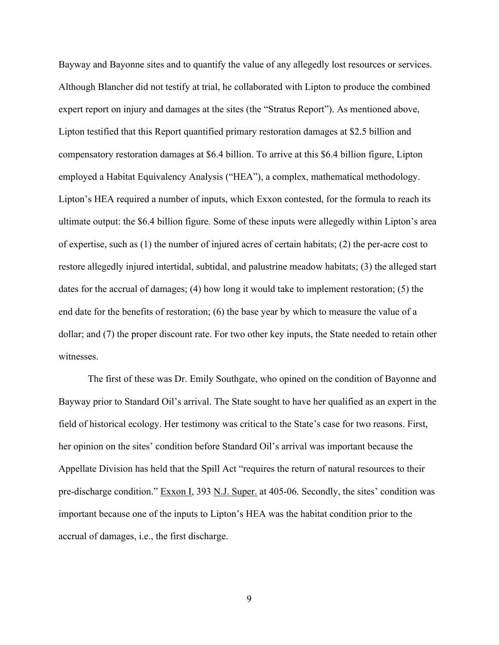Bayway and Bayonne sites and to quantify the value of any allegedly lost resources or services. Although Blancher did not testify at trial, he collaborated with Lipton to produce the combined expert report on injury and damages at the sites (the "Stratus Report"). As mentioned above, Lipton testified that this Report quantified primary restoration damages at \$2.5 billion and compensatory restoration damages at \$6.4 billion. To arrive at this \$6.4 billion figure, Lipton employed a Habitat Equivalency Analysis ("HEA"), a complex, mathematical methodology. Lipton's HEA required a number of inputs, which Exxon contested, for the formula to reach its ultimate output: the \$6.4 billion figure. Some of these inputs were allegedly within Lipton's area of expertise, such as (1) the number of injured acres of certain habitats; (2) the per-acre cost to restore allegedly injured intertidal, subtidal, and palustrine meadow habitats; (3) the alleged start dates for the accrual of damages; (4) how long it would take to implement restoration; (5) the end date for the benefits of restoration; (6) the base year by which to measure the value of a dollar; and (7) the proper discount rate. For two other key inputs, the State needed to retain other witnesses.

The first of these was Dr. Emily Southgate, who opined on the condition of Bayonne and Bayway prior to Standard Oil's arrival. The State sought to have her qualified as an expert in the field of historical ecology. Her testimony was critical to the State's case for two reasons. First, her opinion on the sites' condition before Standard Oil's arrival was important because the Appellate Division has held that the Spill Act "requires the return of natural resources to their pre-discharge condition." Exxon I, 393 N.J. Super. at 405-06. Secondly, the sites' condition was important because one of the inputs to Lipton's HEA was the habitat condition prior to the accrual of damages, i.e., the first discharge.

9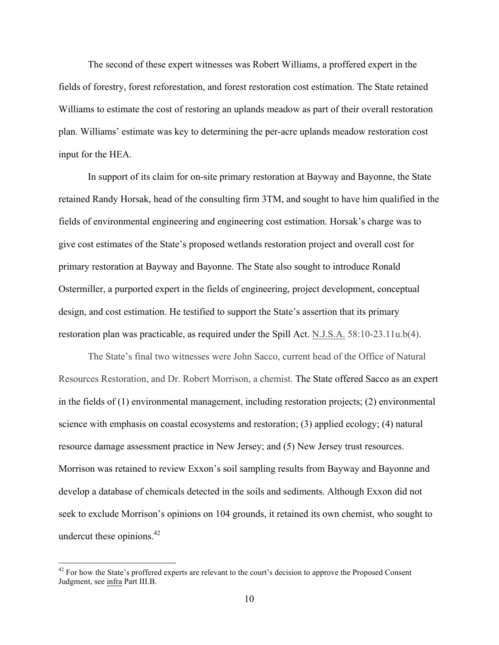The second of these expert witnesses was Robert Williams, a proffered expert in the fields of forestry, forest reforestation, and forest restoration cost estimation. The State retained Williams to estimate the cost of restoring an uplands meadow as part of their overall restoration plan. Williams' estimate was key to determining the per-acre uplands meadow restoration cost input for the HEA.

In support of its claim for on-site primary restoration at Bayway and Bayonne, the State retained Randy Horsak, head of the consulting firm 3TM, and sought to have him qualified in the fields of environmental engineering and engineering cost estimation. Horsak's charge was to give cost estimates of the State's proposed wetlands restoration project and overall cost for primary restoration at Bayway and Bayonne. The State also sought to introduce Ronald Ostermiller, a purported expert in the fields of engineering, project development, conceptual design, and cost estimation. He testified to support the State's assertion that its primary restoration plan was practicable, as required under the Spill Act. N.J.S.A. 58:10-23.11u.b(4).

The State's final two witnesses were John Sacco, current head of the Office of Natural Resources Restoration, and Dr. Robert Morrison, a chemist. The State offered Sacco as an expert in the fields of (1) environmental management, including restoration projects; (2) environmental science with emphasis on coastal ecosystems and restoration; (3) applied ecology; (4) natural resource damage assessment practice in New Jersey; and (5) New Jersey trust resources. Morrison was retained to review Exxon's soil sampling results from Bayway and Bayonne and develop a database of chemicals detected in the soils and sediments. Although Exxon did not seek to exclude Morrison's opinions on 104 grounds, it retained its own chemist, who sought to undercut these opinions. $42$ 

<sup>&</sup>lt;sup>42</sup> For how the State's proffered experts are relevant to the court's decision to approve the Proposed Consent Judgment, see infra Part III.B.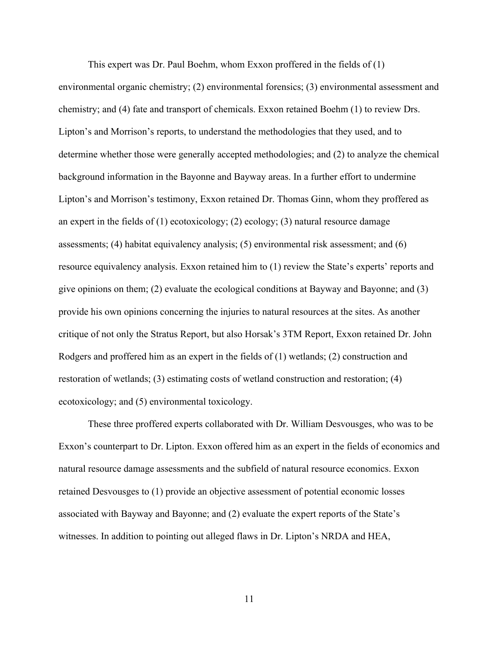This expert was Dr. Paul Boehm, whom Exxon proffered in the fields of (1)

environmental organic chemistry; (2) environmental forensics; (3) environmental assessment and chemistry; and (4) fate and transport of chemicals. Exxon retained Boehm (1) to review Drs. Lipton's and Morrison's reports, to understand the methodologies that they used, and to determine whether those were generally accepted methodologies; and (2) to analyze the chemical background information in the Bayonne and Bayway areas. In a further effort to undermine Lipton's and Morrison's testimony, Exxon retained Dr. Thomas Ginn, whom they proffered as an expert in the fields of (1) ecotoxicology; (2) ecology; (3) natural resource damage assessments; (4) habitat equivalency analysis; (5) environmental risk assessment; and (6) resource equivalency analysis. Exxon retained him to (1) review the State's experts' reports and give opinions on them; (2) evaluate the ecological conditions at Bayway and Bayonne; and (3) provide his own opinions concerning the injuries to natural resources at the sites. As another critique of not only the Stratus Report, but also Horsak's 3TM Report, Exxon retained Dr. John Rodgers and proffered him as an expert in the fields of (1) wetlands; (2) construction and restoration of wetlands; (3) estimating costs of wetland construction and restoration; (4) ecotoxicology; and (5) environmental toxicology.

These three proffered experts collaborated with Dr. William Desvousges, who was to be Exxon's counterpart to Dr. Lipton. Exxon offered him as an expert in the fields of economics and natural resource damage assessments and the subfield of natural resource economics. Exxon retained Desvousges to (1) provide an objective assessment of potential economic losses associated with Bayway and Bayonne; and (2) evaluate the expert reports of the State's witnesses. In addition to pointing out alleged flaws in Dr. Lipton's NRDA and HEA,

11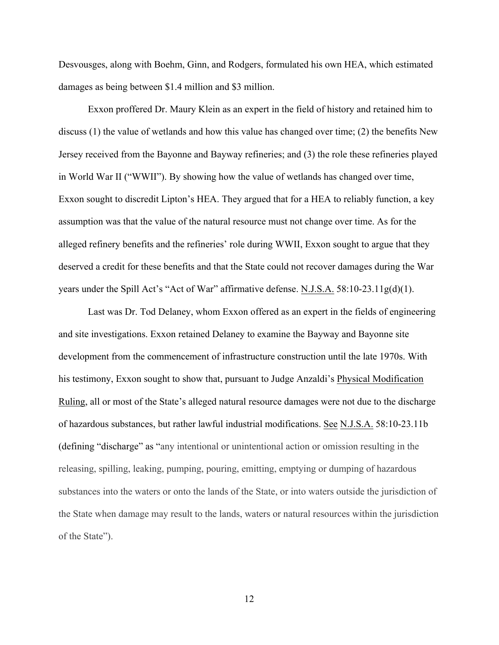Desvousges, along with Boehm, Ginn, and Rodgers, formulated his own HEA, which estimated damages as being between \$1.4 million and \$3 million.

Exxon proffered Dr. Maury Klein as an expert in the field of history and retained him to discuss (1) the value of wetlands and how this value has changed over time; (2) the benefits New Jersey received from the Bayonne and Bayway refineries; and (3) the role these refineries played in World War II ("WWII"). By showing how the value of wetlands has changed over time, Exxon sought to discredit Lipton's HEA. They argued that for a HEA to reliably function, a key assumption was that the value of the natural resource must not change over time. As for the alleged refinery benefits and the refineries' role during WWII, Exxon sought to argue that they deserved a credit for these benefits and that the State could not recover damages during the War years under the Spill Act's "Act of War" affirmative defense. N.J.S.A. 58:10-23.11g(d)(1).

Last was Dr. Tod Delaney, whom Exxon offered as an expert in the fields of engineering and site investigations. Exxon retained Delaney to examine the Bayway and Bayonne site development from the commencement of infrastructure construction until the late 1970s. With his testimony, Exxon sought to show that, pursuant to Judge Anzaldi's Physical Modification Ruling, all or most of the State's alleged natural resource damages were not due to the discharge of hazardous substances, but rather lawful industrial modifications. See N.J.S.A. 58:10-23.11b (defining "discharge" as "any intentional or unintentional action or omission resulting in the releasing, spilling, leaking, pumping, pouring, emitting, emptying or dumping of hazardous substances into the waters or onto the lands of the State, or into waters outside the jurisdiction of the State when damage may result to the lands, waters or natural resources within the jurisdiction of the State").

12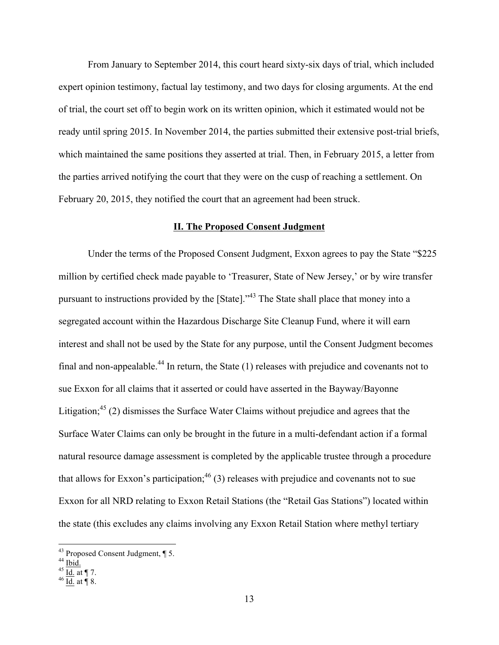From January to September 2014, this court heard sixty-six days of trial, which included expert opinion testimony, factual lay testimony, and two days for closing arguments. At the end of trial, the court set off to begin work on its written opinion, which it estimated would not be ready until spring 2015. In November 2014, the parties submitted their extensive post-trial briefs, which maintained the same positions they asserted at trial. Then, in February 2015, a letter from the parties arrived notifying the court that they were on the cusp of reaching a settlement. On February 20, 2015, they notified the court that an agreement had been struck.

### **II. The Proposed Consent Judgment**

Under the terms of the Proposed Consent Judgment, Exxon agrees to pay the State "\$225 million by certified check made payable to 'Treasurer, State of New Jersey,' or by wire transfer pursuant to instructions provided by the [State]."<sup>43</sup> The State shall place that money into a segregated account within the Hazardous Discharge Site Cleanup Fund, where it will earn interest and shall not be used by the State for any purpose, until the Consent Judgment becomes final and non-appealable.<sup>44</sup> In return, the State  $(1)$  releases with prejudice and covenants not to sue Exxon for all claims that it asserted or could have asserted in the Bayway/Bayonne Litigation;<sup>45</sup> (2) dismisses the Surface Water Claims without prejudice and agrees that the Surface Water Claims can only be brought in the future in a multi-defendant action if a formal natural resource damage assessment is completed by the applicable trustee through a procedure that allows for Exxon's participation;  $46(3)$  releases with prejudice and covenants not to sue Exxon for all NRD relating to Exxon Retail Stations (the "Retail Gas Stations") located within the state (this excludes any claims involving any Exxon Retail Station where methyl tertiary

<sup>&</sup>lt;sup>43</sup> Proposed Consent Judgment,  $\P$  5.<br><sup>44</sup> <u>Ibid.</u><br><sup>45</sup> <u>Id.</u> at  $\P$  7.<br><sup>46</sup> Id. at  $\P$  8.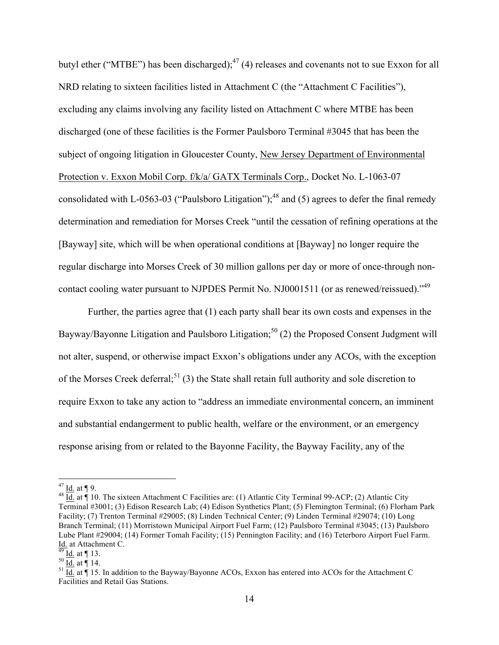butyl ether ("MTBE") has been discharged);  $47$  (4) releases and covenants not to sue Exxon for all NRD relating to sixteen facilities listed in Attachment C (the "Attachment C Facilities"), excluding any claims involving any facility listed on Attachment C where MTBE has been discharged (one of these facilities is the Former Paulsboro Terminal #3045 that has been the subject of ongoing litigation in Gloucester County, New Jersey Department of Environmental Protection v. Exxon Mobil Corp. f/k/a/ GATX Terminals Corp., Docket No. L-1063-07 consolidated with L-0563-03 ("Paulsboro Litigation");<sup>48</sup> and (5) agrees to defer the final remedy determination and remediation for Morses Creek "until the cessation of refining operations at the [Bayway] site, which will be when operational conditions at [Bayway] no longer require the regular discharge into Morses Creek of 30 million gallons per day or more of once-through noncontact cooling water pursuant to NJPDES Permit No. NJ0001511 (or as renewed/reissued)."<sup>49</sup>

Further, the parties agree that (1) each party shall bear its own costs and expenses in the Bayway/Bayonne Litigation and Paulsboro Litigation;<sup>50</sup> (2) the Proposed Consent Judgment will not alter, suspend, or otherwise impact Exxon's obligations under any ACOs, with the exception of the Morses Creek deferral;<sup>51</sup> (3) the State shall retain full authority and sole discretion to require Exxon to take any action to "address an immediate environmental concern, an imminent and substantial endangerment to public health, welfare or the environment, or an emergency response arising from or related to the Bayonne Facility, the Bayway Facility, any of the

<sup>&</sup>lt;sup>47</sup> Id. at ¶ 9.<br><sup>48</sup> Id. at ¶ 10. The sixteen Attachment C Facilities are: (1) Atlantic City Terminal 99-ACP; (2) Atlantic City Terminal #3001; (3) Edison Research Lab; (4) Edison Synthetics Plant; (5) Flemington Terminal; (6) Florham Park Facility; (7) Trenton Terminal #29005; (8) Linden Technical Center; (9) Linden Terminal #29074; (10) Long Branch Terminal; (11) Morristown Municipal Airport Fuel Farm; (12) Paulsboro Terminal #3045; (13) Paulsboro Lube Plant #29004; (14) Former Tomah Facility; (15) Pennington Facility; and (16) Teterboro Airport Fuel Farm. Id. at Attachment C.<br>
<sup>49</sup> <u>Id.</u> at ¶ 13.<br>
<sup>50</sup> <u>Id.</u> at ¶ 14.<br>
<sup>51</sup> Id. at ¶ 15. In addition to the Bayway/Bayonne ACOs, Exxon has entered into ACOs for the Attachment C

Facilities and Retail Gas Stations.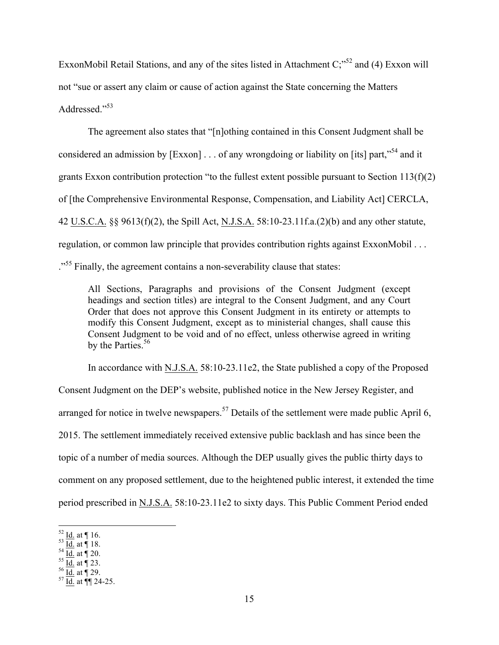ExxonMobil Retail Stations, and any of the sites listed in Attachment  $C_i^{5,52}$  and (4) Exxon will not "sue or assert any claim or cause of action against the State concerning the Matters Addressed<sup>"53</sup>

The agreement also states that "[n]othing contained in this Consent Judgment shall be considered an admission by  $[Exxon] \dots$  of any wrongdoing or liability on [its] part,<sup> $54$ </sup> and it grants Exxon contribution protection "to the fullest extent possible pursuant to Section 113(f)(2) of [the Comprehensive Environmental Response, Compensation, and Liability Act] CERCLA, 42 U.S.C.A. §§ 9613(f)(2), the Spill Act, N.J.S.A. 58:10-23.11f.a.(2)(b) and any other statute, regulation, or common law principle that provides contribution rights against ExxonMobil . . . <sup>555</sup> Finally, the agreement contains a non-severability clause that states:

All Sections, Paragraphs and provisions of the Consent Judgment (except headings and section titles) are integral to the Consent Judgment, and any Court Order that does not approve this Consent Judgment in its entirety or attempts to modify this Consent Judgment, except as to ministerial changes, shall cause this Consent Judgment to be void and of no effect, unless otherwise agreed in writing by the Parties.<sup>56</sup>

In accordance with N.J.S.A. 58:10-23.11e2, the State published a copy of the Proposed Consent Judgment on the DEP's website, published notice in the New Jersey Register, and arranged for notice in twelve newspapers.<sup>57</sup> Details of the settlement were made public April 6, 2015. The settlement immediately received extensive public backlash and has since been the topic of a number of media sources. Although the DEP usually gives the public thirty days to comment on any proposed settlement, due to the heightened public interest, it extended the time period prescribed in N.J.S.A. 58:10-23.11e2 to sixty days. This Public Comment Period ended

 $52 \underline{\text{Id}}$ . at  $\P$  16.<br>  $53 \underline{\text{Id}}$ . at  $\P$  18.<br>  $55 \underline{\text{Id}}$ . at  $\P$  20.<br>  $56 \underline{\text{Id}}$ . at  $\P$  29.<br>  $57 \underline{\text{Id}}$ . at  $\P$  24-25.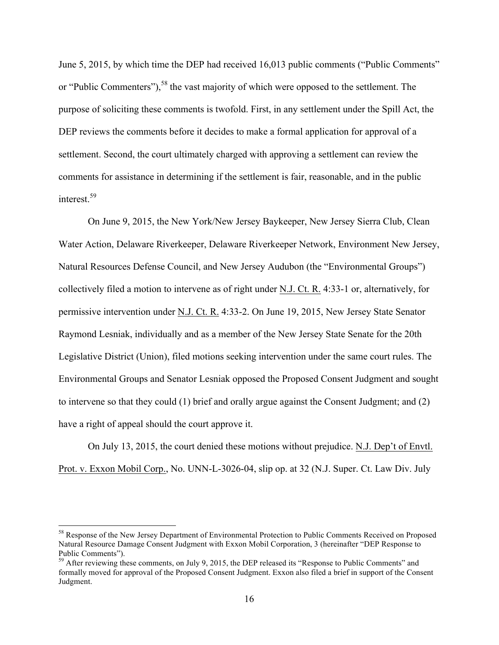June 5, 2015, by which time the DEP had received 16,013 public comments ("Public Comments" or "Public Commenters"),<sup>58</sup> the vast majority of which were opposed to the settlement. The purpose of soliciting these comments is twofold. First, in any settlement under the Spill Act, the DEP reviews the comments before it decides to make a formal application for approval of a settlement. Second, the court ultimately charged with approving a settlement can review the comments for assistance in determining if the settlement is fair, reasonable, and in the public interest<sup>59</sup>

On June 9, 2015, the New York/New Jersey Baykeeper, New Jersey Sierra Club, Clean Water Action, Delaware Riverkeeper, Delaware Riverkeeper Network, Environment New Jersey, Natural Resources Defense Council, and New Jersey Audubon (the "Environmental Groups") collectively filed a motion to intervene as of right under N.J. Ct. R. 4:33-1 or, alternatively, for permissive intervention under N.J. Ct. R. 4:33-2. On June 19, 2015, New Jersey State Senator Raymond Lesniak, individually and as a member of the New Jersey State Senate for the 20th Legislative District (Union), filed motions seeking intervention under the same court rules. The Environmental Groups and Senator Lesniak opposed the Proposed Consent Judgment and sought to intervene so that they could (1) brief and orally argue against the Consent Judgment; and (2) have a right of appeal should the court approve it.

On July 13, 2015, the court denied these motions without prejudice. N.J. Dep't of Envtl. Prot. v. Exxon Mobil Corp., No. UNN-L-3026-04, slip op. at 32 (N.J. Super. Ct. Law Div. July

<sup>&</sup>lt;sup>58</sup> Response of the New Jersey Department of Environmental Protection to Public Comments Received on Proposed Natural Resource Damage Consent Judgment with Exxon Mobil Corporation, 3 (hereinafter "DEP Response to Public Comments").

<sup>&</sup>lt;sup>59</sup> After reviewing these comments, on July 9, 2015, the DEP released its "Response to Public Comments" and formally moved for approval of the Proposed Consent Judgment. Exxon also filed a brief in support of the Consent Judgment.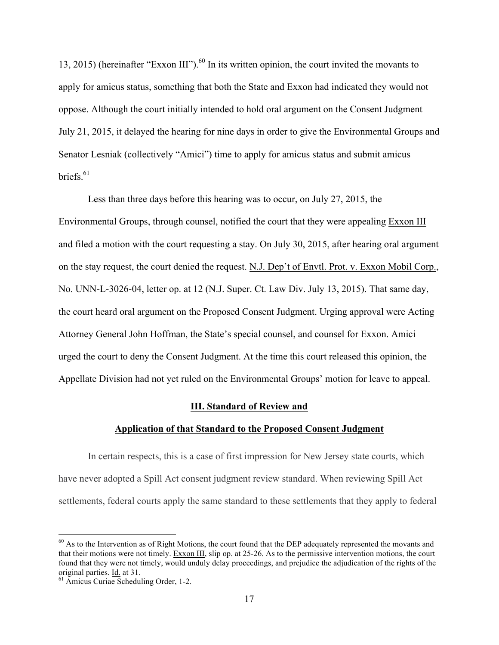13, 2015) (hereinafter " $\frac{EXxon III''}{.}$ <sup>60</sup> In its written opinion, the court invited the movants to apply for amicus status, something that both the State and Exxon had indicated they would not oppose. Although the court initially intended to hold oral argument on the Consent Judgment July 21, 2015, it delayed the hearing for nine days in order to give the Environmental Groups and Senator Lesniak (collectively "Amici") time to apply for amicus status and submit amicus briefs. $61$ 

Less than three days before this hearing was to occur, on July 27, 2015, the Environmental Groups, through counsel, notified the court that they were appealing Exxon III and filed a motion with the court requesting a stay. On July 30, 2015, after hearing oral argument on the stay request, the court denied the request. N.J. Dep't of Envtl. Prot. v. Exxon Mobil Corp., No. UNN-L-3026-04, letter op. at 12 (N.J. Super. Ct. Law Div. July 13, 2015). That same day, the court heard oral argument on the Proposed Consent Judgment. Urging approval were Acting Attorney General John Hoffman, the State's special counsel, and counsel for Exxon. Amici urged the court to deny the Consent Judgment. At the time this court released this opinion, the Appellate Division had not yet ruled on the Environmental Groups' motion for leave to appeal.

#### **III. Standard of Review and**

#### **Application of that Standard to the Proposed Consent Judgment**

In certain respects, this is a case of first impression for New Jersey state courts, which have never adopted a Spill Act consent judgment review standard. When reviewing Spill Act settlements, federal courts apply the same standard to these settlements that they apply to federal

 $60$  As to the Intervention as of Right Motions, the court found that the DEP adequately represented the movants and that their motions were not timely. Exxon III, slip op. at 25-26. As to the permissive intervention motions, the court found that they were not timely, would unduly delay proceedings, and prejudice the adjudication of the rights of the original parties. <u>Id.</u> at 31.<br><sup>61</sup> Amicus Curiae Scheduling Order, 1-2.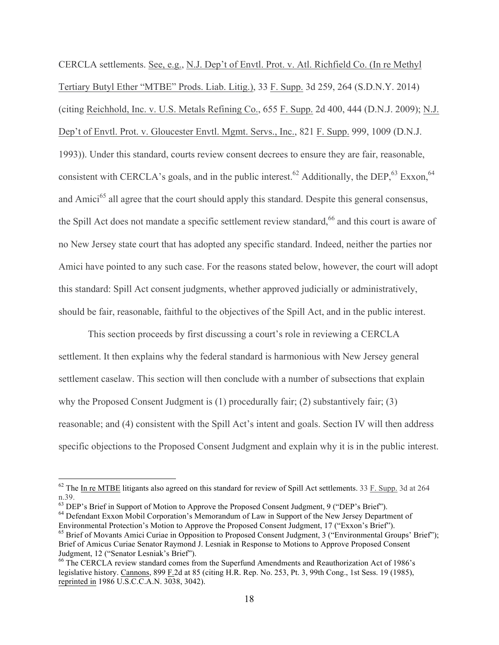CERCLA settlements. See, e.g., N.J. Dep't of Envtl. Prot. v. Atl. Richfield Co. (In re Methyl Tertiary Butyl Ether "MTBE" Prods. Liab. Litig.), 33 F. Supp. 3d 259, 264 (S.D.N.Y. 2014) (citing Reichhold, Inc. v. U.S. Metals Refining Co., 655 F. Supp. 2d 400, 444 (D.N.J. 2009); N.J. Dep't of Envtl. Prot. v. Gloucester Envtl. Mgmt. Servs., Inc., 821 F. Supp. 999, 1009 (D.N.J. 1993)). Under this standard, courts review consent decrees to ensure they are fair, reasonable, consistent with CERCLA's goals, and in the public interest.<sup>62</sup> Additionally, the DEP,  $^{63}$  Exxon,  $^{64}$ and Amici<sup>65</sup> all agree that the court should apply this standard. Despite this general consensus, the Spill Act does not mandate a specific settlement review standard, <sup>66</sup> and this court is aware of no New Jersey state court that has adopted any specific standard. Indeed, neither the parties nor Amici have pointed to any such case. For the reasons stated below, however, the court will adopt this standard: Spill Act consent judgments, whether approved judicially or administratively, should be fair, reasonable, faithful to the objectives of the Spill Act, and in the public interest.

This section proceeds by first discussing a court's role in reviewing a CERCLA settlement. It then explains why the federal standard is harmonious with New Jersey general settlement caselaw. This section will then conclude with a number of subsections that explain why the Proposed Consent Judgment is (1) procedurally fair; (2) substantively fair; (3) reasonable; and (4) consistent with the Spill Act's intent and goals. Section IV will then address specific objections to the Proposed Consent Judgment and explain why it is in the public interest.

 $62$  The In re MTBE litigants also agreed on this standard for review of Spill Act settlements. 33 F. Supp. 3d at 264 n.39.<br><sup>63</sup> DEP's Brief in Support of Motion to Approve the Proposed Consent Judgment, 9 ("DEP's Brief").

 $64$  Defendant Exxon Mobil Corporation's Memorandum of Law in Support of the New Jersey Department of Environmental Protection's Motion to Approve the Proposed Consent Judgment, 17 ("Exxon's Brief").<br><sup>65</sup> Brief of Movants Amici Curiae in Opposition to Proposed Consent Judgment, 3 ("Environmental Groups' Brief");

Brief of Amicus Curiae Senator Raymond J. Lesniak in Response to Motions to Approve Proposed Consent Judgment, 12 ("Senator Lesniak's Brief").<br><sup>66</sup> The CERCLA review standard comes from the Superfund Amendments and Reauthorization Act of 1986's

legislative history. Cannons, 899 F.2d at 85 (citing H.R. Rep. No. 253, Pt. 3, 99th Cong., 1st Sess. 19 (1985), reprinted in 1986 U.S.C.C.A.N. 3038, 3042).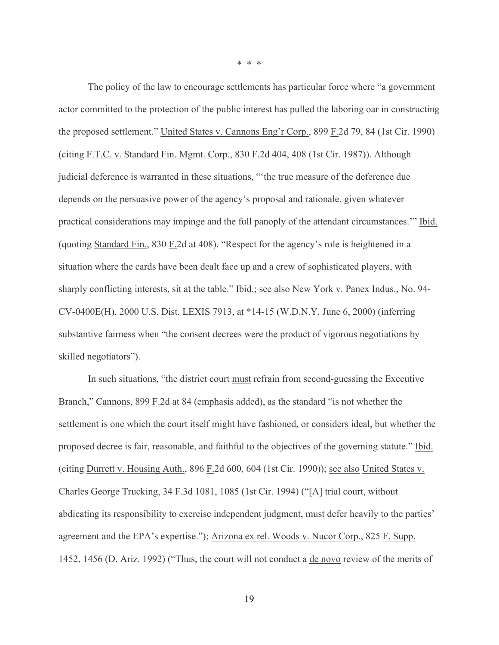\* \* \*

The policy of the law to encourage settlements has particular force where "a government actor committed to the protection of the public interest has pulled the laboring oar in constructing the proposed settlement." United States v. Cannons Eng'r Corp., 899 F.2d 79, 84 (1st Cir. 1990) (citing F.T.C. v. Standard Fin. Mgmt. Corp., 830 F.2d 404, 408 (1st Cir. 1987)). Although judicial deference is warranted in these situations, "'the true measure of the deference due depends on the persuasive power of the agency's proposal and rationale, given whatever practical considerations may impinge and the full panoply of the attendant circumstances.'" Ibid. (quoting Standard Fin., 830 F.2d at 408). "Respect for the agency's role is heightened in a situation where the cards have been dealt face up and a crew of sophisticated players, with sharply conflicting interests, sit at the table." Ibid.; see also New York v. Panex Indus., No. 94- CV-0400E(H), 2000 U.S. Dist. LEXIS 7913, at \*14-15 (W.D.N.Y. June 6, 2000) (inferring substantive fairness when "the consent decrees were the product of vigorous negotiations by skilled negotiators").

In such situations, "the district court must refrain from second-guessing the Executive Branch," Cannons, 899 F.2d at 84 (emphasis added), as the standard "is not whether the settlement is one which the court itself might have fashioned, or considers ideal, but whether the proposed decree is fair, reasonable, and faithful to the objectives of the governing statute." Ibid. (citing Durrett v. Housing Auth., 896 F.2d 600, 604 (1st Cir. 1990)); see also United States v. Charles George Trucking, 34 F.3d 1081, 1085 (1st Cir. 1994) ("[A] trial court, without abdicating its responsibility to exercise independent judgment, must defer heavily to the parties' agreement and the EPA's expertise."); Arizona ex rel. Woods v. Nucor Corp., 825 F. Supp. 1452, 1456 (D. Ariz. 1992) ("Thus, the court will not conduct a de novo review of the merits of

19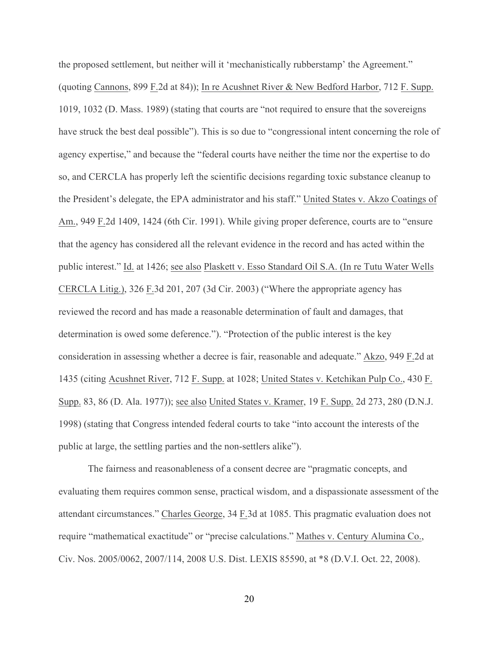the proposed settlement, but neither will it 'mechanistically rubberstamp' the Agreement." (quoting Cannons, 899 F.2d at 84)); In re Acushnet River & New Bedford Harbor, 712 F. Supp. 1019, 1032 (D. Mass. 1989) (stating that courts are "not required to ensure that the sovereigns have struck the best deal possible"). This is so due to "congressional intent concerning the role of agency expertise," and because the "federal courts have neither the time nor the expertise to do so, and CERCLA has properly left the scientific decisions regarding toxic substance cleanup to the President's delegate, the EPA administrator and his staff." United States v. Akzo Coatings of Am., 949 F.2d 1409, 1424 (6th Cir. 1991). While giving proper deference, courts are to "ensure that the agency has considered all the relevant evidence in the record and has acted within the public interest." Id. at 1426; see also Plaskett v. Esso Standard Oil S.A. (In re Tutu Water Wells CERCLA Litig.), 326 F.3d 201, 207 (3d Cir. 2003) ("Where the appropriate agency has reviewed the record and has made a reasonable determination of fault and damages, that determination is owed some deference."). "Protection of the public interest is the key consideration in assessing whether a decree is fair, reasonable and adequate." Akzo, 949 F.2d at 1435 (citing Acushnet River, 712 F. Supp. at 1028; United States v. Ketchikan Pulp Co., 430 F. Supp. 83, 86 (D. Ala. 1977)); see also United States v. Kramer, 19 F. Supp. 2d 273, 280 (D.N.J. 1998) (stating that Congress intended federal courts to take "into account the interests of the public at large, the settling parties and the non-settlers alike").

The fairness and reasonableness of a consent decree are "pragmatic concepts, and evaluating them requires common sense, practical wisdom, and a dispassionate assessment of the attendant circumstances." Charles George, 34 F.3d at 1085. This pragmatic evaluation does not require "mathematical exactitude" or "precise calculations." Mathes v. Century Alumina Co., Civ. Nos. 2005/0062, 2007/114, 2008 U.S. Dist. LEXIS 85590, at \*8 (D.V.I. Oct. 22, 2008).

20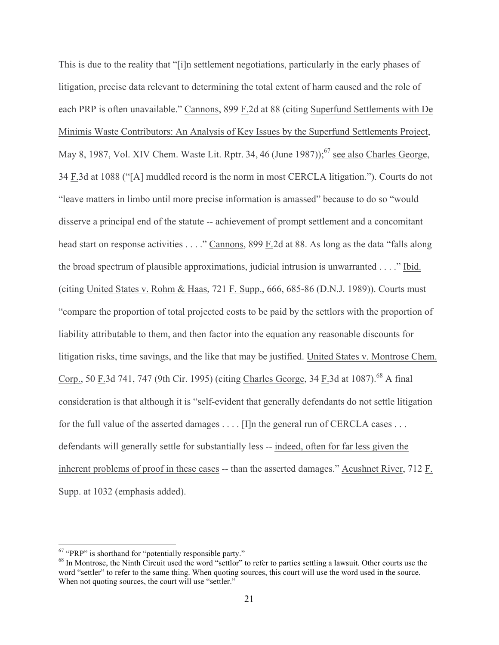This is due to the reality that "[i]n settlement negotiations, particularly in the early phases of litigation, precise data relevant to determining the total extent of harm caused and the role of each PRP is often unavailable." Cannons, 899 F.2d at 88 (citing Superfund Settlements with De Minimis Waste Contributors: An Analysis of Key Issues by the Superfund Settlements Project, May 8, 1987, Vol. XIV Chem. Waste Lit. Rptr. 34, 46 (June 1987));<sup>67</sup> see also Charles George, 34 F.3d at 1088 ("[A] muddled record is the norm in most CERCLA litigation."). Courts do not "leave matters in limbo until more precise information is amassed" because to do so "would disserve a principal end of the statute -- achievement of prompt settlement and a concomitant head start on response activities . . . ." Cannons, 899 F.2d at 88. As long as the data "falls along the broad spectrum of plausible approximations, judicial intrusion is unwarranted . . . ." Ibid. (citing United States v. Rohm & Haas, 721 F. Supp., 666, 685-86 (D.N.J. 1989)). Courts must "compare the proportion of total projected costs to be paid by the settlors with the proportion of liability attributable to them, and then factor into the equation any reasonable discounts for litigation risks, time savings, and the like that may be justified. United States v. Montrose Chem. Corp., 50 F.3d 741, 747 (9th Cir. 1995) (citing Charles George, 34 F.3d at 1087).<sup>68</sup> A final consideration is that although it is "self-evident that generally defendants do not settle litigation for the full value of the asserted damages . . . . [I]n the general run of CERCLA cases . . . defendants will generally settle for substantially less -- indeed, often for far less given the inherent problems of proof in these cases -- than the asserted damages." Acushnet River, 712 F. Supp. at 1032 (emphasis added).

<sup>&</sup>lt;sup>67</sup> "PRP" is shorthand for "potentially responsible party."<br><sup>68</sup> In Montrose, the Ninth Circuit used the word "settlor" to refer to parties settling a lawsuit. Other courts use the word "settler" to refer to the same thing. When quoting sources, this court will use the word used in the source. When not quoting sources, the court will use "settler."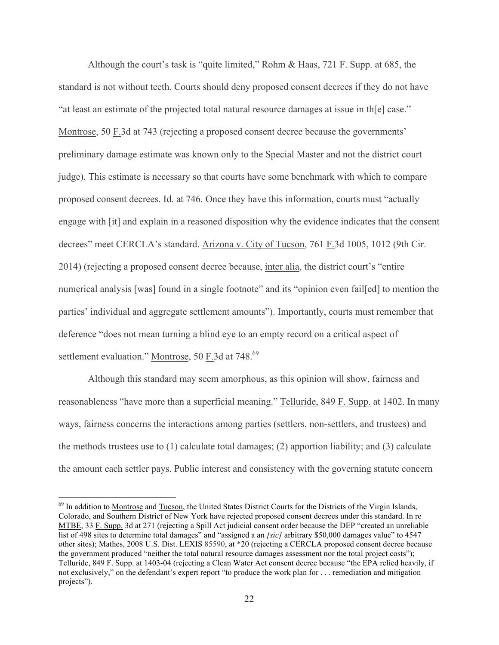Although the court's task is "quite limited," Rohm & Haas, 721 F. Supp. at 685, the standard is not without teeth. Courts should deny proposed consent decrees if they do not have "at least an estimate of the projected total natural resource damages at issue in th[e] case." Montrose, 50 F.3d at 743 (rejecting a proposed consent decree because the governments' preliminary damage estimate was known only to the Special Master and not the district court judge). This estimate is necessary so that courts have some benchmark with which to compare proposed consent decrees. Id. at 746. Once they have this information, courts must "actually engage with [it] and explain in a reasoned disposition why the evidence indicates that the consent decrees" meet CERCLA's standard. Arizona v. City of Tucson, 761 F.3d 1005, 1012 (9th Cir. 2014) (rejecting a proposed consent decree because, inter alia, the district court's "entire numerical analysis [was] found in a single footnote" and its "opinion even fail[ed] to mention the parties' individual and aggregate settlement amounts"). Importantly, courts must remember that deference "does not mean turning a blind eye to an empty record on a critical aspect of settlement evaluation." Montrose, 50 F.3d at 748.<sup>69</sup>

Although this standard may seem amorphous, as this opinion will show, fairness and reasonableness "have more than a superficial meaning." Telluride, 849 F. Supp. at 1402. In many ways, fairness concerns the interactions among parties (settlers, non-settlers, and trustees) and the methods trustees use to (1) calculate total damages; (2) apportion liability; and (3) calculate the amount each settler pays. Public interest and consistency with the governing statute concern

<sup>&</sup>lt;sup>69</sup> In addition to Montrose and Tucson, the United States District Courts for the Districts of the Virgin Islands, Colorado, and Southern District of New York have rejected proposed consent decrees under this standard. In re MTBE, 33 F. Supp. 3d at 271 (rejecting a Spill Act judicial consent order because the DEP "created an unreliable list of 498 sites to determine total damages" and "assigned a an *[sic]* arbitrary \$50,000 damages value" to 4547 other sites); Mathes, 2008 U.S. Dist. LEXIS 85590, at \*20 (rejecting a CERCLA proposed consent decree because the government produced "neither the total natural resource damages assessment nor the total project costs"); Telluride, 849 F. Supp. at 1403-04 (rejecting a Clean Water Act consent decree because "the EPA relied heavily, if not exclusively," on the defendant's expert report "to produce the work plan for . . . remediation and mitigation projects").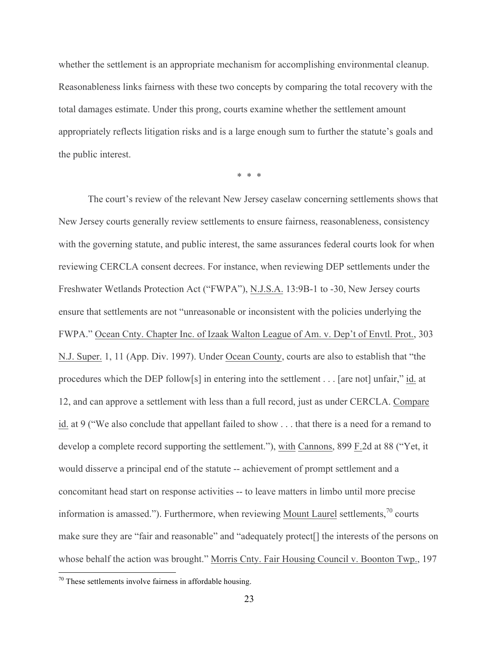whether the settlement is an appropriate mechanism for accomplishing environmental cleanup. Reasonableness links fairness with these two concepts by comparing the total recovery with the total damages estimate. Under this prong, courts examine whether the settlement amount appropriately reflects litigation risks and is a large enough sum to further the statute's goals and the public interest.

\* \* \*

The court's review of the relevant New Jersey caselaw concerning settlements shows that New Jersey courts generally review settlements to ensure fairness, reasonableness, consistency with the governing statute, and public interest, the same assurances federal courts look for when reviewing CERCLA consent decrees. For instance, when reviewing DEP settlements under the Freshwater Wetlands Protection Act ("FWPA"), N.J.S.A. 13:9B-1 to -30, New Jersey courts ensure that settlements are not "unreasonable or inconsistent with the policies underlying the FWPA." Ocean Cnty. Chapter Inc. of Izaak Walton League of Am. v. Dep't of Envtl. Prot., 303 N.J. Super. 1, 11 (App. Div. 1997). Under Ocean County, courts are also to establish that "the procedures which the DEP follow[s] in entering into the settlement . . . [are not] unfair," id. at 12, and can approve a settlement with less than a full record, just as under CERCLA. Compare id. at 9 ("We also conclude that appellant failed to show . . . that there is a need for a remand to develop a complete record supporting the settlement."), with Cannons, 899 F.2d at 88 ("Yet, it would disserve a principal end of the statute -- achievement of prompt settlement and a concomitant head start on response activities -- to leave matters in limbo until more precise information is amassed."). Furthermore, when reviewing Mount Laurel settlements, $\frac{70}{10}$  courts make sure they are "fair and reasonable" and "adequately protect[] the interests of the persons on whose behalf the action was brought." Morris Cnty. Fair Housing Council v. Boonton Twp., 197

 $70$  These settlements involve fairness in affordable housing.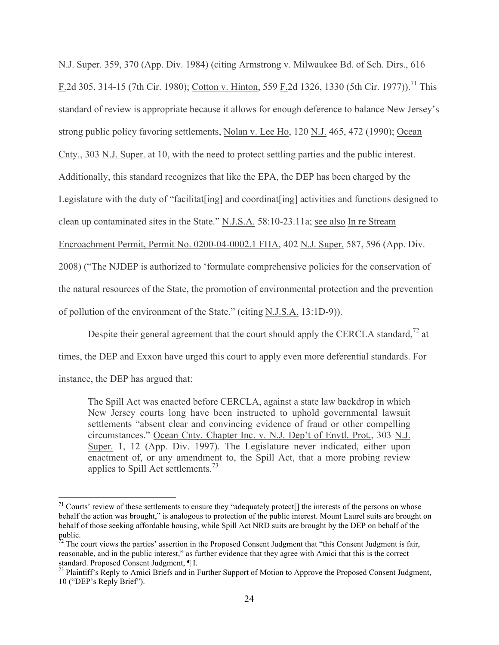N.J. Super. 359, 370 (App. Div. 1984) (citing Armstrong v. Milwaukee Bd. of Sch. Dirs., 616 F.2d 305, 314-15 (7th Cir. 1980); Cotton v. Hinton, 559 F.2d 1326, 1330 (5th Cir. 1977)).<sup>71</sup> This standard of review is appropriate because it allows for enough deference to balance New Jersey's strong public policy favoring settlements, Nolan v. Lee Ho, 120 N.J. 465, 472 (1990); Ocean Cnty., 303 N.J. Super. at 10, with the need to protect settling parties and the public interest. Additionally, this standard recognizes that like the EPA, the DEP has been charged by the Legislature with the duty of "facilitat[ing] and coordinat[ing] activities and functions designed to clean up contaminated sites in the State." N.J.S.A. 58:10-23.11a; see also In re Stream Encroachment Permit, Permit No. 0200-04-0002.1 FHA, 402 N.J. Super. 587, 596 (App. Div. 2008) ("The NJDEP is authorized to 'formulate comprehensive policies for the conservation of the natural resources of the State, the promotion of environmental protection and the prevention of pollution of the environment of the State." (citing N.J.S.A. 13:1D-9)).

Despite their general agreement that the court should apply the CERCLA standard,<sup> $72$ </sup> at times, the DEP and Exxon have urged this court to apply even more deferential standards. For instance, the DEP has argued that:

The Spill Act was enacted before CERCLA, against a state law backdrop in which New Jersey courts long have been instructed to uphold governmental lawsuit settlements "absent clear and convincing evidence of fraud or other compelling circumstances." Ocean Cnty. Chapter Inc. v. N.J. Dep't of Envtl. Prot., 303 N.J. Super. 1, 12 (App. Div. 1997). The Legislature never indicated, either upon enactment of, or any amendment to, the Spill Act, that a more probing review applies to Spill Act settlements.<sup>73</sup>

 $71$  Courts' review of these settlements to ensure they "adequately protect<sup>[]</sup> the interests of the persons on whose behalf the action was brought," is analogous to protection of the public interest. Mount Laurel suits are brought on behalf of those seeking affordable housing, while Spill Act NRD suits are brought by the DEP on behalf of the public.

 $72$  The court views the parties' assertion in the Proposed Consent Judgment that "this Consent Judgment is fair, reasonable, and in the public interest," as further evidence that they agree with Amici that this is the correct standard. Proposed Consent Judgment, ¶ I.

 $^{73}$  Plaintiff's Reply to Amici Briefs and in Further Support of Motion to Approve the Proposed Consent Judgment, 10 ("DEP's Reply Brief").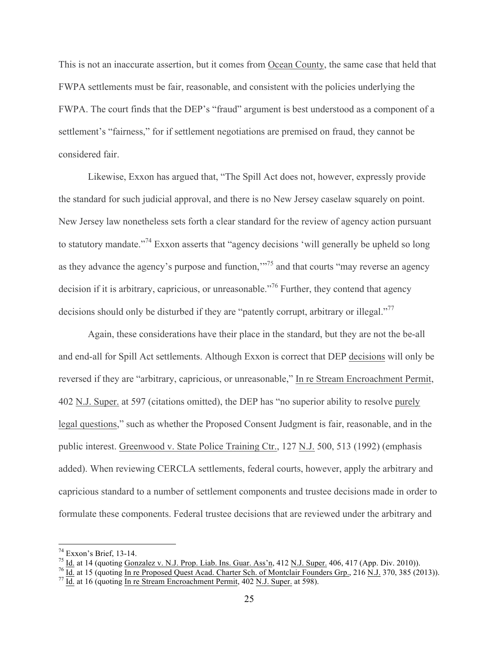This is not an inaccurate assertion, but it comes from Ocean County, the same case that held that FWPA settlements must be fair, reasonable, and consistent with the policies underlying the FWPA. The court finds that the DEP's "fraud" argument is best understood as a component of a settlement's "fairness," for if settlement negotiations are premised on fraud, they cannot be considered fair.

Likewise, Exxon has argued that, "The Spill Act does not, however, expressly provide the standard for such judicial approval, and there is no New Jersey caselaw squarely on point. New Jersey law nonetheless sets forth a clear standard for the review of agency action pursuant to statutory mandate."<sup>74</sup> Exxon asserts that "agency decisions 'will generally be upheld so long as they advance the agency's purpose and function,"<sup>75</sup> and that courts "may reverse an agency" decision if it is arbitrary, capricious, or unreasonable.<sup>76</sup> Further, they contend that agency decisions should only be disturbed if they are "patently corrupt, arbitrary or illegal."<sup>77</sup>

Again, these considerations have their place in the standard, but they are not the be-all and end-all for Spill Act settlements. Although Exxon is correct that DEP decisions will only be reversed if they are "arbitrary, capricious, or unreasonable," In re Stream Encroachment Permit, 402 N.J. Super. at 597 (citations omitted), the DEP has "no superior ability to resolve purely legal questions," such as whether the Proposed Consent Judgment is fair, reasonable, and in the public interest. Greenwood v. State Police Training Ctr., 127 N.J. 500, 513 (1992) (emphasis added). When reviewing CERCLA settlements, federal courts, however, apply the arbitrary and capricious standard to a number of settlement components and trustee decisions made in order to formulate these components. Federal trustee decisions that are reviewed under the arbitrary and

<sup>&</sup>lt;sup>74</sup> Exxon's Brief, 13-14.<br>
<sup>75</sup> <u>Id.</u> at 14 (quoting Gonzalez v. N.J. Prop. Liab. Ins. Guar. Ass'n, 412 N.J. Super. 406, 417 (App. Div. 2010)).<br>
<sup>76</sup> <u>Id.</u> at 15 (quoting In re Proposed Quest Acad. Charter Sch. of Montcl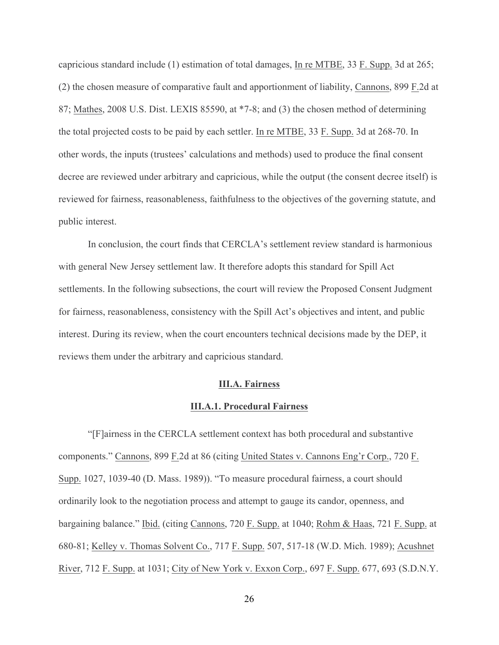capricious standard include (1) estimation of total damages, In re MTBE, 33 F. Supp. 3d at 265; (2) the chosen measure of comparative fault and apportionment of liability, Cannons, 899 F.2d at 87; Mathes, 2008 U.S. Dist. LEXIS 85590, at \*7-8; and (3) the chosen method of determining the total projected costs to be paid by each settler. In re MTBE, 33 F. Supp. 3d at 268-70. In other words, the inputs (trustees' calculations and methods) used to produce the final consent decree are reviewed under arbitrary and capricious, while the output (the consent decree itself) is reviewed for fairness, reasonableness, faithfulness to the objectives of the governing statute, and public interest.

In conclusion, the court finds that CERCLA's settlement review standard is harmonious with general New Jersey settlement law. It therefore adopts this standard for Spill Act settlements. In the following subsections, the court will review the Proposed Consent Judgment for fairness, reasonableness, consistency with the Spill Act's objectives and intent, and public interest. During its review, when the court encounters technical decisions made by the DEP, it reviews them under the arbitrary and capricious standard.

#### **III.A. Fairness**

#### **III.A.1. Procedural Fairness**

"[F]airness in the CERCLA settlement context has both procedural and substantive components." Cannons, 899 F.2d at 86 (citing United States v. Cannons Eng'r Corp., 720 F. Supp. 1027, 1039-40 (D. Mass. 1989)). "To measure procedural fairness, a court should ordinarily look to the negotiation process and attempt to gauge its candor, openness, and bargaining balance." Ibid. (citing Cannons, 720 F. Supp. at 1040; Rohm & Haas, 721 F. Supp. at 680-81; Kelley v. Thomas Solvent Co., 717 F. Supp. 507, 517-18 (W.D. Mich. 1989); Acushnet River, 712 F. Supp. at 1031; City of New York v. Exxon Corp., 697 F. Supp. 677, 693 (S.D.N.Y.

26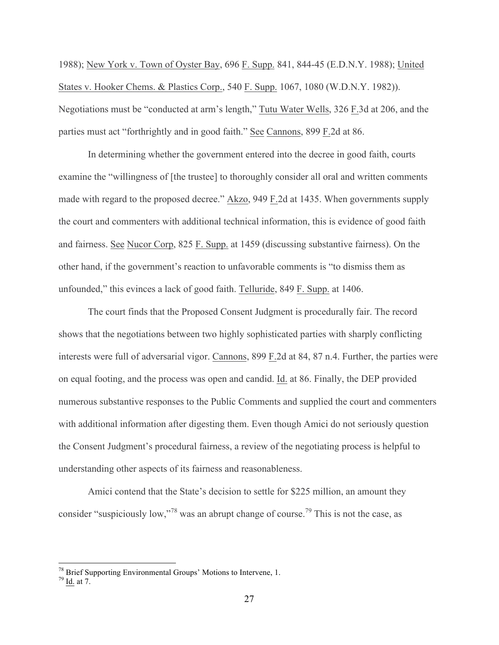1988); New York v. Town of Oyster Bay, 696 F. Supp. 841, 844-45 (E.D.N.Y. 1988); United States v. Hooker Chems. & Plastics Corp., 540 F. Supp. 1067, 1080 (W.D.N.Y. 1982)). Negotiations must be "conducted at arm's length," Tutu Water Wells, 326 F.3d at 206, and the parties must act "forthrightly and in good faith." See Cannons, 899 F.2d at 86.

In determining whether the government entered into the decree in good faith, courts examine the "willingness of [the trustee] to thoroughly consider all oral and written comments made with regard to the proposed decree." Akzo, 949 F.2d at 1435. When governments supply the court and commenters with additional technical information, this is evidence of good faith and fairness. See Nucor Corp, 825 F. Supp. at 1459 (discussing substantive fairness). On the other hand, if the government's reaction to unfavorable comments is "to dismiss them as unfounded," this evinces a lack of good faith. Telluride, 849 F. Supp. at 1406.

The court finds that the Proposed Consent Judgment is procedurally fair. The record shows that the negotiations between two highly sophisticated parties with sharply conflicting interests were full of adversarial vigor. Cannons, 899 F.2d at 84, 87 n.4. Further, the parties were on equal footing, and the process was open and candid. Id. at 86. Finally, the DEP provided numerous substantive responses to the Public Comments and supplied the court and commenters with additional information after digesting them. Even though Amici do not seriously question the Consent Judgment's procedural fairness, a review of the negotiating process is helpful to understanding other aspects of its fairness and reasonableness.

Amici contend that the State's decision to settle for \$225 million, an amount they consider "suspiciously low,"<sup>78</sup> was an abrupt change of course.<sup>79</sup> This is not the case, as

<sup>&</sup>lt;sup>78</sup> Brief Supporting Environmental Groups' Motions to Intervene, 1.<br><sup>79</sup> Id. at 7.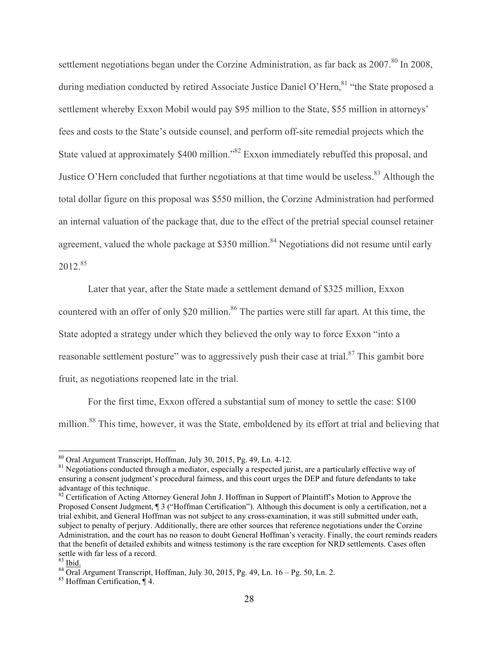settlement negotiations began under the Corzine Administration, as far back as 2007.<sup>80</sup> In 2008, during mediation conducted by retired Associate Justice Daniel O'Hern, <sup>81</sup> "the State proposed a settlement whereby Exxon Mobil would pay \$95 million to the State, \$55 million in attorneys' fees and costs to the State's outside counsel, and perform off-site remedial projects which the State valued at approximately \$400 million.<sup>82</sup> Exxon immediately rebuffed this proposal, and Justice O'Hern concluded that further negotiations at that time would be useless.<sup>83</sup> Although the total dollar figure on this proposal was \$550 million, the Corzine Administration had performed an internal valuation of the package that, due to the effect of the pretrial special counsel retainer agreement, valued the whole package at \$350 million.<sup>84</sup> Negotiations did not resume until early  $2012^{85}$ 

Later that year, after the State made a settlement demand of \$325 million, Exxon countered with an offer of only \$20 million.<sup>86</sup> The parties were still far apart. At this time, the State adopted a strategy under which they believed the only way to force Exxon "into a reasonable settlement posture" was to aggressively push their case at trial.<sup>87</sup> This gambit bore fruit, as negotiations reopened late in the trial.

For the first time, Exxon offered a substantial sum of money to settle the case: \$100 million.<sup>88</sup> This time, however, it was the State, emboldened by its effort at trial and believing that

<sup>&</sup>lt;sup>80</sup> Oral Argument Transcript, Hoffman, July 30, 2015, Pg. 49, Ln. 4-12.<br><sup>81</sup> Negotiations conducted through a mediator, especially a respected jurist, are a particularly effective way of ensuring a consent judgment's procedural fairness, and this court urges the DEP and future defendants to take advantage of this technique.

<sup>&</sup>lt;sup>82</sup> Certification of Acting Attorney General John J. Hoffman in Support of Plaintiff's Motion to Approve the Proposed Consent Judgment, ¶ 3 ("Hoffman Certification"). Although this document is only a certification, not a trial exhibit, and General Hoffman was not subject to any cross-examination, it was still submitted under oath, subject to penalty of perjury. Additionally, there are other sources that reference negotiations under the Corzine Administration, and the court has no reason to doubt General Hoffman's veracity. Finally, the court reminds readers that the benefit of detailed exhibits and witness testimony is the rare exception for NRD settlements. Cases often settle with far less of a record.<br><sup>83</sup> <u>Ibid.</u><br><sup>84</sup> Oral Argument Transcript, Hoffman, July 30, 2015, Pg. 49, Ln. 16 – Pg. 50, Ln. 2.<br><sup>85</sup> Hoffman Certification, ¶ 4.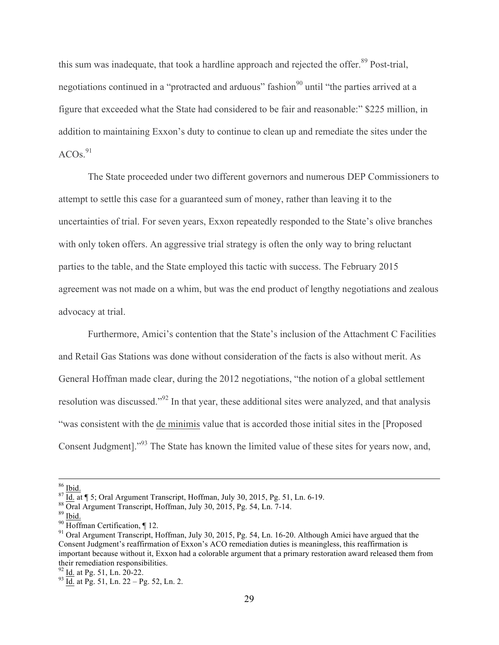this sum was inadequate, that took a hardline approach and rejected the offer.<sup>89</sup> Post-trial, negotiations continued in a "protracted and arduous" fashion<sup>90</sup> until "the parties arrived at a figure that exceeded what the State had considered to be fair and reasonable:" \$225 million, in addition to maintaining Exxon's duty to continue to clean up and remediate the sites under the  $ACOs.<sup>91</sup>$ 

The State proceeded under two different governors and numerous DEP Commissioners to attempt to settle this case for a guaranteed sum of money, rather than leaving it to the uncertainties of trial. For seven years, Exxon repeatedly responded to the State's olive branches with only token offers. An aggressive trial strategy is often the only way to bring reluctant parties to the table, and the State employed this tactic with success. The February 2015 agreement was not made on a whim, but was the end product of lengthy negotiations and zealous advocacy at trial.

Furthermore, Amici's contention that the State's inclusion of the Attachment C Facilities and Retail Gas Stations was done without consideration of the facts is also without merit. As General Hoffman made clear, during the 2012 negotiations, "the notion of a global settlement resolution was discussed."<sup>92</sup> In that year, these additional sites were analyzed, and that analysis "was consistent with the de minimis value that is accorded those initial sites in the [Proposed Consent Judgment]."93 The State has known the limited value of these sites for years now, and,

<sup>&</sup>lt;sup>86</sup> Ibid.<br><sup>87</sup> Id. at ¶ 5; Oral Argument Transcript, Hoffman, July 30, 2015, Pg. 51, Ln. 6-19.<br><sup>88</sup> Oral Argument Transcript, Hoffman, July 30, 2015, Pg. 54, Ln. 7-14.<br><sup>89</sup> Ibid.<br><sup>90</sup> Hoffman Certification, ¶ 12.<br><sup>91</sup> Or Consent Judgment's reaffirmation of Exxon's ACO remediation duties is meaningless, this reaffirmation is important because without it, Exxon had a colorable argument that a primary restoration award released them from their remediation responsibilities.<br> $\frac{92 \text{ Id.}}{24 \text{ Id.}}$  at Pg. 51, Ln. 20-22.

 $^{93}$  Id. at Pg. 51, Ln. 22 – Pg. 52, Ln. 2.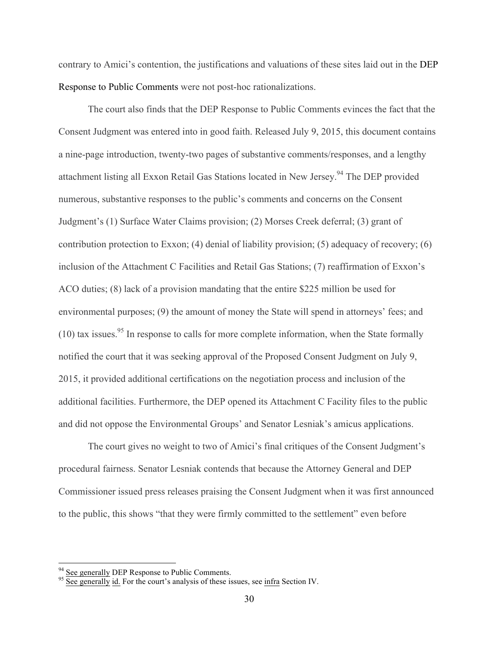contrary to Amici's contention, the justifications and valuations of these sites laid out in the DEP Response to Public Comments were not post-hoc rationalizations.

The court also finds that the DEP Response to Public Comments evinces the fact that the Consent Judgment was entered into in good faith. Released July 9, 2015, this document contains a nine-page introduction, twenty-two pages of substantive comments/responses, and a lengthy attachment listing all Exxon Retail Gas Stations located in New Jersey.<sup>94</sup> The DEP provided numerous, substantive responses to the public's comments and concerns on the Consent Judgment's (1) Surface Water Claims provision; (2) Morses Creek deferral; (3) grant of contribution protection to Exxon; (4) denial of liability provision; (5) adequacy of recovery; (6) inclusion of the Attachment C Facilities and Retail Gas Stations; (7) reaffirmation of Exxon's ACO duties; (8) lack of a provision mandating that the entire \$225 million be used for environmental purposes; (9) the amount of money the State will spend in attorneys' fees; and  $(10)$  tax issues.<sup>95</sup> In response to calls for more complete information, when the State formally notified the court that it was seeking approval of the Proposed Consent Judgment on July 9, 2015, it provided additional certifications on the negotiation process and inclusion of the additional facilities. Furthermore, the DEP opened its Attachment C Facility files to the public and did not oppose the Environmental Groups' and Senator Lesniak's amicus applications.

The court gives no weight to two of Amici's final critiques of the Consent Judgment's procedural fairness. Senator Lesniak contends that because the Attorney General and DEP Commissioner issued press releases praising the Consent Judgment when it was first announced to the public, this shows "that they were firmly committed to the settlement" even before

<sup>&</sup>lt;sup>94</sup> See generally DEP Response to Public Comments.<br><sup>95</sup> See generally id. For the court's analysis of these issues, see <u>infra</u> Section IV.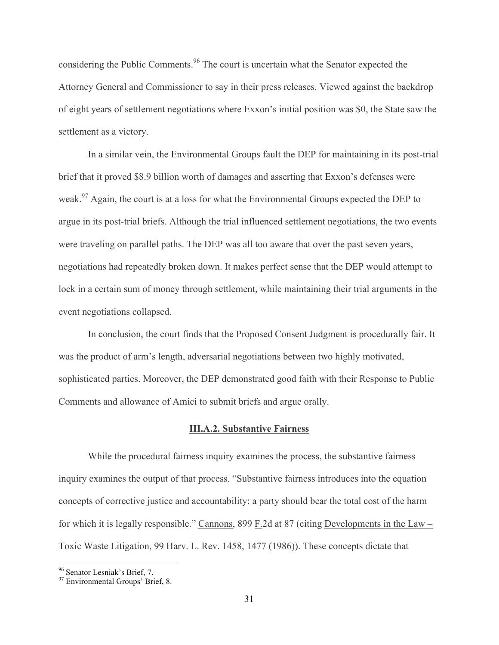considering the Public Comments.<sup>96</sup> The court is uncertain what the Senator expected the Attorney General and Commissioner to say in their press releases. Viewed against the backdrop of eight years of settlement negotiations where Exxon's initial position was \$0, the State saw the settlement as a victory.

In a similar vein, the Environmental Groups fault the DEP for maintaining in its post-trial brief that it proved \$8.9 billion worth of damages and asserting that Exxon's defenses were weak.<sup>97</sup> Again, the court is at a loss for what the Environmental Groups expected the DEP to argue in its post-trial briefs. Although the trial influenced settlement negotiations, the two events were traveling on parallel paths. The DEP was all too aware that over the past seven years, negotiations had repeatedly broken down. It makes perfect sense that the DEP would attempt to lock in a certain sum of money through settlement, while maintaining their trial arguments in the event negotiations collapsed.

In conclusion, the court finds that the Proposed Consent Judgment is procedurally fair. It was the product of arm's length, adversarial negotiations between two highly motivated, sophisticated parties. Moreover, the DEP demonstrated good faith with their Response to Public Comments and allowance of Amici to submit briefs and argue orally.

### **III.A.2. Substantive Fairness**

While the procedural fairness inquiry examines the process, the substantive fairness inquiry examines the output of that process. "Substantive fairness introduces into the equation concepts of corrective justice and accountability: a party should bear the total cost of the harm for which it is legally responsible." Cannons, 899 F.2d at 87 (citing Developments in the Law – Toxic Waste Litigation, 99 Harv. L. Rev. 1458, 1477 (1986)). These concepts dictate that

<sup>&</sup>lt;sup>96</sup> Senator Lesniak's Brief, 7.<br><sup>97</sup> Environmental Groups' Brief, 8.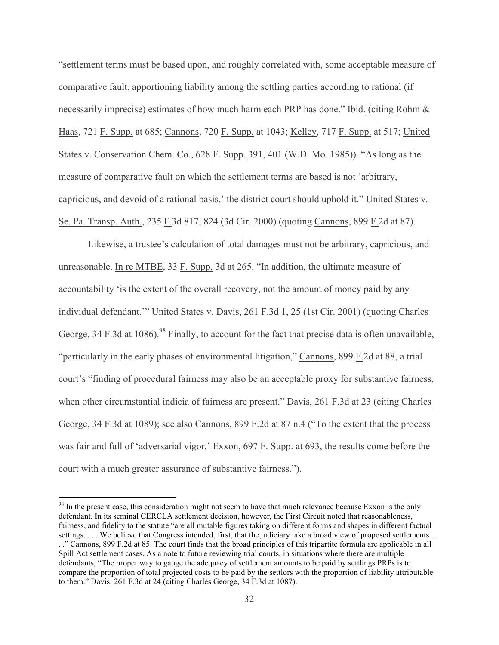"settlement terms must be based upon, and roughly correlated with, some acceptable measure of comparative fault, apportioning liability among the settling parties according to rational (if necessarily imprecise) estimates of how much harm each PRP has done." Ibid. (citing Rohm & Haas, 721 F. Supp. at 685; Cannons, 720 F. Supp. at 1043; Kelley, 717 F. Supp. at 517; United States v. Conservation Chem. Co., 628 F. Supp. 391, 401 (W.D. Mo. 1985)). "As long as the measure of comparative fault on which the settlement terms are based is not 'arbitrary, capricious, and devoid of a rational basis,' the district court should uphold it." United States v. Se. Pa. Transp. Auth., 235 F.3d 817, 824 (3d Cir. 2000) (quoting Cannons, 899 F.2d at 87).

Likewise, a trustee's calculation of total damages must not be arbitrary, capricious, and unreasonable. In re MTBE, 33 F. Supp. 3d at 265. "In addition, the ultimate measure of accountability 'is the extent of the overall recovery, not the amount of money paid by any individual defendant.'" United States v. Davis, 261 F.3d 1, 25 (1st Cir. 2001) (quoting Charles George, 34 F.3d at 1086).<sup>98</sup> Finally, to account for the fact that precise data is often unavailable, "particularly in the early phases of environmental litigation," Cannons, 899 F.2d at 88, a trial court's "finding of procedural fairness may also be an acceptable proxy for substantive fairness, when other circumstantial indicia of fairness are present." Davis, 261 F.3d at 23 (citing Charles George, 34 F.3d at 1089); see also Cannons, 899 F.2d at 87 n.4 ("To the extent that the process was fair and full of 'adversarial vigor,' Exxon, 697 F. Supp. at 693, the results come before the court with a much greater assurance of substantive fairness.").

<sup>&</sup>lt;sup>98</sup> In the present case, this consideration might not seem to have that much relevance because Exxon is the only defendant. In its seminal CERCLA settlement decision, however, the First Circuit noted that reasonableness, fairness, and fidelity to the statute "are all mutable figures taking on different forms and shapes in different factual settings. . . . We believe that Congress intended, first, that the judiciary take a broad view of proposed settlements . . . ." Cannons, 899 F.2d at 85. The court finds that the broad principles of this tripartite formula are applicable in all Spill Act settlement cases. As a note to future reviewing trial courts, in situations where there are multiple defendants, "The proper way to gauge the adequacy of settlement amounts to be paid by settlings PRPs is to compare the proportion of total projected costs to be paid by the settlors with the proportion of liability attributable to them." Davis, 261 F.3d at 24 (citing Charles George, 34 F.3d at 1087).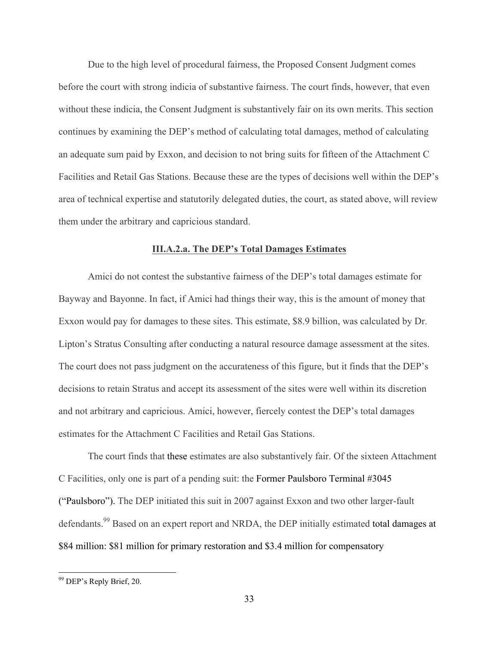Due to the high level of procedural fairness, the Proposed Consent Judgment comes before the court with strong indicia of substantive fairness. The court finds, however, that even without these indicia, the Consent Judgment is substantively fair on its own merits. This section continues by examining the DEP's method of calculating total damages, method of calculating an adequate sum paid by Exxon, and decision to not bring suits for fifteen of the Attachment C Facilities and Retail Gas Stations. Because these are the types of decisions well within the DEP's area of technical expertise and statutorily delegated duties, the court, as stated above, will review them under the arbitrary and capricious standard.

### **III.A.2.a. The DEP's Total Damages Estimates**

Amici do not contest the substantive fairness of the DEP's total damages estimate for Bayway and Bayonne. In fact, if Amici had things their way, this is the amount of money that Exxon would pay for damages to these sites. This estimate, \$8.9 billion, was calculated by Dr. Lipton's Stratus Consulting after conducting a natural resource damage assessment at the sites. The court does not pass judgment on the accurateness of this figure, but it finds that the DEP's decisions to retain Stratus and accept its assessment of the sites were well within its discretion and not arbitrary and capricious. Amici, however, fiercely contest the DEP's total damages estimates for the Attachment C Facilities and Retail Gas Stations.

The court finds that these estimates are also substantively fair. Of the sixteen Attachment C Facilities, only one is part of a pending suit: the Former Paulsboro Terminal #3045 ("Paulsboro"). The DEP initiated this suit in 2007 against Exxon and two other larger-fault defendants.<sup>99</sup> Based on an expert report and NRDA, the DEP initially estimated total damages at \$84 million: \$81 million for primary restoration and \$3.4 million for compensatory

 <sup>99</sup> DEP's Reply Brief, 20.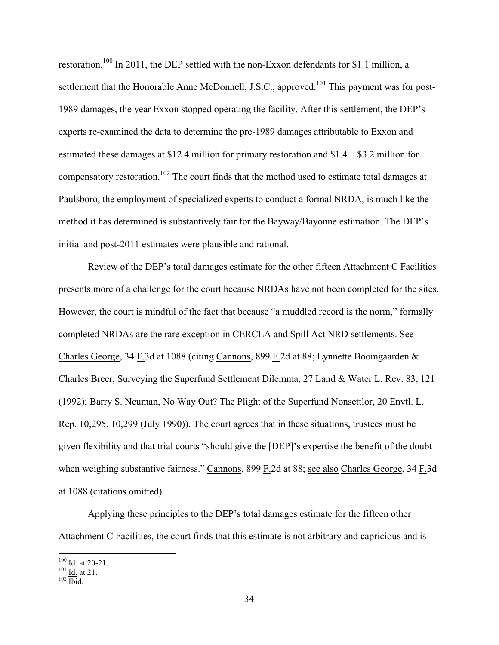restoration.<sup>100</sup> In 2011, the DEP settled with the non-Exxon defendants for \$1.1 million, a settlement that the Honorable Anne McDonnell, J.S.C., approved.<sup>101</sup> This payment was for post-1989 damages, the year Exxon stopped operating the facility. After this settlement, the DEP's experts re-examined the data to determine the pre-1989 damages attributable to Exxon and estimated these damages at \$12.4 million for primary restoration and \$1.4 – \$3.2 million for compensatory restoration.<sup>102</sup> The court finds that the method used to estimate total damages at Paulsboro, the employment of specialized experts to conduct a formal NRDA, is much like the method it has determined is substantively fair for the Bayway/Bayonne estimation. The DEP's initial and post-2011 estimates were plausible and rational.

Review of the DEP's total damages estimate for the other fifteen Attachment C Facilities presents more of a challenge for the court because NRDAs have not been completed for the sites. However, the court is mindful of the fact that because "a muddled record is the norm," formally completed NRDAs are the rare exception in CERCLA and Spill Act NRD settlements. See Charles George, 34 F.3d at 1088 (citing Cannons, 899 F.2d at 88; Lynnette Boomgaarden & Charles Breer, Surveying the Superfund Settlement Dilemma, 27 Land & Water L. Rev. 83, 121 (1992); Barry S. Neuman, No Way Out? The Plight of the Superfund Nonsettlor, 20 Envtl. L. Rep. 10,295, 10,299 (July 1990)). The court agrees that in these situations, trustees must be given flexibility and that trial courts "should give the [DEP]'s expertise the benefit of the doubt when weighing substantive fairness." Cannons, 899 F.2d at 88; see also Charles George, 34 F.3d at 1088 (citations omitted).

Applying these principles to the DEP's total damages estimate for the fifteen other Attachment C Facilities, the court finds that this estimate is not arbitrary and capricious and is

 $\frac{100}{101}$  <u>Id.</u> at 20-21.<br>  $\frac{101}{102}$  Id. 21.<br> **102** Ibid.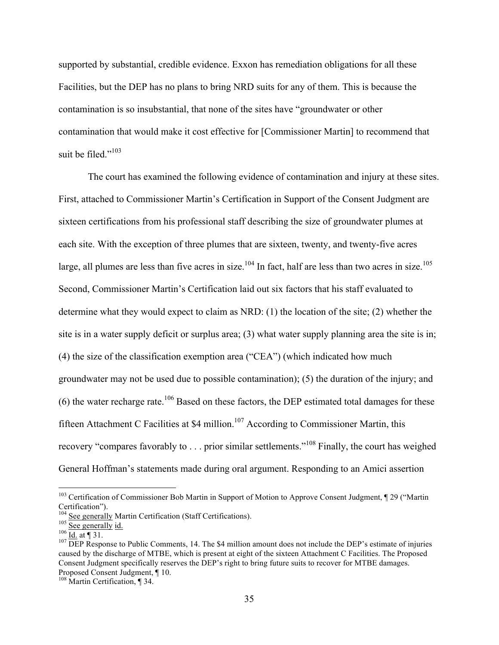supported by substantial, credible evidence. Exxon has remediation obligations for all these Facilities, but the DEP has no plans to bring NRD suits for any of them. This is because the contamination is so insubstantial, that none of the sites have "groundwater or other contamination that would make it cost effective for [Commissioner Martin] to recommend that suit be filed." $103$ 

The court has examined the following evidence of contamination and injury at these sites. First, attached to Commissioner Martin's Certification in Support of the Consent Judgment are sixteen certifications from his professional staff describing the size of groundwater plumes at each site. With the exception of three plumes that are sixteen, twenty, and twenty-five acres large, all plumes are less than five acres in size.<sup>104</sup> In fact, half are less than two acres in size.<sup>105</sup> Second, Commissioner Martin's Certification laid out six factors that his staff evaluated to determine what they would expect to claim as NRD: (1) the location of the site; (2) whether the site is in a water supply deficit or surplus area; (3) what water supply planning area the site is in; (4) the size of the classification exemption area ("CEA") (which indicated how much groundwater may not be used due to possible contamination); (5) the duration of the injury; and  $(6)$  the water recharge rate.<sup>106</sup> Based on these factors, the DEP estimated total damages for these fifteen Attachment C Facilities at \$4 million.<sup>107</sup> According to Commissioner Martin, this recovery "compares favorably to . . . prior similar settlements."<sup>108</sup> Finally, the court has weighed General Hoffman's statements made during oral argument. Responding to an Amici assertion

<sup>&</sup>lt;sup>103</sup> Certification of Commissioner Bob Martin in Support of Motion to Approve Consent Judgment, ¶ 29 ("Martin Certification").<br><sup>104</sup> See generally Martin Certification (Staff Certifications).

 $\frac{105}{26}$  See generally id.<br>  $\frac{106}{106}$  Id. at ¶ 31.<br>  $\frac{107}{107}$  DEP Response to Public Comments, 14. The \$4 million amount does not include the DEP's estimate of injuries caused by the discharge of MTBE, which is present at eight of the sixteen Attachment C Facilities. The Proposed Consent Judgment specifically reserves the DEP's right to bring future suits to recover for MTBE damages. Proposed Consent Judgment, ¶ 10. <sup>108</sup> Martin Certification, ¶ 34.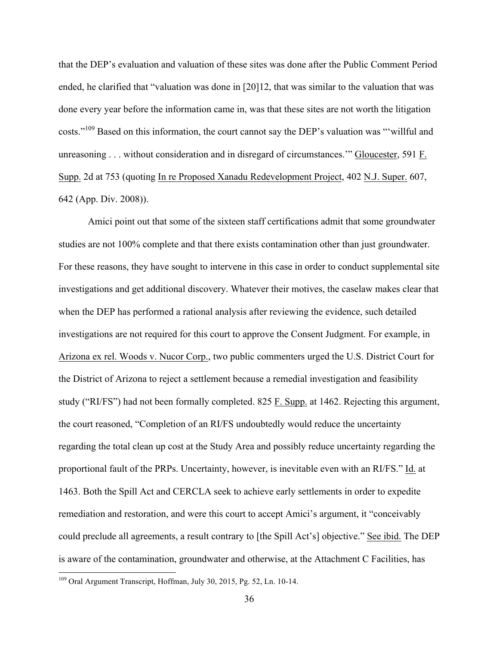that the DEP's evaluation and valuation of these sites was done after the Public Comment Period ended, he clarified that "valuation was done in [20]12, that was similar to the valuation that was done every year before the information came in, was that these sites are not worth the litigation costs."<sup>109</sup> Based on this information, the court cannot say the DEP's valuation was "'willful and unreasoning . . . without consideration and in disregard of circumstances.'" Gloucester, 591 F. Supp. 2d at 753 (quoting In re Proposed Xanadu Redevelopment Project, 402 N.J. Super. 607, 642 (App. Div. 2008)).

Amici point out that some of the sixteen staff certifications admit that some groundwater studies are not 100% complete and that there exists contamination other than just groundwater. For these reasons, they have sought to intervene in this case in order to conduct supplemental site investigations and get additional discovery. Whatever their motives, the caselaw makes clear that when the DEP has performed a rational analysis after reviewing the evidence, such detailed investigations are not required for this court to approve the Consent Judgment. For example, in Arizona ex rel. Woods v. Nucor Corp., two public commenters urged the U.S. District Court for the District of Arizona to reject a settlement because a remedial investigation and feasibility study ("RI/FS") had not been formally completed. 825 F. Supp. at 1462. Rejecting this argument, the court reasoned, "Completion of an RI/FS undoubtedly would reduce the uncertainty regarding the total clean up cost at the Study Area and possibly reduce uncertainty regarding the proportional fault of the PRPs. Uncertainty, however, is inevitable even with an RI/FS." Id. at 1463. Both the Spill Act and CERCLA seek to achieve early settlements in order to expedite remediation and restoration, and were this court to accept Amici's argument, it "conceivably could preclude all agreements, a result contrary to [the Spill Act's] objective." See ibid. The DEP is aware of the contamination, groundwater and otherwise, at the Attachment C Facilities, has

 <sup>109</sup> Oral Argument Transcript, Hoffman, July 30, 2015, Pg. 52, Ln. 10-14.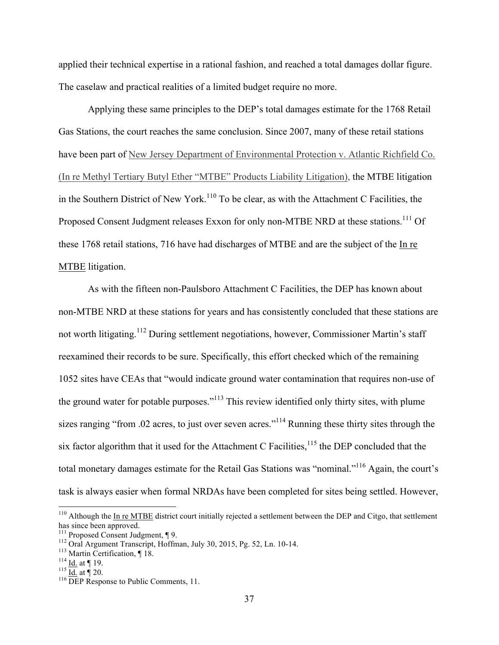applied their technical expertise in a rational fashion, and reached a total damages dollar figure. The caselaw and practical realities of a limited budget require no more.

Applying these same principles to the DEP's total damages estimate for the 1768 Retail Gas Stations, the court reaches the same conclusion. Since 2007, many of these retail stations have been part of New Jersey Department of Environmental Protection v. Atlantic Richfield Co. (In re Methyl Tertiary Butyl Ether "MTBE" Products Liability Litigation), the MTBE litigation in the Southern District of New York.<sup>110</sup> To be clear, as with the Attachment C Facilities, the Proposed Consent Judgment releases Exxon for only non-MTBE NRD at these stations.<sup>111</sup> Of these 1768 retail stations, 716 have had discharges of MTBE and are the subject of the In re MTBE litigation.

As with the fifteen non-Paulsboro Attachment C Facilities, the DEP has known about non-MTBE NRD at these stations for years and has consistently concluded that these stations are not worth litigating.<sup>112</sup> During settlement negotiations, however, Commissioner Martin's staff reexamined their records to be sure. Specifically, this effort checked which of the remaining 1052 sites have CEAs that "would indicate ground water contamination that requires non-use of the ground water for potable purposes."<sup>113</sup> This review identified only thirty sites, with plume sizes ranging "from .02 acres, to just over seven acres."<sup>114</sup> Running these thirty sites through the six factor algorithm that it used for the Attachment C Facilities, $115$  the DEP concluded that the total monetary damages estimate for the Retail Gas Stations was "nominal."116 Again, the court's task is always easier when formal NRDAs have been completed for sites being settled. However,

 $110$  Although the In re MTBE district court initially rejected a settlement between the DEP and Citgo, that settlement has since been approved.<br><sup>111</sup> Proposed Consent Judgment, ¶ 9.

<sup>&</sup>lt;sup>112</sup> Oral Argument Transcript, Hoffman, July 30, 2015, Pg. 52, Ln. 10-14.<br><sup>113</sup> Martin Certification, ¶ 18.<br><sup>114</sup> <u>Id.</u> at ¶ 19.<br><sup>116</sup> <u>Id.</u> at ¶ 20.<br><sup>116</sup> DEP Response to Public Comments, 11.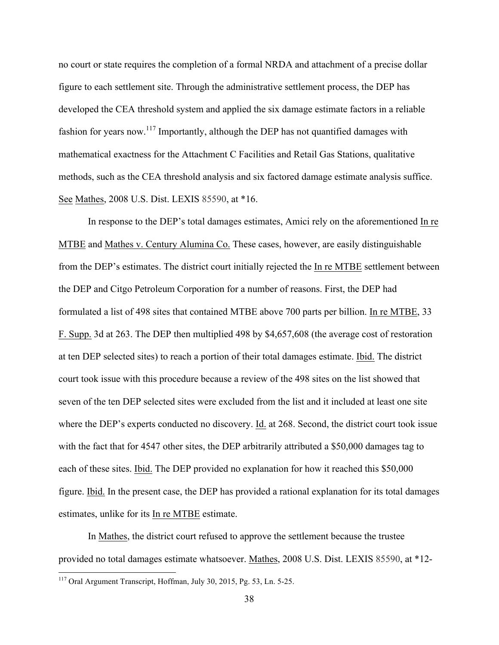no court or state requires the completion of a formal NRDA and attachment of a precise dollar figure to each settlement site. Through the administrative settlement process, the DEP has developed the CEA threshold system and applied the six damage estimate factors in a reliable fashion for years now.<sup>117</sup> Importantly, although the DEP has not quantified damages with mathematical exactness for the Attachment C Facilities and Retail Gas Stations, qualitative methods, such as the CEA threshold analysis and six factored damage estimate analysis suffice. See Mathes, 2008 U.S. Dist. LEXIS 85590, at \*16.

In response to the DEP's total damages estimates, Amici rely on the aforementioned In re MTBE and Mathes v. Century Alumina Co. These cases, however, are easily distinguishable from the DEP's estimates. The district court initially rejected the In re MTBE settlement between the DEP and Citgo Petroleum Corporation for a number of reasons. First, the DEP had formulated a list of 498 sites that contained MTBE above 700 parts per billion. In re MTBE, 33 F. Supp. 3d at 263. The DEP then multiplied 498 by \$4,657,608 (the average cost of restoration at ten DEP selected sites) to reach a portion of their total damages estimate. Ibid. The district court took issue with this procedure because a review of the 498 sites on the list showed that seven of the ten DEP selected sites were excluded from the list and it included at least one site where the DEP's experts conducted no discovery. Id. at 268. Second, the district court took issue with the fact that for 4547 other sites, the DEP arbitrarily attributed a \$50,000 damages tag to each of these sites. Ibid. The DEP provided no explanation for how it reached this \$50,000 figure. Ibid. In the present case, the DEP has provided a rational explanation for its total damages estimates, unlike for its In re MTBE estimate.

In Mathes, the district court refused to approve the settlement because the trustee provided no total damages estimate whatsoever. Mathes, 2008 U.S. Dist. LEXIS 85590, at \*12-

 <sup>117</sup> Oral Argument Transcript, Hoffman, July 30, 2015, Pg. 53, Ln. 5-25.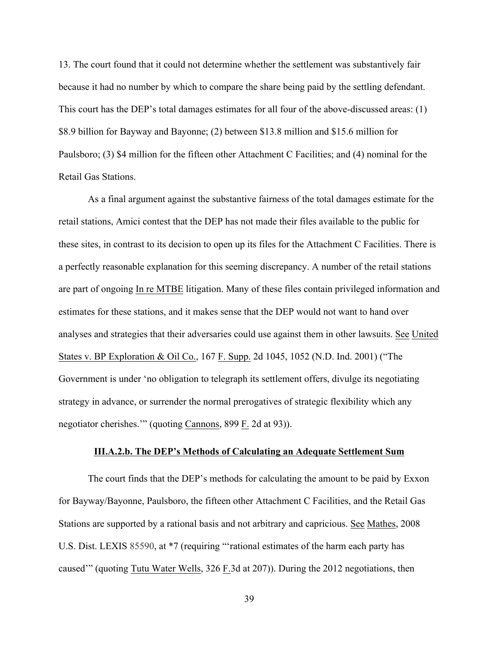13. The court found that it could not determine whether the settlement was substantively fair because it had no number by which to compare the share being paid by the settling defendant. This court has the DEP's total damages estimates for all four of the above-discussed areas: (1) \$8.9 billion for Bayway and Bayonne; (2) between \$13.8 million and \$15.6 million for Paulsboro; (3) \$4 million for the fifteen other Attachment C Facilities; and (4) nominal for the Retail Gas Stations.

As a final argument against the substantive fairness of the total damages estimate for the retail stations, Amici contest that the DEP has not made their files available to the public for these sites, in contrast to its decision to open up its files for the Attachment C Facilities. There is a perfectly reasonable explanation for this seeming discrepancy. A number of the retail stations are part of ongoing In re MTBE litigation. Many of these files contain privileged information and estimates for these stations, and it makes sense that the DEP would not want to hand over analyses and strategies that their adversaries could use against them in other lawsuits. See United States v. BP Exploration & Oil Co., 167 F. Supp. 2d 1045, 1052 (N.D. Ind. 2001) ("The Government is under 'no obligation to telegraph its settlement offers, divulge its negotiating strategy in advance, or surrender the normal prerogatives of strategic flexibility which any negotiator cherishes.'" (quoting Cannons, 899 F. 2d at 93)).

### **III.A.2.b. The DEP's Methods of Calculating an Adequate Settlement Sum**

The court finds that the DEP's methods for calculating the amount to be paid by Exxon for Bayway/Bayonne, Paulsboro, the fifteen other Attachment C Facilities, and the Retail Gas Stations are supported by a rational basis and not arbitrary and capricious. See Mathes, 2008 U.S. Dist. LEXIS 85590, at \*7 (requiring "'rational estimates of the harm each party has caused'" (quoting Tutu Water Wells, 326 F.3d at 207)). During the 2012 negotiations, then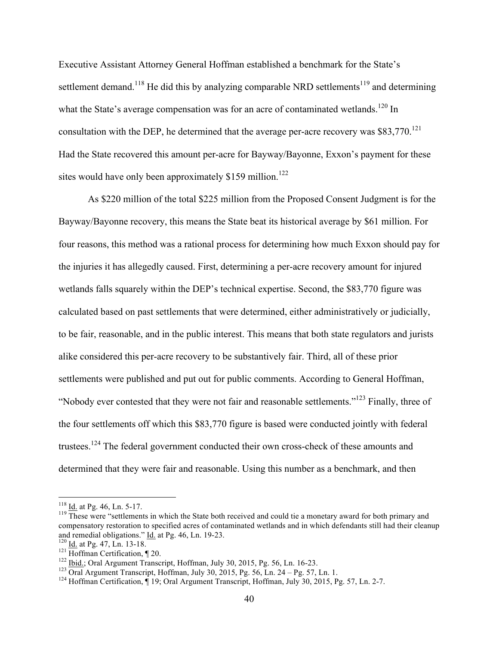Executive Assistant Attorney General Hoffman established a benchmark for the State's settlement demand.<sup>118</sup> He did this by analyzing comparable NRD settlements<sup>119</sup> and determining what the State's average compensation was for an acre of contaminated wetlands.<sup>120</sup> In consultation with the DEP, he determined that the average per-acre recovery was  $$83,770$ .<sup>121</sup> Had the State recovered this amount per-acre for Bayway/Bayonne, Exxon's payment for these sites would have only been approximately  $$159$  million.<sup>122</sup>

As \$220 million of the total \$225 million from the Proposed Consent Judgment is for the Bayway/Bayonne recovery, this means the State beat its historical average by \$61 million. For four reasons, this method was a rational process for determining how much Exxon should pay for the injuries it has allegedly caused. First, determining a per-acre recovery amount for injured wetlands falls squarely within the DEP's technical expertise. Second, the \$83,770 figure was calculated based on past settlements that were determined, either administratively or judicially, to be fair, reasonable, and in the public interest. This means that both state regulators and jurists alike considered this per-acre recovery to be substantively fair. Third, all of these prior settlements were published and put out for public comments. According to General Hoffman, "Nobody ever contested that they were not fair and reasonable settlements."123 Finally, three of the four settlements off which this \$83,770 figure is based were conducted jointly with federal trustees.<sup>124</sup> The federal government conducted their own cross-check of these amounts and determined that they were fair and reasonable. Using this number as a benchmark, and then

 $\frac{118}{119}$  Id. at Pg. 46, Ln. 5-17.<br><sup>119</sup> These were "settlements in which the State both received and could tie a monetary award for both primary and compensatory restoration to specified acres of contaminated wetlands and in which defendants still had their cleanup and remedial obligations." Id. at Pg. 46, Ln. 19-23.

<sup>&</sup>lt;sup>120</sup> Id. at Pg. 47, Ln. 13-18.<br><sup>121</sup> Hoffman Certification,  $\P$  20.<br><sup>122</sup> <u>Ibid.</u>; Oral Argument Transcript, Hoffman, July 30, 2015, Pg. 56, Ln. 16-23.<br><sup>123</sup> Oral Argument Transcript, Hoffman, July 30, 2015, Pg. 56, Ln.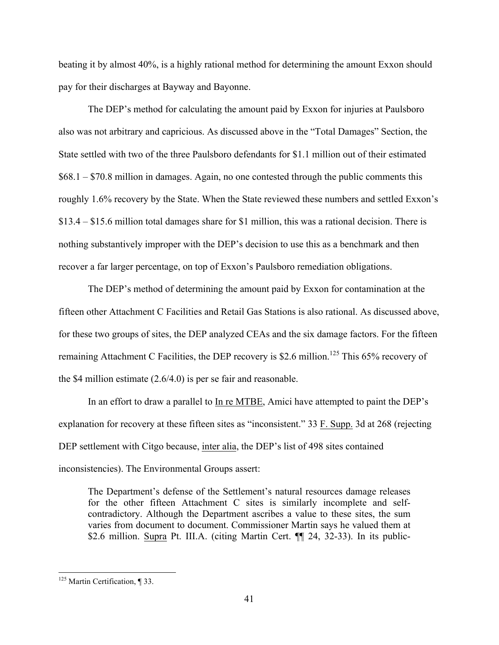beating it by almost 40%, is a highly rational method for determining the amount Exxon should pay for their discharges at Bayway and Bayonne.

The DEP's method for calculating the amount paid by Exxon for injuries at Paulsboro also was not arbitrary and capricious. As discussed above in the "Total Damages" Section, the State settled with two of the three Paulsboro defendants for \$1.1 million out of their estimated \$68.1 – \$70.8 million in damages. Again, no one contested through the public comments this roughly 1.6% recovery by the State. When the State reviewed these numbers and settled Exxon's \$13.4 – \$15.6 million total damages share for \$1 million, this was a rational decision. There is nothing substantively improper with the DEP's decision to use this as a benchmark and then recover a far larger percentage, on top of Exxon's Paulsboro remediation obligations.

The DEP's method of determining the amount paid by Exxon for contamination at the fifteen other Attachment C Facilities and Retail Gas Stations is also rational. As discussed above, for these two groups of sites, the DEP analyzed CEAs and the six damage factors. For the fifteen remaining Attachment C Facilities, the DEP recovery is \$2.6 million.<sup>125</sup> This 65% recovery of the \$4 million estimate (2.6/4.0) is per se fair and reasonable.

In an effort to draw a parallel to In re MTBE, Amici have attempted to paint the DEP's explanation for recovery at these fifteen sites as "inconsistent." 33 F. Supp. 3d at 268 (rejecting DEP settlement with Citgo because, inter alia, the DEP's list of 498 sites contained inconsistencies). The Environmental Groups assert:

The Department's defense of the Settlement's natural resources damage releases for the other fifteen Attachment C sites is similarly incomplete and selfcontradictory. Although the Department ascribes a value to these sites, the sum varies from document to document. Commissioner Martin says he valued them at \$2.6 million. Supra Pt. III.A. (citing Martin Cert. ¶ 24, 32-33). In its public-

<sup>&</sup>lt;sup>125</sup> Martin Certification, ¶ 33.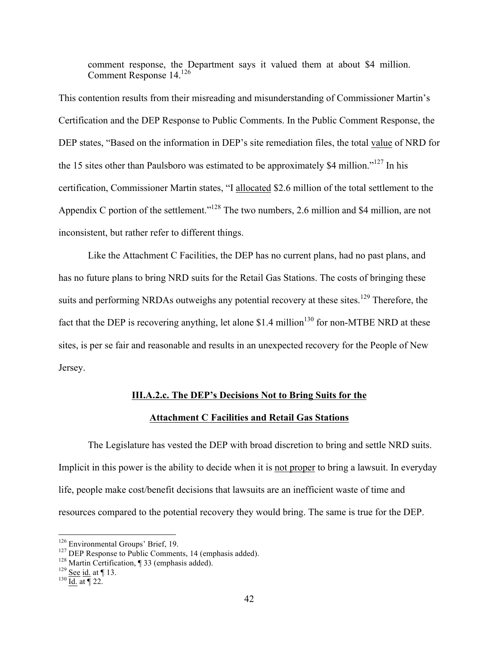comment response, the Department says it valued them at about \$4 million. Comment Response 14.126

This contention results from their misreading and misunderstanding of Commissioner Martin's Certification and the DEP Response to Public Comments. In the Public Comment Response, the DEP states, "Based on the information in DEP's site remediation files, the total value of NRD for the 15 sites other than Paulsboro was estimated to be approximately \$4 million.<sup> $127$ </sup> In his certification, Commissioner Martin states, "I allocated \$2.6 million of the total settlement to the Appendix C portion of the settlement.<sup>"128</sup> The two numbers, 2.6 million and \$4 million, are not inconsistent, but rather refer to different things.

Like the Attachment C Facilities, the DEP has no current plans, had no past plans, and has no future plans to bring NRD suits for the Retail Gas Stations. The costs of bringing these suits and performing NRDAs outweighs any potential recovery at these sites.<sup>129</sup> Therefore, the fact that the DEP is recovering anything, let alone \$1.4 million<sup>130</sup> for non-MTBE NRD at these sites, is per se fair and reasonable and results in an unexpected recovery for the People of New Jersey.

## **III.A.2.c. The DEP's Decisions Not to Bring Suits for the**

#### **Attachment C Facilities and Retail Gas Stations**

The Legislature has vested the DEP with broad discretion to bring and settle NRD suits. Implicit in this power is the ability to decide when it is not proper to bring a lawsuit. In everyday life, people make cost/benefit decisions that lawsuits are an inefficient waste of time and resources compared to the potential recovery they would bring. The same is true for the DEP.

<sup>&</sup>lt;sup>126</sup> Environmental Groups' Brief, 19.<br><sup>127</sup> DEP Response to Public Comments, 14 (emphasis added).<br><sup>128</sup> Martin Certification, ¶ 33 (emphasis added).<br><sup>129</sup> <u>See id.</u> at ¶ 13.<br><sup>130</sup> Id. at ¶ 22.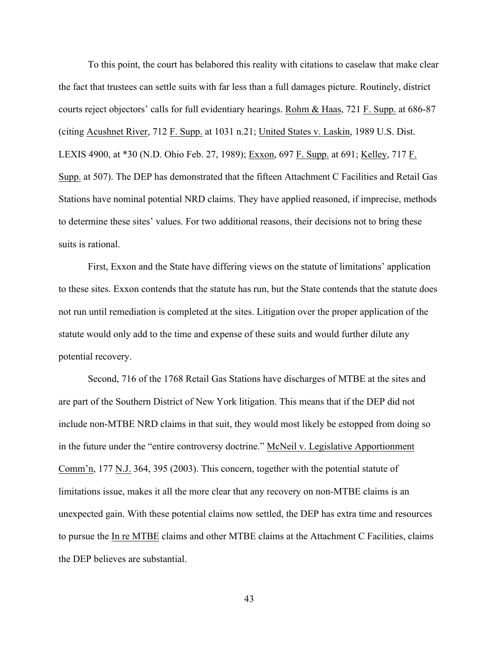To this point, the court has belabored this reality with citations to caselaw that make clear the fact that trustees can settle suits with far less than a full damages picture. Routinely, district courts reject objectors' calls for full evidentiary hearings. Rohm & Haas, 721 F. Supp. at 686-87 (citing Acushnet River, 712 F. Supp. at 1031 n.21; United States v. Laskin, 1989 U.S. Dist. LEXIS 4900, at \*30 (N.D. Ohio Feb. 27, 1989); Exxon, 697 F. Supp. at 691; Kelley, 717 F. Supp. at 507). The DEP has demonstrated that the fifteen Attachment C Facilities and Retail Gas Stations have nominal potential NRD claims. They have applied reasoned, if imprecise, methods to determine these sites' values. For two additional reasons, their decisions not to bring these suits is rational.

First, Exxon and the State have differing views on the statute of limitations' application to these sites. Exxon contends that the statute has run, but the State contends that the statute does not run until remediation is completed at the sites. Litigation over the proper application of the statute would only add to the time and expense of these suits and would further dilute any potential recovery.

Second, 716 of the 1768 Retail Gas Stations have discharges of MTBE at the sites and are part of the Southern District of New York litigation. This means that if the DEP did not include non-MTBE NRD claims in that suit, they would most likely be estopped from doing so in the future under the "entire controversy doctrine." McNeil v. Legislative Apportionment Comm'n, 177 N.J. 364, 395 (2003). This concern, together with the potential statute of limitations issue, makes it all the more clear that any recovery on non-MTBE claims is an unexpected gain. With these potential claims now settled, the DEP has extra time and resources to pursue the In re MTBE claims and other MTBE claims at the Attachment C Facilities, claims the DEP believes are substantial.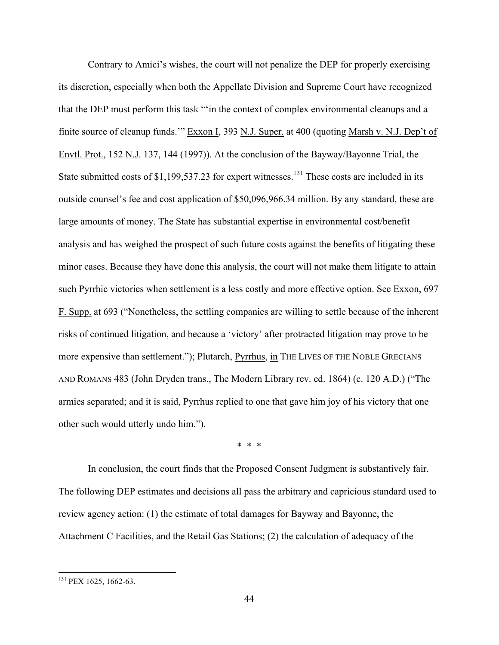Contrary to Amici's wishes, the court will not penalize the DEP for properly exercising its discretion, especially when both the Appellate Division and Supreme Court have recognized that the DEP must perform this task "'in the context of complex environmental cleanups and a finite source of cleanup funds.'" Exxon I, 393 N.J. Super. at 400 (quoting Marsh v. N.J. Dep't of Envtl. Prot., 152 N.J. 137, 144 (1997)). At the conclusion of the Bayway/Bayonne Trial, the State submitted costs of  $$1,199,537.23$  for expert witnesses.<sup>131</sup> These costs are included in its outside counsel's fee and cost application of \$50,096,966.34 million. By any standard, these are large amounts of money. The State has substantial expertise in environmental cost/benefit analysis and has weighed the prospect of such future costs against the benefits of litigating these minor cases. Because they have done this analysis, the court will not make them litigate to attain such Pyrrhic victories when settlement is a less costly and more effective option. See Exxon, 697 F. Supp. at 693 ("Nonetheless, the settling companies are willing to settle because of the inherent risks of continued litigation, and because a 'victory' after protracted litigation may prove to be more expensive than settlement."); Plutarch, Pyrrhus, in THE LIVES OF THE NOBLE GRECIANS AND ROMANS 483 (John Dryden trans., The Modern Library rev. ed. 1864) (c. 120 A.D.) ("The armies separated; and it is said, Pyrrhus replied to one that gave him joy of his victory that one other such would utterly undo him.").

\* \* \*

In conclusion, the court finds that the Proposed Consent Judgment is substantively fair. The following DEP estimates and decisions all pass the arbitrary and capricious standard used to review agency action: (1) the estimate of total damages for Bayway and Bayonne, the Attachment C Facilities, and the Retail Gas Stations; (2) the calculation of adequacy of the

<sup>&</sup>lt;sup>131</sup> PEX 1625, 1662-63.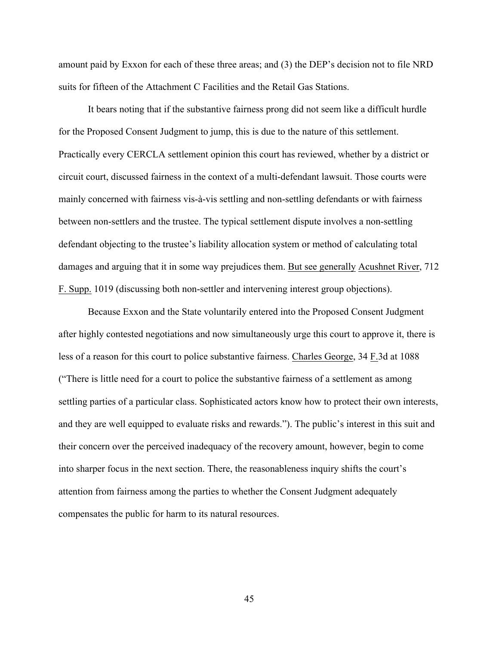amount paid by Exxon for each of these three areas; and (3) the DEP's decision not to file NRD suits for fifteen of the Attachment C Facilities and the Retail Gas Stations.

It bears noting that if the substantive fairness prong did not seem like a difficult hurdle for the Proposed Consent Judgment to jump, this is due to the nature of this settlement. Practically every CERCLA settlement opinion this court has reviewed, whether by a district or circuit court, discussed fairness in the context of a multi-defendant lawsuit. Those courts were mainly concerned with fairness vis-à-vis settling and non-settling defendants or with fairness between non-settlers and the trustee. The typical settlement dispute involves a non-settling defendant objecting to the trustee's liability allocation system or method of calculating total damages and arguing that it in some way prejudices them. But see generally Acushnet River, 712 F. Supp. 1019 (discussing both non-settler and intervening interest group objections).

Because Exxon and the State voluntarily entered into the Proposed Consent Judgment after highly contested negotiations and now simultaneously urge this court to approve it, there is less of a reason for this court to police substantive fairness. Charles George, 34 F.3d at 1088 ("There is little need for a court to police the substantive fairness of a settlement as among settling parties of a particular class. Sophisticated actors know how to protect their own interests, and they are well equipped to evaluate risks and rewards."). The public's interest in this suit and their concern over the perceived inadequacy of the recovery amount, however, begin to come into sharper focus in the next section. There, the reasonableness inquiry shifts the court's attention from fairness among the parties to whether the Consent Judgment adequately compensates the public for harm to its natural resources.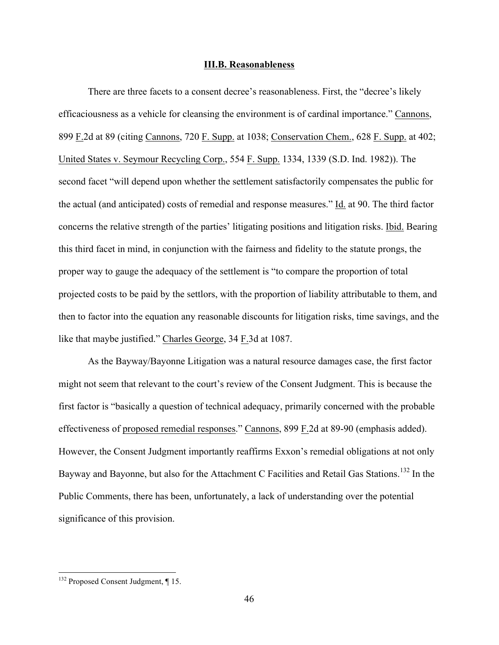## **III.B. Reasonableness**

There are three facets to a consent decree's reasonableness. First, the "decree's likely efficaciousness as a vehicle for cleansing the environment is of cardinal importance." Cannons, 899 F.2d at 89 (citing Cannons, 720 F. Supp. at 1038; Conservation Chem., 628 F. Supp. at 402; United States v. Seymour Recycling Corp., 554 F. Supp. 1334, 1339 (S.D. Ind. 1982)). The second facet "will depend upon whether the settlement satisfactorily compensates the public for the actual (and anticipated) costs of remedial and response measures." Id. at 90. The third factor concerns the relative strength of the parties' litigating positions and litigation risks. Ibid. Bearing this third facet in mind, in conjunction with the fairness and fidelity to the statute prongs, the proper way to gauge the adequacy of the settlement is "to compare the proportion of total projected costs to be paid by the settlors, with the proportion of liability attributable to them, and then to factor into the equation any reasonable discounts for litigation risks, time savings, and the like that maybe justified." Charles George, 34 F.3d at 1087.

As the Bayway/Bayonne Litigation was a natural resource damages case, the first factor might not seem that relevant to the court's review of the Consent Judgment. This is because the first factor is "basically a question of technical adequacy, primarily concerned with the probable effectiveness of proposed remedial responses." Cannons, 899 F.2d at 89-90 (emphasis added). However, the Consent Judgment importantly reaffirms Exxon's remedial obligations at not only Bayway and Bayonne, but also for the Attachment C Facilities and Retail Gas Stations.<sup>132</sup> In the Public Comments, there has been, unfortunately, a lack of understanding over the potential significance of this provision.

<sup>&</sup>lt;sup>132</sup> Proposed Consent Judgment, ¶ 15.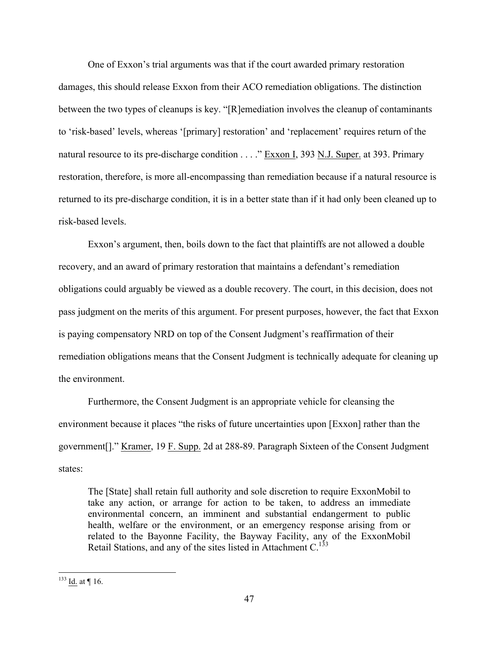One of Exxon's trial arguments was that if the court awarded primary restoration damages, this should release Exxon from their ACO remediation obligations. The distinction between the two types of cleanups is key. "[R]emediation involves the cleanup of contaminants to 'risk-based' levels, whereas '[primary] restoration' and 'replacement' requires return of the natural resource to its pre-discharge condition . . . . " Exxon I, 393 N.J. Super. at 393. Primary restoration, therefore, is more all-encompassing than remediation because if a natural resource is returned to its pre-discharge condition, it is in a better state than if it had only been cleaned up to risk-based levels.

Exxon's argument, then, boils down to the fact that plaintiffs are not allowed a double recovery, and an award of primary restoration that maintains a defendant's remediation obligations could arguably be viewed as a double recovery. The court, in this decision, does not pass judgment on the merits of this argument. For present purposes, however, the fact that Exxon is paying compensatory NRD on top of the Consent Judgment's reaffirmation of their remediation obligations means that the Consent Judgment is technically adequate for cleaning up the environment.

Furthermore, the Consent Judgment is an appropriate vehicle for cleansing the environment because it places "the risks of future uncertainties upon [Exxon] rather than the government[]." Kramer, 19 F. Supp. 2d at 288-89. Paragraph Sixteen of the Consent Judgment states:

The [State] shall retain full authority and sole discretion to require ExxonMobil to take any action, or arrange for action to be taken, to address an immediate environmental concern, an imminent and substantial endangerment to public health, welfare or the environment, or an emergency response arising from or related to the Bayonne Facility, the Bayway Facility, any of the ExxonMobil Retail Stations, and any of the sites listed in Attachment C.<sup>133</sup>

 $133$  Id. at ¶ 16.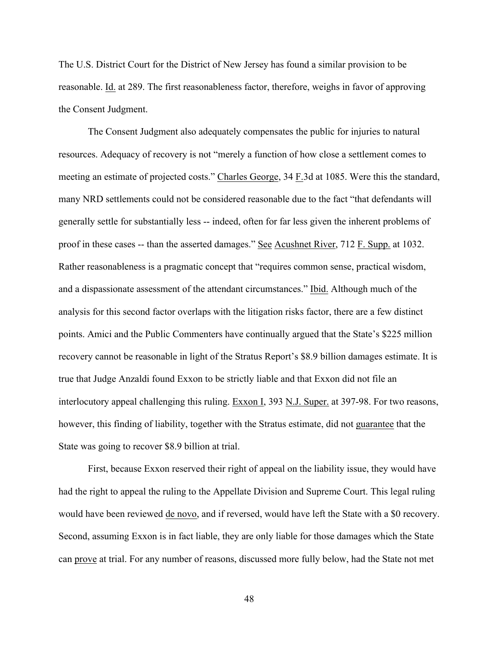The U.S. District Court for the District of New Jersey has found a similar provision to be reasonable. Id. at 289. The first reasonableness factor, therefore, weighs in favor of approving the Consent Judgment.

The Consent Judgment also adequately compensates the public for injuries to natural resources. Adequacy of recovery is not "merely a function of how close a settlement comes to meeting an estimate of projected costs." Charles George, 34 F.3d at 1085. Were this the standard, many NRD settlements could not be considered reasonable due to the fact "that defendants will generally settle for substantially less -- indeed, often for far less given the inherent problems of proof in these cases -- than the asserted damages." See Acushnet River, 712 F. Supp. at 1032. Rather reasonableness is a pragmatic concept that "requires common sense, practical wisdom, and a dispassionate assessment of the attendant circumstances." Ibid. Although much of the analysis for this second factor overlaps with the litigation risks factor, there are a few distinct points. Amici and the Public Commenters have continually argued that the State's \$225 million recovery cannot be reasonable in light of the Stratus Report's \$8.9 billion damages estimate. It is true that Judge Anzaldi found Exxon to be strictly liable and that Exxon did not file an interlocutory appeal challenging this ruling. Exxon I, 393 N.J. Super. at 397-98. For two reasons, however, this finding of liability, together with the Stratus estimate, did not guarantee that the State was going to recover \$8.9 billion at trial.

First, because Exxon reserved their right of appeal on the liability issue, they would have had the right to appeal the ruling to the Appellate Division and Supreme Court. This legal ruling would have been reviewed de novo, and if reversed, would have left the State with a \$0 recovery. Second, assuming Exxon is in fact liable, they are only liable for those damages which the State can prove at trial. For any number of reasons, discussed more fully below, had the State not met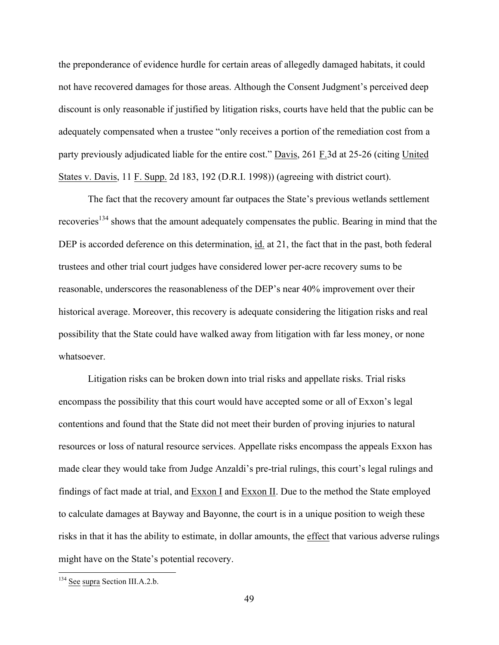the preponderance of evidence hurdle for certain areas of allegedly damaged habitats, it could not have recovered damages for those areas. Although the Consent Judgment's perceived deep discount is only reasonable if justified by litigation risks, courts have held that the public can be adequately compensated when a trustee "only receives a portion of the remediation cost from a party previously adjudicated liable for the entire cost." Davis, 261 F.3d at 25-26 (citing United States v. Davis, 11 F. Supp. 2d 183, 192 (D.R.I. 1998)) (agreeing with district court).

The fact that the recovery amount far outpaces the State's previous wetlands settlement recoveries<sup>134</sup> shows that the amount adequately compensates the public. Bearing in mind that the DEP is accorded deference on this determination, id. at 21, the fact that in the past, both federal trustees and other trial court judges have considered lower per-acre recovery sums to be reasonable, underscores the reasonableness of the DEP's near 40% improvement over their historical average. Moreover, this recovery is adequate considering the litigation risks and real possibility that the State could have walked away from litigation with far less money, or none whatsoever.

Litigation risks can be broken down into trial risks and appellate risks. Trial risks encompass the possibility that this court would have accepted some or all of Exxon's legal contentions and found that the State did not meet their burden of proving injuries to natural resources or loss of natural resource services. Appellate risks encompass the appeals Exxon has made clear they would take from Judge Anzaldi's pre-trial rulings, this court's legal rulings and findings of fact made at trial, and Exxon I and Exxon II. Due to the method the State employed to calculate damages at Bayway and Bayonne, the court is in a unique position to weigh these risks in that it has the ability to estimate, in dollar amounts, the effect that various adverse rulings might have on the State's potential recovery.

 <sup>134</sup> See supra Section III.A.2.b.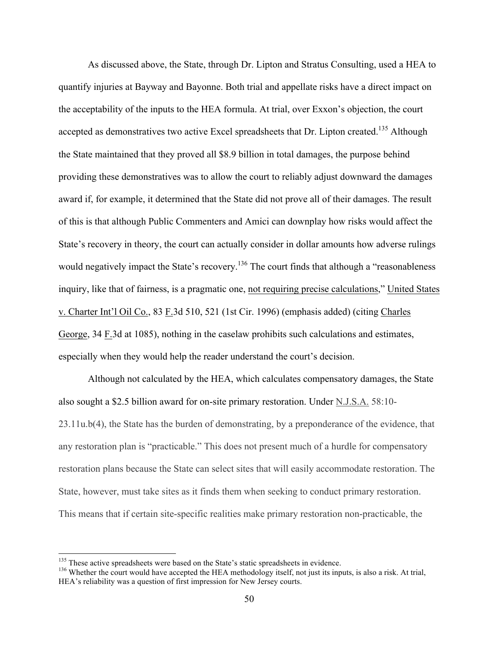As discussed above, the State, through Dr. Lipton and Stratus Consulting, used a HEA to quantify injuries at Bayway and Bayonne. Both trial and appellate risks have a direct impact on the acceptability of the inputs to the HEA formula. At trial, over Exxon's objection, the court accepted as demonstratives two active Excel spreadsheets that Dr. Lipton created.<sup>135</sup> Although the State maintained that they proved all \$8.9 billion in total damages, the purpose behind providing these demonstratives was to allow the court to reliably adjust downward the damages award if, for example, it determined that the State did not prove all of their damages. The result of this is that although Public Commenters and Amici can downplay how risks would affect the State's recovery in theory, the court can actually consider in dollar amounts how adverse rulings would negatively impact the State's recovery.<sup>136</sup> The court finds that although a "reasonableness" inquiry, like that of fairness, is a pragmatic one, not requiring precise calculations," United States v. Charter Int'l Oil Co., 83 F.3d 510, 521 (1st Cir. 1996) (emphasis added) (citing Charles George, 34 F.3d at 1085), nothing in the caselaw prohibits such calculations and estimates, especially when they would help the reader understand the court's decision.

Although not calculated by the HEA, which calculates compensatory damages, the State also sought a \$2.5 billion award for on-site primary restoration. Under N.J.S.A. 58:10- 23.11u.b(4), the State has the burden of demonstrating, by a preponderance of the evidence, that any restoration plan is "practicable." This does not present much of a hurdle for compensatory restoration plans because the State can select sites that will easily accommodate restoration. The State, however, must take sites as it finds them when seeking to conduct primary restoration. This means that if certain site-specific realities make primary restoration non-practicable, the

<sup>&</sup>lt;sup>135</sup> These active spreadsheets were based on the State's static spreadsheets in evidence.<br><sup>136</sup> Whether the court would have accepted the HEA methodology itself, not just its inputs, is also a risk. At trial, HEA's reliability was a question of first impression for New Jersey courts.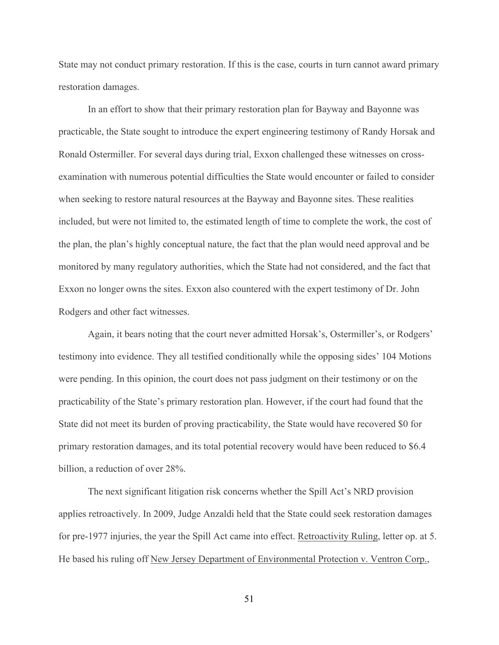State may not conduct primary restoration. If this is the case, courts in turn cannot award primary restoration damages.

In an effort to show that their primary restoration plan for Bayway and Bayonne was practicable, the State sought to introduce the expert engineering testimony of Randy Horsak and Ronald Ostermiller. For several days during trial, Exxon challenged these witnesses on crossexamination with numerous potential difficulties the State would encounter or failed to consider when seeking to restore natural resources at the Bayway and Bayonne sites. These realities included, but were not limited to, the estimated length of time to complete the work, the cost of the plan, the plan's highly conceptual nature, the fact that the plan would need approval and be monitored by many regulatory authorities, which the State had not considered, and the fact that Exxon no longer owns the sites. Exxon also countered with the expert testimony of Dr. John Rodgers and other fact witnesses.

Again, it bears noting that the court never admitted Horsak's, Ostermiller's, or Rodgers' testimony into evidence. They all testified conditionally while the opposing sides' 104 Motions were pending. In this opinion, the court does not pass judgment on their testimony or on the practicability of the State's primary restoration plan. However, if the court had found that the State did not meet its burden of proving practicability, the State would have recovered \$0 for primary restoration damages, and its total potential recovery would have been reduced to \$6.4 billion, a reduction of over 28%.

The next significant litigation risk concerns whether the Spill Act's NRD provision applies retroactively. In 2009, Judge Anzaldi held that the State could seek restoration damages for pre-1977 injuries, the year the Spill Act came into effect. Retroactivity Ruling, letter op. at 5. He based his ruling off New Jersey Department of Environmental Protection v. Ventron Corp.,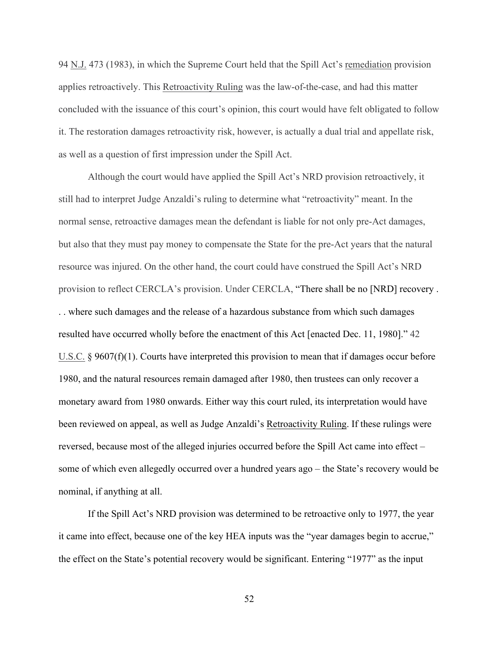94 N.J. 473 (1983), in which the Supreme Court held that the Spill Act's remediation provision applies retroactively. This Retroactivity Ruling was the law-of-the-case, and had this matter concluded with the issuance of this court's opinion, this court would have felt obligated to follow it. The restoration damages retroactivity risk, however, is actually a dual trial and appellate risk, as well as a question of first impression under the Spill Act.

Although the court would have applied the Spill Act's NRD provision retroactively, it still had to interpret Judge Anzaldi's ruling to determine what "retroactivity" meant. In the normal sense, retroactive damages mean the defendant is liable for not only pre-Act damages, but also that they must pay money to compensate the State for the pre-Act years that the natural resource was injured. On the other hand, the court could have construed the Spill Act's NRD provision to reflect CERCLA's provision. Under CERCLA, "There shall be no [NRD] recovery . . . where such damages and the release of a hazardous substance from which such damages resulted have occurred wholly before the enactment of this Act [enacted Dec. 11, 1980]." 42 U.S.C. § 9607(f)(1). Courts have interpreted this provision to mean that if damages occur before 1980, and the natural resources remain damaged after 1980, then trustees can only recover a monetary award from 1980 onwards. Either way this court ruled, its interpretation would have been reviewed on appeal, as well as Judge Anzaldi's Retroactivity Ruling. If these rulings were reversed, because most of the alleged injuries occurred before the Spill Act came into effect – some of which even allegedly occurred over a hundred years ago – the State's recovery would be nominal, if anything at all.

If the Spill Act's NRD provision was determined to be retroactive only to 1977, the year it came into effect, because one of the key HEA inputs was the "year damages begin to accrue," the effect on the State's potential recovery would be significant. Entering "1977" as the input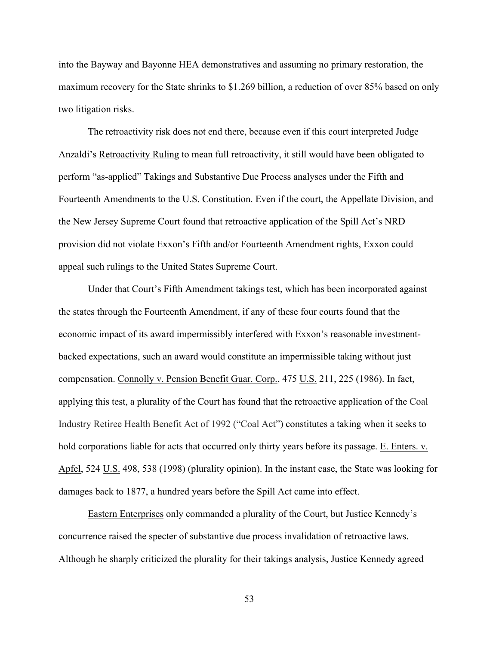into the Bayway and Bayonne HEA demonstratives and assuming no primary restoration, the maximum recovery for the State shrinks to \$1.269 billion, a reduction of over 85% based on only two litigation risks.

The retroactivity risk does not end there, because even if this court interpreted Judge Anzaldi's Retroactivity Ruling to mean full retroactivity, it still would have been obligated to perform "as-applied" Takings and Substantive Due Process analyses under the Fifth and Fourteenth Amendments to the U.S. Constitution. Even if the court, the Appellate Division, and the New Jersey Supreme Court found that retroactive application of the Spill Act's NRD provision did not violate Exxon's Fifth and/or Fourteenth Amendment rights, Exxon could appeal such rulings to the United States Supreme Court.

Under that Court's Fifth Amendment takings test, which has been incorporated against the states through the Fourteenth Amendment, if any of these four courts found that the economic impact of its award impermissibly interfered with Exxon's reasonable investmentbacked expectations, such an award would constitute an impermissible taking without just compensation. Connolly v. Pension Benefit Guar. Corp., 475 U.S. 211, 225 (1986). In fact, applying this test, a plurality of the Court has found that the retroactive application of the Coal Industry Retiree Health Benefit Act of 1992 ("Coal Act") constitutes a taking when it seeks to hold corporations liable for acts that occurred only thirty years before its passage. E. Enters. v. Apfel, 524 U.S. 498, 538 (1998) (plurality opinion). In the instant case, the State was looking for damages back to 1877, a hundred years before the Spill Act came into effect.

Eastern Enterprises only commanded a plurality of the Court, but Justice Kennedy's concurrence raised the specter of substantive due process invalidation of retroactive laws. Although he sharply criticized the plurality for their takings analysis, Justice Kennedy agreed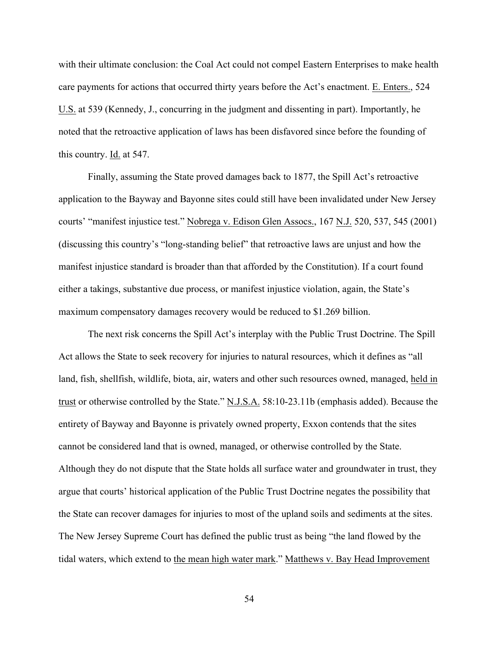with their ultimate conclusion: the Coal Act could not compel Eastern Enterprises to make health care payments for actions that occurred thirty years before the Act's enactment. E. Enters., 524 U.S. at 539 (Kennedy, J., concurring in the judgment and dissenting in part). Importantly, he noted that the retroactive application of laws has been disfavored since before the founding of this country. Id. at 547.

Finally, assuming the State proved damages back to 1877, the Spill Act's retroactive application to the Bayway and Bayonne sites could still have been invalidated under New Jersey courts' "manifest injustice test." Nobrega v. Edison Glen Assocs., 167 N.J. 520, 537, 545 (2001) (discussing this country's "long-standing belief" that retroactive laws are unjust and how the manifest injustice standard is broader than that afforded by the Constitution). If a court found either a takings, substantive due process, or manifest injustice violation, again, the State's maximum compensatory damages recovery would be reduced to \$1.269 billion.

The next risk concerns the Spill Act's interplay with the Public Trust Doctrine. The Spill Act allows the State to seek recovery for injuries to natural resources, which it defines as "all land, fish, shellfish, wildlife, biota, air, waters and other such resources owned, managed, held in trust or otherwise controlled by the State." N.J.S.A. 58:10-23.11b (emphasis added). Because the entirety of Bayway and Bayonne is privately owned property, Exxon contends that the sites cannot be considered land that is owned, managed, or otherwise controlled by the State. Although they do not dispute that the State holds all surface water and groundwater in trust, they argue that courts' historical application of the Public Trust Doctrine negates the possibility that the State can recover damages for injuries to most of the upland soils and sediments at the sites. The New Jersey Supreme Court has defined the public trust as being "the land flowed by the tidal waters, which extend to the mean high water mark." Matthews v. Bay Head Improvement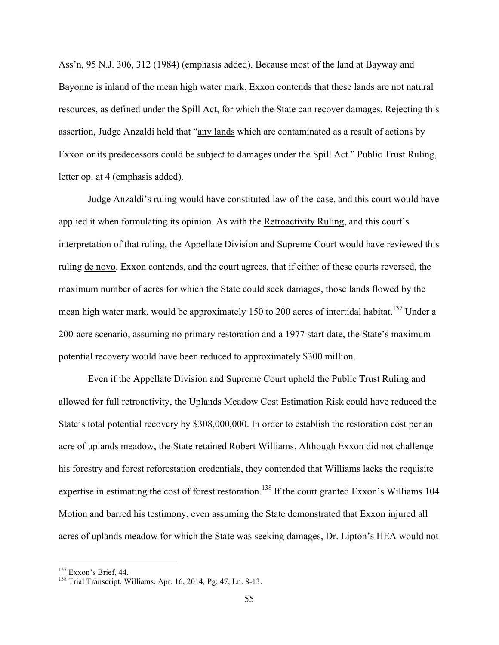Ass'n, 95 N.J. 306, 312 (1984) (emphasis added). Because most of the land at Bayway and Bayonne is inland of the mean high water mark, Exxon contends that these lands are not natural resources, as defined under the Spill Act, for which the State can recover damages. Rejecting this assertion, Judge Anzaldi held that "any lands which are contaminated as a result of actions by Exxon or its predecessors could be subject to damages under the Spill Act." Public Trust Ruling, letter op. at 4 (emphasis added).

Judge Anzaldi's ruling would have constituted law-of-the-case, and this court would have applied it when formulating its opinion. As with the Retroactivity Ruling, and this court's interpretation of that ruling, the Appellate Division and Supreme Court would have reviewed this ruling de novo. Exxon contends, and the court agrees, that if either of these courts reversed, the maximum number of acres for which the State could seek damages, those lands flowed by the mean high water mark, would be approximately 150 to 200 acres of intertidal habitat.<sup>137</sup> Under a 200-acre scenario, assuming no primary restoration and a 1977 start date, the State's maximum potential recovery would have been reduced to approximately \$300 million.

Even if the Appellate Division and Supreme Court upheld the Public Trust Ruling and allowed for full retroactivity, the Uplands Meadow Cost Estimation Risk could have reduced the State's total potential recovery by \$308,000,000. In order to establish the restoration cost per an acre of uplands meadow, the State retained Robert Williams. Although Exxon did not challenge his forestry and forest reforestation credentials, they contended that Williams lacks the requisite expertise in estimating the cost of forest restoration.<sup>138</sup> If the court granted Exxon's Williams 104 Motion and barred his testimony, even assuming the State demonstrated that Exxon injured all acres of uplands meadow for which the State was seeking damages, Dr. Lipton's HEA would not

<sup>137</sup> Exxon's Brief, 44. <sup>138</sup> Trial Transcript, Williams, Apr. 16, 2014*,* Pg. 47, Ln. 8-13.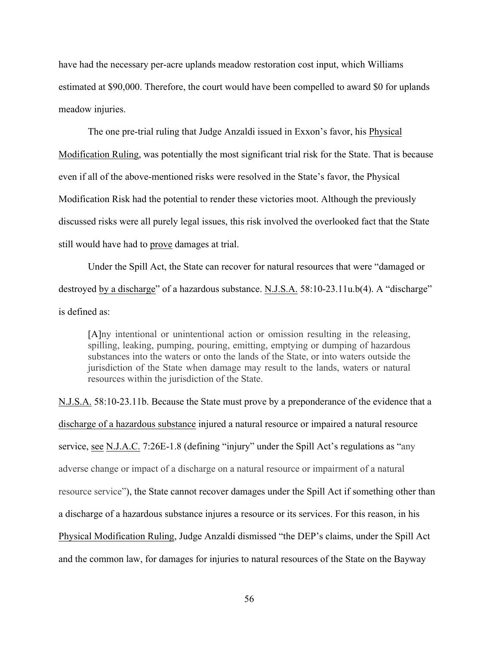have had the necessary per-acre uplands meadow restoration cost input, which Williams estimated at \$90,000. Therefore, the court would have been compelled to award \$0 for uplands meadow injuries.

The one pre-trial ruling that Judge Anzaldi issued in Exxon's favor, his Physical Modification Ruling, was potentially the most significant trial risk for the State. That is because even if all of the above-mentioned risks were resolved in the State's favor, the Physical Modification Risk had the potential to render these victories moot. Although the previously discussed risks were all purely legal issues, this risk involved the overlooked fact that the State still would have had to prove damages at trial.

Under the Spill Act, the State can recover for natural resources that were "damaged or destroyed by a discharge" of a hazardous substance. N.J.S.A. 58:10-23.11u.b(4). A "discharge" is defined as:

[A]ny intentional or unintentional action or omission resulting in the releasing, spilling, leaking, pumping, pouring, emitting, emptying or dumping of hazardous substances into the waters or onto the lands of the State, or into waters outside the jurisdiction of the State when damage may result to the lands, waters or natural resources within the jurisdiction of the State.

N.J.S.A. 58:10-23.11b. Because the State must prove by a preponderance of the evidence that a discharge of a hazardous substance injured a natural resource or impaired a natural resource service, see N.J.A.C. 7:26E-1.8 (defining "injury" under the Spill Act's regulations as "any adverse change or impact of a discharge on a natural resource or impairment of a natural resource service"), the State cannot recover damages under the Spill Act if something other than a discharge of a hazardous substance injures a resource or its services. For this reason, in his Physical Modification Ruling, Judge Anzaldi dismissed "the DEP's claims, under the Spill Act and the common law, for damages for injuries to natural resources of the State on the Bayway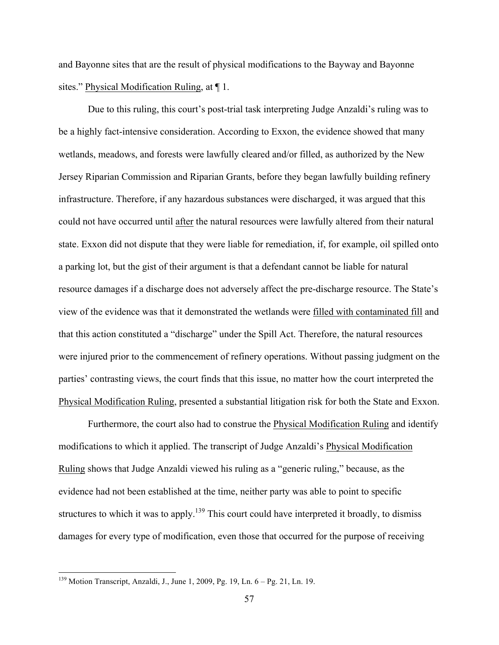and Bayonne sites that are the result of physical modifications to the Bayway and Bayonne sites." Physical Modification Ruling, at ¶ 1.

Due to this ruling, this court's post-trial task interpreting Judge Anzaldi's ruling was to be a highly fact-intensive consideration. According to Exxon, the evidence showed that many wetlands, meadows, and forests were lawfully cleared and/or filled, as authorized by the New Jersey Riparian Commission and Riparian Grants, before they began lawfully building refinery infrastructure. Therefore, if any hazardous substances were discharged, it was argued that this could not have occurred until after the natural resources were lawfully altered from their natural state. Exxon did not dispute that they were liable for remediation, if, for example, oil spilled onto a parking lot, but the gist of their argument is that a defendant cannot be liable for natural resource damages if a discharge does not adversely affect the pre-discharge resource. The State's view of the evidence was that it demonstrated the wetlands were filled with contaminated fill and that this action constituted a "discharge" under the Spill Act. Therefore, the natural resources were injured prior to the commencement of refinery operations. Without passing judgment on the parties' contrasting views, the court finds that this issue, no matter how the court interpreted the Physical Modification Ruling, presented a substantial litigation risk for both the State and Exxon.

Furthermore, the court also had to construe the Physical Modification Ruling and identify modifications to which it applied. The transcript of Judge Anzaldi's Physical Modification Ruling shows that Judge Anzaldi viewed his ruling as a "generic ruling," because, as the evidence had not been established at the time, neither party was able to point to specific structures to which it was to apply.<sup>139</sup> This court could have interpreted it broadly, to dismiss damages for every type of modification, even those that occurred for the purpose of receiving

 <sup>139</sup> Motion Transcript, Anzaldi, J., June 1, 2009, Pg. 19, Ln. 6 – Pg. 21, Ln. 19.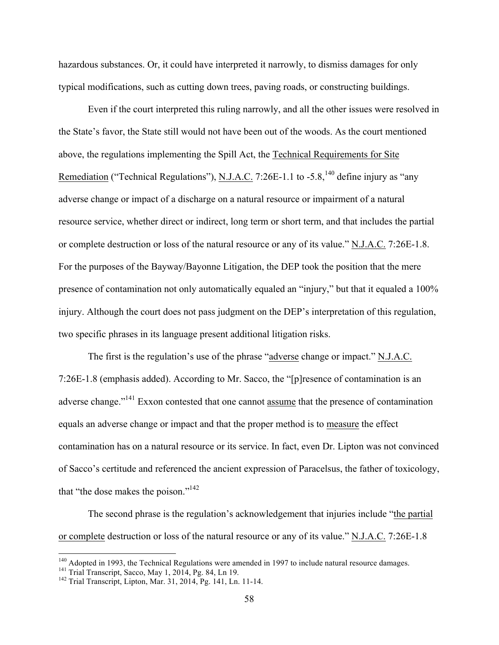hazardous substances. Or, it could have interpreted it narrowly, to dismiss damages for only typical modifications, such as cutting down trees, paving roads, or constructing buildings.

Even if the court interpreted this ruling narrowly, and all the other issues were resolved in the State's favor, the State still would not have been out of the woods. As the court mentioned above, the regulations implementing the Spill Act, the Technical Requirements for Site Remediation ("Technical Regulations"), N.J.A.C. 7:26E-1.1 to -5.8,<sup>140</sup> define injury as "any adverse change or impact of a discharge on a natural resource or impairment of a natural resource service, whether direct or indirect, long term or short term, and that includes the partial or complete destruction or loss of the natural resource or any of its value." N.J.A.C. 7:26E-1.8. For the purposes of the Bayway/Bayonne Litigation, the DEP took the position that the mere presence of contamination not only automatically equaled an "injury," but that it equaled a 100% injury. Although the court does not pass judgment on the DEP's interpretation of this regulation, two specific phrases in its language present additional litigation risks.

The first is the regulation's use of the phrase "adverse change or impact." N.J.A.C. 7:26E-1.8 (emphasis added). According to Mr. Sacco, the "[p]resence of contamination is an adverse change."141 Exxon contested that one cannot assume that the presence of contamination equals an adverse change or impact and that the proper method is to measure the effect contamination has on a natural resource or its service. In fact, even Dr. Lipton was not convinced of Sacco's certitude and referenced the ancient expression of Paracelsus, the father of toxicology, that "the dose makes the poison."142

The second phrase is the regulation's acknowledgement that injuries include "the partial or complete destruction or loss of the natural resource or any of its value." N.J.A.C. 7:26E-1.8

<sup>&</sup>lt;sup>140</sup> Adopted in 1993, the Technical Regulations were amended in 1997 to include natural resource damages.<br><sup>141</sup> Trial Transcript, Sacco, May 1, 2014, Pg. 84, Ln 19.<br><sup>142</sup> Trial Transcript, Lipton, Mar. 31, 2014, Pg. 141,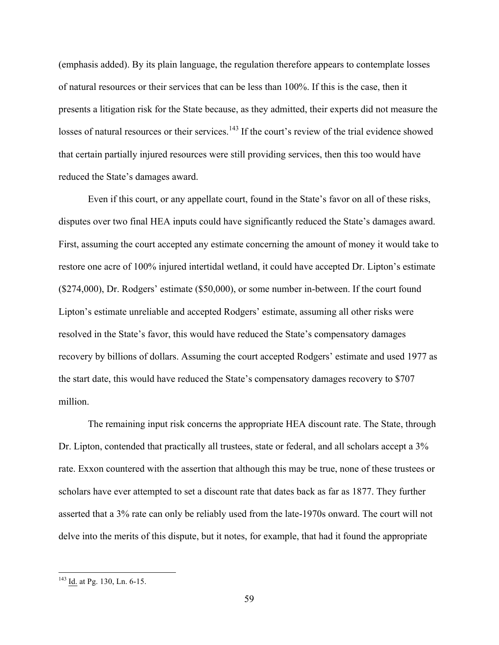(emphasis added). By its plain language, the regulation therefore appears to contemplate losses of natural resources or their services that can be less than 100%. If this is the case, then it presents a litigation risk for the State because, as they admitted, their experts did not measure the losses of natural resources or their services.<sup>143</sup> If the court's review of the trial evidence showed that certain partially injured resources were still providing services, then this too would have reduced the State's damages award.

Even if this court, or any appellate court, found in the State's favor on all of these risks, disputes over two final HEA inputs could have significantly reduced the State's damages award. First, assuming the court accepted any estimate concerning the amount of money it would take to restore one acre of 100% injured intertidal wetland, it could have accepted Dr. Lipton's estimate (\$274,000), Dr. Rodgers' estimate (\$50,000), or some number in-between. If the court found Lipton's estimate unreliable and accepted Rodgers' estimate, assuming all other risks were resolved in the State's favor, this would have reduced the State's compensatory damages recovery by billions of dollars. Assuming the court accepted Rodgers' estimate and used 1977 as the start date, this would have reduced the State's compensatory damages recovery to \$707 million.

The remaining input risk concerns the appropriate HEA discount rate. The State, through Dr. Lipton, contended that practically all trustees, state or federal, and all scholars accept a 3% rate. Exxon countered with the assertion that although this may be true, none of these trustees or scholars have ever attempted to set a discount rate that dates back as far as 1877. They further asserted that a 3% rate can only be reliably used from the late-1970s onward. The court will not delve into the merits of this dispute, but it notes, for example, that had it found the appropriate

 <sup>143</sup> Id. at Pg. 130, Ln. 6-15.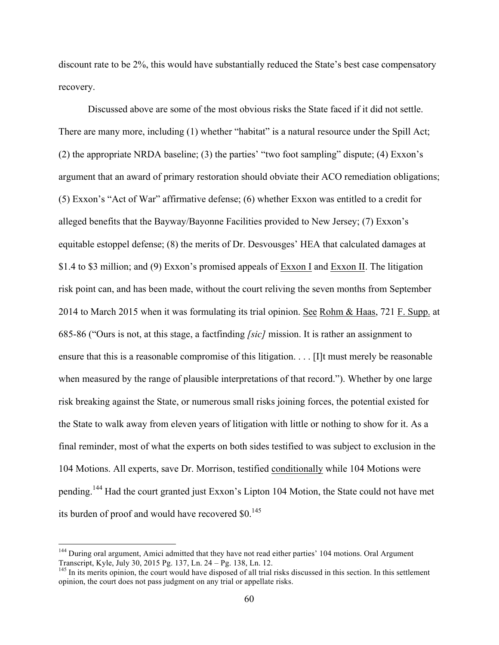discount rate to be 2%, this would have substantially reduced the State's best case compensatory recovery.

Discussed above are some of the most obvious risks the State faced if it did not settle. There are many more, including (1) whether "habitat" is a natural resource under the Spill Act; (2) the appropriate NRDA baseline; (3) the parties' "two foot sampling" dispute; (4) Exxon's argument that an award of primary restoration should obviate their ACO remediation obligations; (5) Exxon's "Act of War" affirmative defense; (6) whether Exxon was entitled to a credit for alleged benefits that the Bayway/Bayonne Facilities provided to New Jersey; (7) Exxon's equitable estoppel defense; (8) the merits of Dr. Desvousges' HEA that calculated damages at \$1.4 to \$3 million; and (9) Exxon's promised appeals of Exxon I and Exxon II. The litigation risk point can, and has been made, without the court reliving the seven months from September 2014 to March 2015 when it was formulating its trial opinion. See Rohm & Haas, 721 F. Supp. at 685-86 ("Ours is not, at this stage, a factfinding *[sic]* mission. It is rather an assignment to ensure that this is a reasonable compromise of this litigation. . . . [I]t must merely be reasonable when measured by the range of plausible interpretations of that record."). Whether by one large risk breaking against the State, or numerous small risks joining forces, the potential existed for the State to walk away from eleven years of litigation with little or nothing to show for it. As a final reminder, most of what the experts on both sides testified to was subject to exclusion in the 104 Motions. All experts, save Dr. Morrison, testified conditionally while 104 Motions were pending.<sup>144</sup> Had the court granted just Exxon's Lipton 104 Motion, the State could not have met its burden of proof and would have recovered  $$0.145$ 

<sup>&</sup>lt;sup>144</sup> During oral argument, Amici admitted that they have not read either parties' 104 motions. Oral Argument Transcript, Kyle, July 30, 2015 Pg. 137, Ln. 24 – Pg. 138, Ln. 12.<br><sup>145</sup> In its merits opinion, the court would have disposed of all trial risks discussed in this section. In this settlement

opinion, the court does not pass judgment on any trial or appellate risks.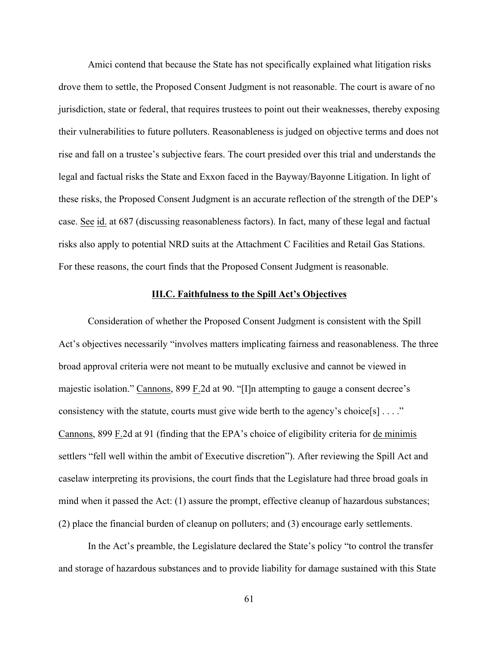Amici contend that because the State has not specifically explained what litigation risks drove them to settle, the Proposed Consent Judgment is not reasonable. The court is aware of no jurisdiction, state or federal, that requires trustees to point out their weaknesses, thereby exposing their vulnerabilities to future polluters. Reasonableness is judged on objective terms and does not rise and fall on a trustee's subjective fears. The court presided over this trial and understands the legal and factual risks the State and Exxon faced in the Bayway/Bayonne Litigation. In light of these risks, the Proposed Consent Judgment is an accurate reflection of the strength of the DEP's case. See id. at 687 (discussing reasonableness factors). In fact, many of these legal and factual risks also apply to potential NRD suits at the Attachment C Facilities and Retail Gas Stations. For these reasons, the court finds that the Proposed Consent Judgment is reasonable.

# **III.C. Faithfulness to the Spill Act's Objectives**

Consideration of whether the Proposed Consent Judgment is consistent with the Spill Act's objectives necessarily "involves matters implicating fairness and reasonableness. The three broad approval criteria were not meant to be mutually exclusive and cannot be viewed in majestic isolation." Cannons, 899 F.2d at 90. "[I]n attempting to gauge a consent decree's consistency with the statute, courts must give wide berth to the agency's choice[s] . . . ." Cannons, 899 F.2d at 91 (finding that the EPA's choice of eligibility criteria for de minimis settlers "fell well within the ambit of Executive discretion"). After reviewing the Spill Act and caselaw interpreting its provisions, the court finds that the Legislature had three broad goals in mind when it passed the Act: (1) assure the prompt, effective cleanup of hazardous substances; (2) place the financial burden of cleanup on polluters; and (3) encourage early settlements.

In the Act's preamble, the Legislature declared the State's policy "to control the transfer and storage of hazardous substances and to provide liability for damage sustained with this State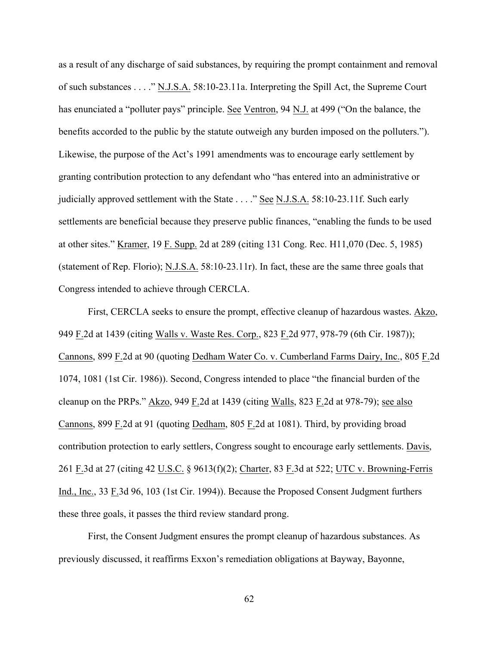as a result of any discharge of said substances, by requiring the prompt containment and removal of such substances . . . ." N.J.S.A. 58:10-23.11a. Interpreting the Spill Act, the Supreme Court has enunciated a "polluter pays" principle. See Ventron, 94 N.J. at 499 ("On the balance, the benefits accorded to the public by the statute outweigh any burden imposed on the polluters."). Likewise, the purpose of the Act's 1991 amendments was to encourage early settlement by granting contribution protection to any defendant who "has entered into an administrative or judicially approved settlement with the State . . . ." See N.J.S.A. 58:10-23.11f. Such early settlements are beneficial because they preserve public finances, "enabling the funds to be used at other sites." Kramer, 19 F. Supp. 2d at 289 (citing 131 Cong. Rec. H11,070 (Dec. 5, 1985) (statement of Rep. Florio); N.J.S.A. 58:10-23.11r). In fact, these are the same three goals that Congress intended to achieve through CERCLA.

First, CERCLA seeks to ensure the prompt, effective cleanup of hazardous wastes. Akzo, 949 F.2d at 1439 (citing Walls v. Waste Res. Corp., 823 F.2d 977, 978-79 (6th Cir. 1987)); Cannons, 899 F.2d at 90 (quoting Dedham Water Co. v. Cumberland Farms Dairy, Inc., 805 F.2d 1074, 1081 (1st Cir. 1986)). Second, Congress intended to place "the financial burden of the cleanup on the PRPs." Akzo, 949 F.2d at 1439 (citing Walls, 823 F.2d at 978-79); see also Cannons, 899 F.2d at 91 (quoting Dedham, 805 F.2d at 1081). Third, by providing broad contribution protection to early settlers, Congress sought to encourage early settlements. Davis, 261 F.3d at 27 (citing 42 U.S.C. § 9613(f)(2); Charter, 83 F.3d at 522; UTC v. Browning-Ferris Ind., Inc., 33 F.3d 96, 103 (1st Cir. 1994)). Because the Proposed Consent Judgment furthers these three goals, it passes the third review standard prong.

First, the Consent Judgment ensures the prompt cleanup of hazardous substances. As previously discussed, it reaffirms Exxon's remediation obligations at Bayway, Bayonne,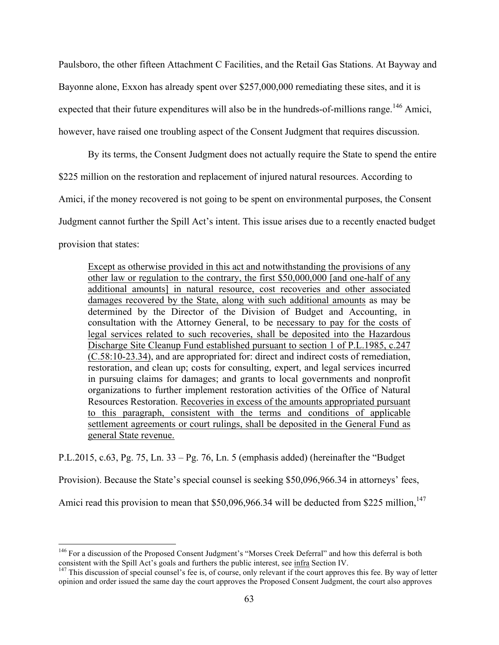Paulsboro, the other fifteen Attachment C Facilities, and the Retail Gas Stations. At Bayway and Bayonne alone, Exxon has already spent over \$257,000,000 remediating these sites, and it is expected that their future expenditures will also be in the hundreds-of-millions range.<sup>146</sup> Amici, however, have raised one troubling aspect of the Consent Judgment that requires discussion.

By its terms, the Consent Judgment does not actually require the State to spend the entire \$225 million on the restoration and replacement of injured natural resources. According to Amici, if the money recovered is not going to be spent on environmental purposes, the Consent Judgment cannot further the Spill Act's intent. This issue arises due to a recently enacted budget provision that states:

Except as otherwise provided in this act and notwithstanding the provisions of any other law or regulation to the contrary, the first \$50,000,000 [and one-half of any additional amounts] in natural resource, cost recoveries and other associated damages recovered by the State, along with such additional amounts as may be determined by the Director of the Division of Budget and Accounting, in consultation with the Attorney General, to be necessary to pay for the costs of legal services related to such recoveries, shall be deposited into the Hazardous Discharge Site Cleanup Fund established pursuant to section 1 of P.L.1985, c.247 (C.58:10-23.34), and are appropriated for: direct and indirect costs of remediation, restoration, and clean up; costs for consulting, expert, and legal services incurred in pursuing claims for damages; and grants to local governments and nonprofit organizations to further implement restoration activities of the Office of Natural Resources Restoration. Recoveries in excess of the amounts appropriated pursuant to this paragraph, consistent with the terms and conditions of applicable settlement agreements or court rulings, shall be deposited in the General Fund as general State revenue.

P.L.2015, c.63, Pg. 75, Ln. 33 – Pg. 76, Ln. 5 (emphasis added) (hereinafter the "Budget

Provision). Because the State's special counsel is seeking \$50,096,966.34 in attorneys' fees,

Amici read this provision to mean that  $$50,096,966.34$  will be deducted from \$225 million,<sup>147</sup>

<sup>&</sup>lt;sup>146</sup> For a discussion of the Proposed Consent Judgment's "Morses Creek Deferral" and how this deferral is both consistent with the Spill Act's goals and furthers the public interest, see infra Section IV.<br><sup>147</sup> This discussion of special counsel's fee is, of course, only relevant if the court approves this fee. By way of letter

opinion and order issued the same day the court approves the Proposed Consent Judgment, the court also approves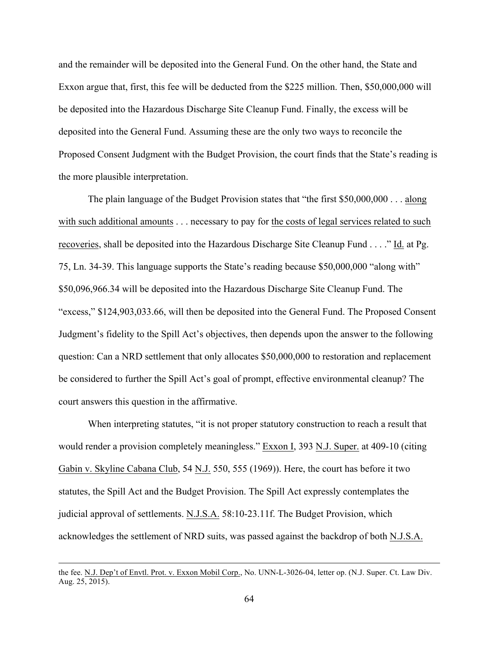and the remainder will be deposited into the General Fund. On the other hand, the State and Exxon argue that, first, this fee will be deducted from the \$225 million. Then, \$50,000,000 will be deposited into the Hazardous Discharge Site Cleanup Fund. Finally, the excess will be deposited into the General Fund. Assuming these are the only two ways to reconcile the Proposed Consent Judgment with the Budget Provision, the court finds that the State's reading is the more plausible interpretation.

The plain language of the Budget Provision states that "the first \$50,000,000 . . . along with such additional amounts . . . necessary to pay for the costs of legal services related to such recoveries, shall be deposited into the Hazardous Discharge Site Cleanup Fund . . . ." Id. at Pg. 75, Ln. 34-39. This language supports the State's reading because \$50,000,000 "along with" \$50,096,966.34 will be deposited into the Hazardous Discharge Site Cleanup Fund. The "excess," \$124,903,033.66, will then be deposited into the General Fund. The Proposed Consent Judgment's fidelity to the Spill Act's objectives, then depends upon the answer to the following question: Can a NRD settlement that only allocates \$50,000,000 to restoration and replacement be considered to further the Spill Act's goal of prompt, effective environmental cleanup? The court answers this question in the affirmative.

When interpreting statutes, "it is not proper statutory construction to reach a result that would render a provision completely meaningless." Exxon I, 393 N.J. Super. at 409-10 (citing Gabin v. Skyline Cabana Club, 54 N.J. 550, 555 (1969)). Here, the court has before it two statutes, the Spill Act and the Budget Provision. The Spill Act expressly contemplates the judicial approval of settlements. N.J.S.A. 58:10-23.11f. The Budget Provision, which acknowledges the settlement of NRD suits, was passed against the backdrop of both N.J.S.A.

the fee. N.J. Dep't of Envtl. Prot. v. Exxon Mobil Corp., No. UNN-L-3026-04, letter op. (N.J. Super. Ct. Law Div. Aug. 25, 2015).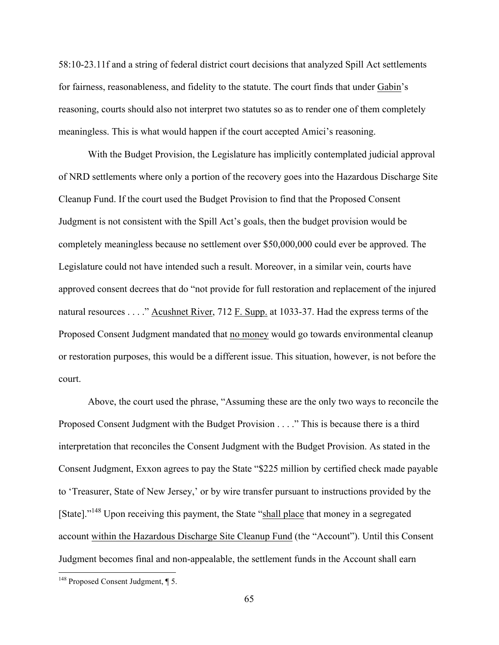58:10-23.11f and a string of federal district court decisions that analyzed Spill Act settlements for fairness, reasonableness, and fidelity to the statute. The court finds that under Gabin's reasoning, courts should also not interpret two statutes so as to render one of them completely meaningless. This is what would happen if the court accepted Amici's reasoning.

With the Budget Provision, the Legislature has implicitly contemplated judicial approval of NRD settlements where only a portion of the recovery goes into the Hazardous Discharge Site Cleanup Fund. If the court used the Budget Provision to find that the Proposed Consent Judgment is not consistent with the Spill Act's goals, then the budget provision would be completely meaningless because no settlement over \$50,000,000 could ever be approved. The Legislature could not have intended such a result. Moreover, in a similar vein, courts have approved consent decrees that do "not provide for full restoration and replacement of the injured natural resources . . . ." Acushnet River, 712 F. Supp. at 1033-37. Had the express terms of the Proposed Consent Judgment mandated that no money would go towards environmental cleanup or restoration purposes, this would be a different issue. This situation, however, is not before the court.

Above, the court used the phrase, "Assuming these are the only two ways to reconcile the Proposed Consent Judgment with the Budget Provision . . . ." This is because there is a third interpretation that reconciles the Consent Judgment with the Budget Provision. As stated in the Consent Judgment, Exxon agrees to pay the State "\$225 million by certified check made payable to 'Treasurer, State of New Jersey,' or by wire transfer pursuant to instructions provided by the [State]."<sup>148</sup> Upon receiving this payment, the State "shall place that money in a segregated account within the Hazardous Discharge Site Cleanup Fund (the "Account"). Until this Consent Judgment becomes final and non-appealable, the settlement funds in the Account shall earn

<sup>&</sup>lt;sup>148</sup> Proposed Consent Judgment, ¶ 5.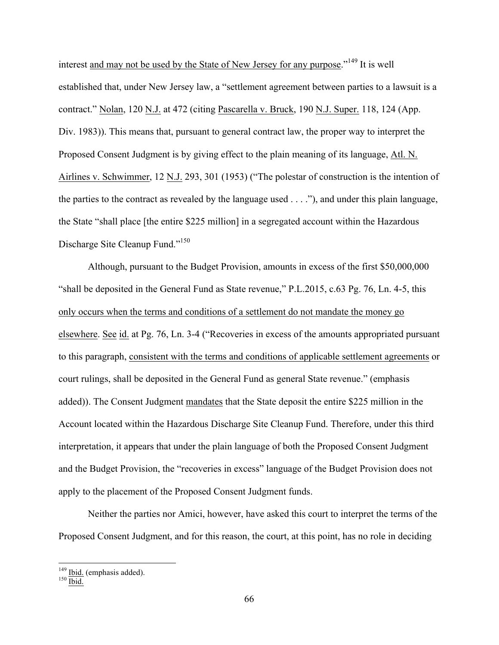interest and may not be used by the State of New Jersey for any purpose."<sup>149</sup> It is well established that, under New Jersey law, a "settlement agreement between parties to a lawsuit is a contract." Nolan, 120 N.J. at 472 (citing Pascarella v. Bruck, 190 N.J. Super. 118, 124 (App. Div. 1983)). This means that, pursuant to general contract law, the proper way to interpret the Proposed Consent Judgment is by giving effect to the plain meaning of its language, Atl. N. Airlines v. Schwimmer, 12 N.J. 293, 301 (1953) ("The polestar of construction is the intention of the parties to the contract as revealed by the language used . . . ."), and under this plain language, the State "shall place [the entire \$225 million] in a segregated account within the Hazardous Discharge Site Cleanup Fund."<sup>150</sup>

Although, pursuant to the Budget Provision, amounts in excess of the first \$50,000,000 "shall be deposited in the General Fund as State revenue," P.L.2015, c.63 Pg. 76, Ln. 4-5, this only occurs when the terms and conditions of a settlement do not mandate the money go elsewhere. See id. at Pg. 76, Ln. 3-4 ("Recoveries in excess of the amounts appropriated pursuant to this paragraph, consistent with the terms and conditions of applicable settlement agreements or court rulings, shall be deposited in the General Fund as general State revenue." (emphasis added)). The Consent Judgment mandates that the State deposit the entire \$225 million in the Account located within the Hazardous Discharge Site Cleanup Fund. Therefore, under this third interpretation, it appears that under the plain language of both the Proposed Consent Judgment and the Budget Provision, the "recoveries in excess" language of the Budget Provision does not apply to the placement of the Proposed Consent Judgment funds.

Neither the parties nor Amici, however, have asked this court to interpret the terms of the Proposed Consent Judgment, and for this reason, the court, at this point, has no role in deciding

 $\frac{149}{150}$  Ibid. (emphasis added).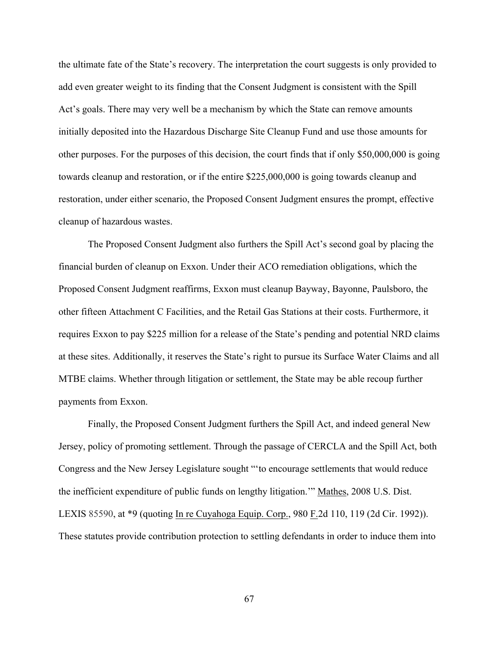the ultimate fate of the State's recovery. The interpretation the court suggests is only provided to add even greater weight to its finding that the Consent Judgment is consistent with the Spill Act's goals. There may very well be a mechanism by which the State can remove amounts initially deposited into the Hazardous Discharge Site Cleanup Fund and use those amounts for other purposes. For the purposes of this decision, the court finds that if only \$50,000,000 is going towards cleanup and restoration, or if the entire \$225,000,000 is going towards cleanup and restoration, under either scenario, the Proposed Consent Judgment ensures the prompt, effective cleanup of hazardous wastes.

The Proposed Consent Judgment also furthers the Spill Act's second goal by placing the financial burden of cleanup on Exxon. Under their ACO remediation obligations, which the Proposed Consent Judgment reaffirms, Exxon must cleanup Bayway, Bayonne, Paulsboro, the other fifteen Attachment C Facilities, and the Retail Gas Stations at their costs. Furthermore, it requires Exxon to pay \$225 million for a release of the State's pending and potential NRD claims at these sites. Additionally, it reserves the State's right to pursue its Surface Water Claims and all MTBE claims. Whether through litigation or settlement, the State may be able recoup further payments from Exxon.

Finally, the Proposed Consent Judgment furthers the Spill Act, and indeed general New Jersey, policy of promoting settlement. Through the passage of CERCLA and the Spill Act, both Congress and the New Jersey Legislature sought "'to encourage settlements that would reduce the inefficient expenditure of public funds on lengthy litigation.'" Mathes, 2008 U.S. Dist. LEXIS 85590, at \*9 (quoting In re Cuyahoga Equip. Corp., 980 F.2d 110, 119 (2d Cir. 1992)). These statutes provide contribution protection to settling defendants in order to induce them into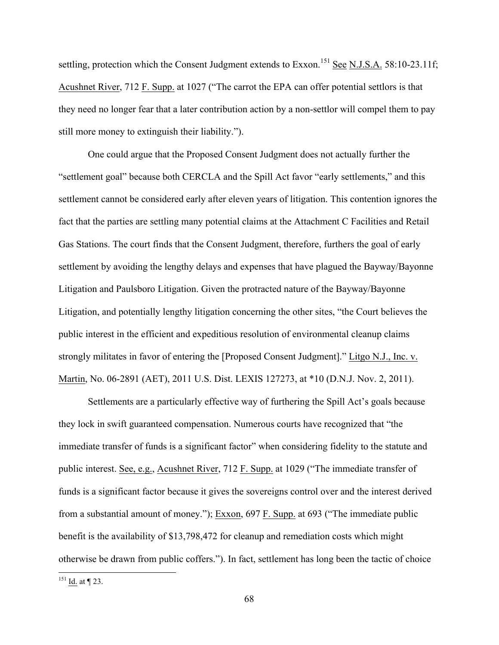settling, protection which the Consent Judgment extends to Exxon.<sup>151</sup> See N.J.S.A. 58:10-23.11f; Acushnet River, 712 F. Supp. at 1027 ("The carrot the EPA can offer potential settlors is that they need no longer fear that a later contribution action by a non-settlor will compel them to pay still more money to extinguish their liability.").

One could argue that the Proposed Consent Judgment does not actually further the "settlement goal" because both CERCLA and the Spill Act favor "early settlements," and this settlement cannot be considered early after eleven years of litigation. This contention ignores the fact that the parties are settling many potential claims at the Attachment C Facilities and Retail Gas Stations. The court finds that the Consent Judgment, therefore, furthers the goal of early settlement by avoiding the lengthy delays and expenses that have plagued the Bayway/Bayonne Litigation and Paulsboro Litigation. Given the protracted nature of the Bayway/Bayonne Litigation, and potentially lengthy litigation concerning the other sites, "the Court believes the public interest in the efficient and expeditious resolution of environmental cleanup claims strongly militates in favor of entering the [Proposed Consent Judgment]." Litgo N.J., Inc. v. Martin, No. 06-2891 (AET), 2011 U.S. Dist. LEXIS 127273, at \*10 (D.N.J. Nov. 2, 2011).

Settlements are a particularly effective way of furthering the Spill Act's goals because they lock in swift guaranteed compensation. Numerous courts have recognized that "the immediate transfer of funds is a significant factor" when considering fidelity to the statute and public interest. See, e.g., Acushnet River, 712 F. Supp. at 1029 ("The immediate transfer of funds is a significant factor because it gives the sovereigns control over and the interest derived from a substantial amount of money."); Exxon, 697 F. Supp. at 693 ("The immediate public benefit is the availability of \$13,798,472 for cleanup and remediation costs which might otherwise be drawn from public coffers."). In fact, settlement has long been the tactic of choice

 $151$  Id. at ¶ 23.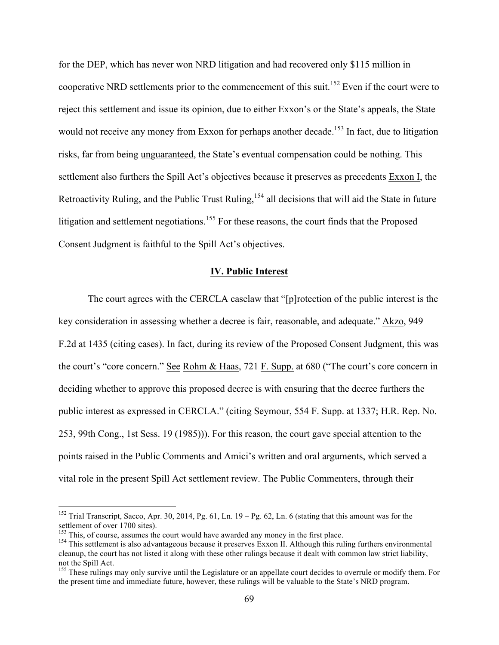for the DEP, which has never won NRD litigation and had recovered only \$115 million in cooperative NRD settlements prior to the commencement of this suit.<sup>152</sup> Even if the court were to reject this settlement and issue its opinion, due to either Exxon's or the State's appeals, the State would not receive any money from Exxon for perhaps another decade.<sup>153</sup> In fact, due to litigation risks, far from being unguaranteed, the State's eventual compensation could be nothing. This settlement also furthers the Spill Act's objectives because it preserves as precedents Exxon I, the Retroactivity Ruling, and the Public Trust Ruling, <sup>154</sup> all decisions that will aid the State in future litigation and settlement negotiations.<sup>155</sup> For these reasons, the court finds that the Proposed Consent Judgment is faithful to the Spill Act's objectives.

## **IV. Public Interest**

The court agrees with the CERCLA caselaw that "[p]rotection of the public interest is the key consideration in assessing whether a decree is fair, reasonable, and adequate." Akzo, 949 F.2d at 1435 (citing cases). In fact, during its review of the Proposed Consent Judgment, this was the court's "core concern." See Rohm & Haas, 721 F. Supp. at 680 ("The court's core concern in deciding whether to approve this proposed decree is with ensuring that the decree furthers the public interest as expressed in CERCLA." (citing Seymour, 554 F. Supp. at 1337; H.R. Rep. No. 253, 99th Cong., 1st Sess. 19 (1985))). For this reason, the court gave special attention to the points raised in the Public Comments and Amici's written and oral arguments, which served a vital role in the present Spill Act settlement review. The Public Commenters, through their

<sup>&</sup>lt;sup>152</sup> Trial Transcript, Sacco, Apr. 30, 2014, Pg. 61, Ln.  $19 - \text{Pg}$ . 62, Ln. 6 (stating that this amount was for the settlement of over 1700 sites).<br><sup>153</sup> This, of course, assumes the court would have awarded any money in the first place.

 $154$  This settlement is also advantageous because it preserves Exxon II. Although this ruling furthers environmental cleanup, the court has not listed it along with these other rulings because it dealt with common law strict liability, not the Spill Act.

<sup>&</sup>lt;sup>155</sup> These rulings may only survive until the Legislature or an appellate court decides to overrule or modify them. For the present time and immediate future, however, these rulings will be valuable to the State's NRD program.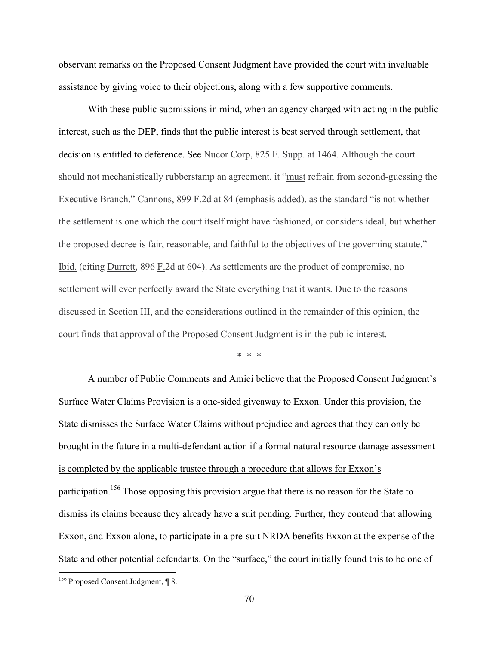observant remarks on the Proposed Consent Judgment have provided the court with invaluable assistance by giving voice to their objections, along with a few supportive comments.

With these public submissions in mind, when an agency charged with acting in the public interest, such as the DEP, finds that the public interest is best served through settlement, that decision is entitled to deference. See Nucor Corp, 825 F. Supp. at 1464. Although the court should not mechanistically rubberstamp an agreement, it "must refrain from second-guessing the Executive Branch," Cannons, 899 F.2d at 84 (emphasis added), as the standard "is not whether the settlement is one which the court itself might have fashioned, or considers ideal, but whether the proposed decree is fair, reasonable, and faithful to the objectives of the governing statute." Ibid. (citing Durrett, 896 F.2d at 604). As settlements are the product of compromise, no settlement will ever perfectly award the State everything that it wants. Due to the reasons discussed in Section III, and the considerations outlined in the remainder of this opinion, the court finds that approval of the Proposed Consent Judgment is in the public interest.

\* \* \*

A number of Public Comments and Amici believe that the Proposed Consent Judgment's Surface Water Claims Provision is a one-sided giveaway to Exxon. Under this provision, the State dismisses the Surface Water Claims without prejudice and agrees that they can only be brought in the future in a multi-defendant action if a formal natural resource damage assessment is completed by the applicable trustee through a procedure that allows for Exxon's participation.<sup>156</sup> Those opposing this provision argue that there is no reason for the State to dismiss its claims because they already have a suit pending. Further, they contend that allowing Exxon, and Exxon alone, to participate in a pre-suit NRDA benefits Exxon at the expense of the State and other potential defendants. On the "surface," the court initially found this to be one of

<sup>156</sup> Proposed Consent Judgment, ¶ 8.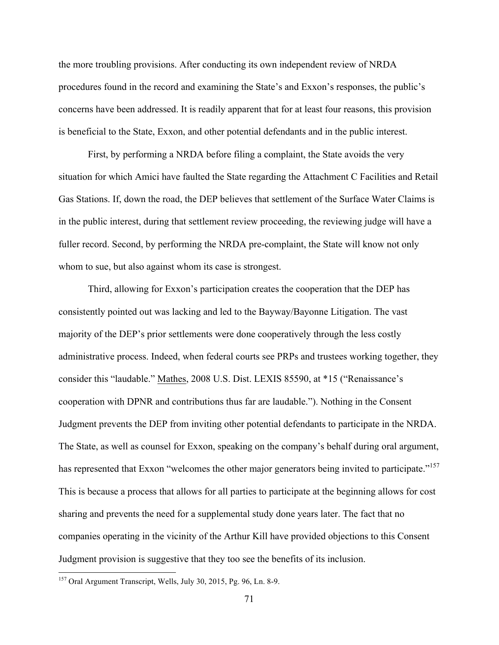the more troubling provisions. After conducting its own independent review of NRDA procedures found in the record and examining the State's and Exxon's responses, the public's concerns have been addressed. It is readily apparent that for at least four reasons, this provision is beneficial to the State, Exxon, and other potential defendants and in the public interest.

First, by performing a NRDA before filing a complaint, the State avoids the very situation for which Amici have faulted the State regarding the Attachment C Facilities and Retail Gas Stations. If, down the road, the DEP believes that settlement of the Surface Water Claims is in the public interest, during that settlement review proceeding, the reviewing judge will have a fuller record. Second, by performing the NRDA pre-complaint, the State will know not only whom to sue, but also against whom its case is strongest.

Third, allowing for Exxon's participation creates the cooperation that the DEP has consistently pointed out was lacking and led to the Bayway/Bayonne Litigation. The vast majority of the DEP's prior settlements were done cooperatively through the less costly administrative process. Indeed, when federal courts see PRPs and trustees working together, they consider this "laudable." Mathes, 2008 U.S. Dist. LEXIS 85590, at \*15 ("Renaissance's cooperation with DPNR and contributions thus far are laudable."). Nothing in the Consent Judgment prevents the DEP from inviting other potential defendants to participate in the NRDA. The State, as well as counsel for Exxon, speaking on the company's behalf during oral argument, has represented that Exxon "welcomes the other major generators being invited to participate."<sup>157</sup> This is because a process that allows for all parties to participate at the beginning allows for cost sharing and prevents the need for a supplemental study done years later. The fact that no companies operating in the vicinity of the Arthur Kill have provided objections to this Consent Judgment provision is suggestive that they too see the benefits of its inclusion.

 <sup>157</sup> Oral Argument Transcript, Wells, July 30, 2015, Pg. 96, Ln. 8-9.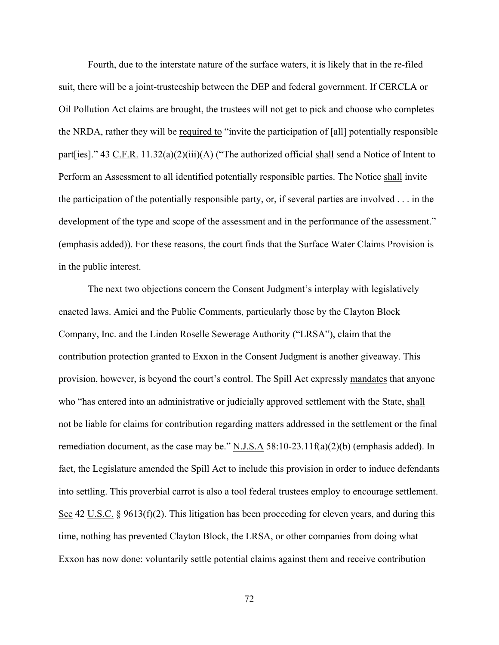Fourth, due to the interstate nature of the surface waters, it is likely that in the re-filed suit, there will be a joint-trusteeship between the DEP and federal government. If CERCLA or Oil Pollution Act claims are brought, the trustees will not get to pick and choose who completes the NRDA, rather they will be required to "invite the participation of [all] potentially responsible part[ies]." 43 C.F.R. 11.32(a)(2)(iii)(A) ("The authorized official shall send a Notice of Intent to Perform an Assessment to all identified potentially responsible parties. The Notice shall invite the participation of the potentially responsible party, or, if several parties are involved . . . in the development of the type and scope of the assessment and in the performance of the assessment." (emphasis added)). For these reasons, the court finds that the Surface Water Claims Provision is in the public interest.

The next two objections concern the Consent Judgment's interplay with legislatively enacted laws. Amici and the Public Comments, particularly those by the Clayton Block Company, Inc. and the Linden Roselle Sewerage Authority ("LRSA"), claim that the contribution protection granted to Exxon in the Consent Judgment is another giveaway. This provision, however, is beyond the court's control. The Spill Act expressly mandates that anyone who "has entered into an administrative or judicially approved settlement with the State, shall not be liable for claims for contribution regarding matters addressed in the settlement or the final remediation document, as the case may be."  $N.J.S.A. 58:10-23.11f(a)(2)(b)$  (emphasis added). In fact, the Legislature amended the Spill Act to include this provision in order to induce defendants into settling. This proverbial carrot is also a tool federal trustees employ to encourage settlement. See 42 U.S.C. § 9613(f)(2). This litigation has been proceeding for eleven years, and during this time, nothing has prevented Clayton Block, the LRSA, or other companies from doing what Exxon has now done: voluntarily settle potential claims against them and receive contribution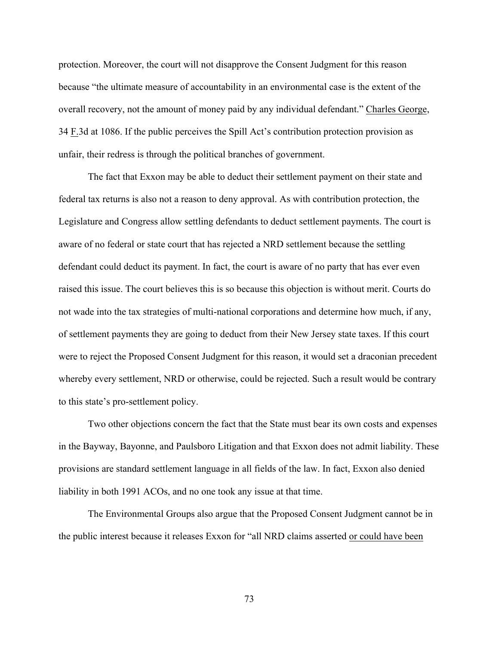protection. Moreover, the court will not disapprove the Consent Judgment for this reason because "the ultimate measure of accountability in an environmental case is the extent of the overall recovery, not the amount of money paid by any individual defendant." Charles George, 34 F.3d at 1086. If the public perceives the Spill Act's contribution protection provision as unfair, their redress is through the political branches of government.

The fact that Exxon may be able to deduct their settlement payment on their state and federal tax returns is also not a reason to deny approval. As with contribution protection, the Legislature and Congress allow settling defendants to deduct settlement payments. The court is aware of no federal or state court that has rejected a NRD settlement because the settling defendant could deduct its payment. In fact, the court is aware of no party that has ever even raised this issue. The court believes this is so because this objection is without merit. Courts do not wade into the tax strategies of multi-national corporations and determine how much, if any, of settlement payments they are going to deduct from their New Jersey state taxes. If this court were to reject the Proposed Consent Judgment for this reason, it would set a draconian precedent whereby every settlement, NRD or otherwise, could be rejected. Such a result would be contrary to this state's pro-settlement policy.

Two other objections concern the fact that the State must bear its own costs and expenses in the Bayway, Bayonne, and Paulsboro Litigation and that Exxon does not admit liability. These provisions are standard settlement language in all fields of the law. In fact, Exxon also denied liability in both 1991 ACOs, and no one took any issue at that time.

The Environmental Groups also argue that the Proposed Consent Judgment cannot be in the public interest because it releases Exxon for "all NRD claims asserted or could have been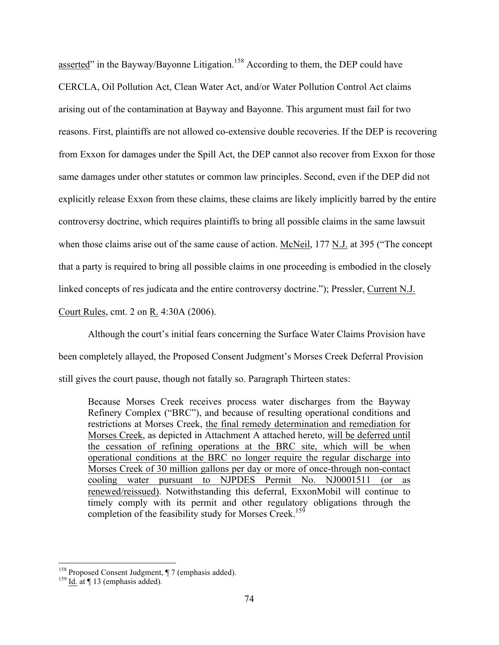asserted" in the Bayway/Bayonne Litigation.<sup>158</sup> According to them, the DEP could have CERCLA, Oil Pollution Act, Clean Water Act, and/or Water Pollution Control Act claims arising out of the contamination at Bayway and Bayonne. This argument must fail for two reasons. First, plaintiffs are not allowed co-extensive double recoveries. If the DEP is recovering from Exxon for damages under the Spill Act, the DEP cannot also recover from Exxon for those same damages under other statutes or common law principles. Second, even if the DEP did not explicitly release Exxon from these claims, these claims are likely implicitly barred by the entire controversy doctrine, which requires plaintiffs to bring all possible claims in the same lawsuit when those claims arise out of the same cause of action. McNeil, 177 N.J. at 395 ("The concept that a party is required to bring all possible claims in one proceeding is embodied in the closely linked concepts of res judicata and the entire controversy doctrine."); Pressler, Current N.J.

Court Rules, cmt. 2 on R. 4:30A (2006).

Although the court's initial fears concerning the Surface Water Claims Provision have been completely allayed, the Proposed Consent Judgment's Morses Creek Deferral Provision still gives the court pause, though not fatally so. Paragraph Thirteen states:

Because Morses Creek receives process water discharges from the Bayway Refinery Complex ("BRC"), and because of resulting operational conditions and restrictions at Morses Creek, the final remedy determination and remediation for Morses Creek, as depicted in Attachment A attached hereto, will be deferred until the cessation of refining operations at the BRC site, which will be when operational conditions at the BRC no longer require the regular discharge into Morses Creek of 30 million gallons per day or more of once-through non-contact cooling water pursuant to NJPDES Permit No. NJ0001511 (or as renewed/reissued). Notwithstanding this deferral, ExxonMobil will continue to timely comply with its permit and other regulatory obligations through the completion of the feasibility study for Morses Creek.<sup>159</sup>

<sup>&</sup>lt;sup>158</sup> Proposed Consent Judgment,  $\P$  7 (emphasis added).<br><sup>159</sup> Id. at  $\P$  13 (emphasis added).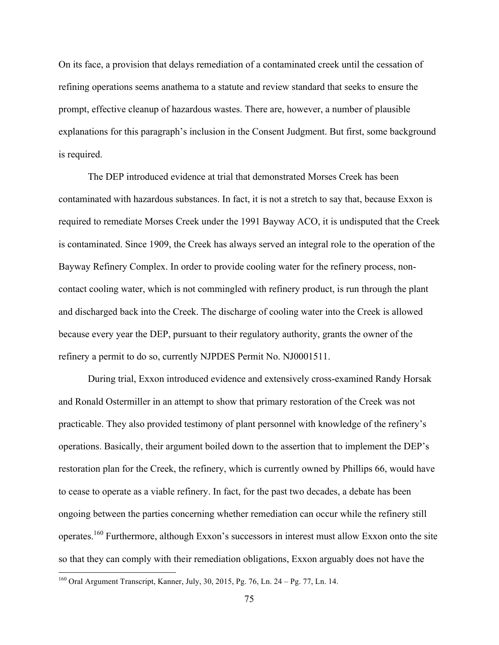On its face, a provision that delays remediation of a contaminated creek until the cessation of refining operations seems anathema to a statute and review standard that seeks to ensure the prompt, effective cleanup of hazardous wastes. There are, however, a number of plausible explanations for this paragraph's inclusion in the Consent Judgment. But first, some background is required.

The DEP introduced evidence at trial that demonstrated Morses Creek has been contaminated with hazardous substances. In fact, it is not a stretch to say that, because Exxon is required to remediate Morses Creek under the 1991 Bayway ACO, it is undisputed that the Creek is contaminated. Since 1909, the Creek has always served an integral role to the operation of the Bayway Refinery Complex. In order to provide cooling water for the refinery process, noncontact cooling water, which is not commingled with refinery product, is run through the plant and discharged back into the Creek. The discharge of cooling water into the Creek is allowed because every year the DEP, pursuant to their regulatory authority, grants the owner of the refinery a permit to do so, currently NJPDES Permit No. NJ0001511.

During trial, Exxon introduced evidence and extensively cross-examined Randy Horsak and Ronald Ostermiller in an attempt to show that primary restoration of the Creek was not practicable. They also provided testimony of plant personnel with knowledge of the refinery's operations. Basically, their argument boiled down to the assertion that to implement the DEP's restoration plan for the Creek, the refinery, which is currently owned by Phillips 66, would have to cease to operate as a viable refinery. In fact, for the past two decades, a debate has been ongoing between the parties concerning whether remediation can occur while the refinery still operates.160 Furthermore, although Exxon's successors in interest must allow Exxon onto the site so that they can comply with their remediation obligations, Exxon arguably does not have the

 <sup>160</sup> Oral Argument Transcript, Kanner, July, 30, 2015, Pg. 76, Ln. 24 – Pg. 77, Ln. 14.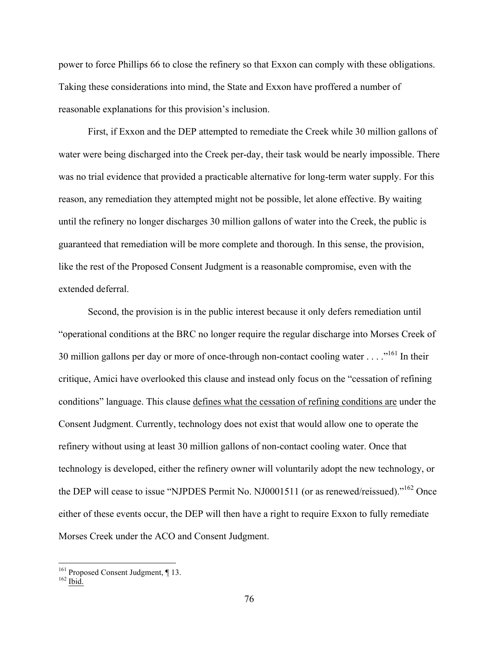power to force Phillips 66 to close the refinery so that Exxon can comply with these obligations. Taking these considerations into mind, the State and Exxon have proffered a number of reasonable explanations for this provision's inclusion.

First, if Exxon and the DEP attempted to remediate the Creek while 30 million gallons of water were being discharged into the Creek per-day, their task would be nearly impossible. There was no trial evidence that provided a practicable alternative for long-term water supply. For this reason, any remediation they attempted might not be possible, let alone effective. By waiting until the refinery no longer discharges 30 million gallons of water into the Creek, the public is guaranteed that remediation will be more complete and thorough. In this sense, the provision, like the rest of the Proposed Consent Judgment is a reasonable compromise, even with the extended deferral.

Second, the provision is in the public interest because it only defers remediation until "operational conditions at the BRC no longer require the regular discharge into Morses Creek of 30 million gallons per day or more of once-through non-contact cooling water  $\ldots$ <sup>161</sup>. In their critique, Amici have overlooked this clause and instead only focus on the "cessation of refining conditions" language. This clause defines what the cessation of refining conditions are under the Consent Judgment. Currently, technology does not exist that would allow one to operate the refinery without using at least 30 million gallons of non-contact cooling water. Once that technology is developed, either the refinery owner will voluntarily adopt the new technology, or the DEP will cease to issue "NJPDES Permit No. NJ0001511 (or as renewed/reissued)."<sup>162</sup> Once either of these events occur, the DEP will then have a right to require Exxon to fully remediate Morses Creek under the ACO and Consent Judgment.

<sup>&</sup>lt;sup>161</sup> Proposed Consent Judgment, ¶ 13.<br><sup>162</sup> Ibid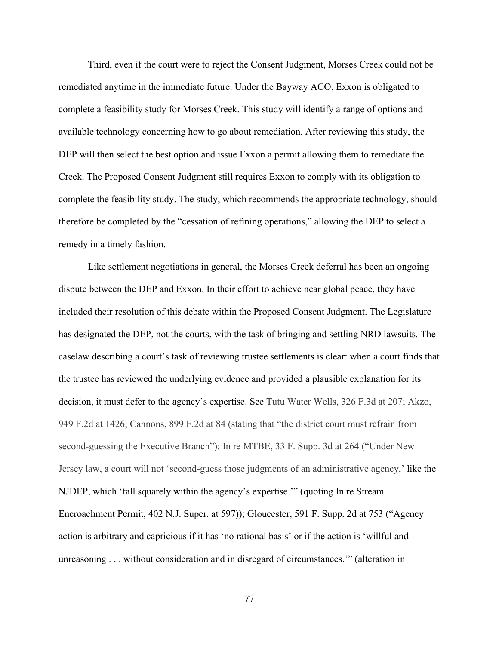Third, even if the court were to reject the Consent Judgment, Morses Creek could not be remediated anytime in the immediate future. Under the Bayway ACO, Exxon is obligated to complete a feasibility study for Morses Creek. This study will identify a range of options and available technology concerning how to go about remediation. After reviewing this study, the DEP will then select the best option and issue Exxon a permit allowing them to remediate the Creek. The Proposed Consent Judgment still requires Exxon to comply with its obligation to complete the feasibility study. The study, which recommends the appropriate technology, should therefore be completed by the "cessation of refining operations," allowing the DEP to select a remedy in a timely fashion.

Like settlement negotiations in general, the Morses Creek deferral has been an ongoing dispute between the DEP and Exxon. In their effort to achieve near global peace, they have included their resolution of this debate within the Proposed Consent Judgment. The Legislature has designated the DEP, not the courts, with the task of bringing and settling NRD lawsuits. The caselaw describing a court's task of reviewing trustee settlements is clear: when a court finds that the trustee has reviewed the underlying evidence and provided a plausible explanation for its decision, it must defer to the agency's expertise. See Tutu Water Wells, 326 F.3d at 207; Akzo, 949 F.2d at 1426; Cannons, 899 F.2d at 84 (stating that "the district court must refrain from second-guessing the Executive Branch"); In re MTBE, 33 F. Supp. 3d at 264 ("Under New Jersey law, a court will not 'second-guess those judgments of an administrative agency,' like the NJDEP, which 'fall squarely within the agency's expertise.'" (quoting In re Stream Encroachment Permit, 402 N.J. Super. at 597)); Gloucester, 591 F. Supp. 2d at 753 ("Agency action is arbitrary and capricious if it has 'no rational basis' or if the action is 'willful and unreasoning . . . without consideration and in disregard of circumstances.'" (alteration in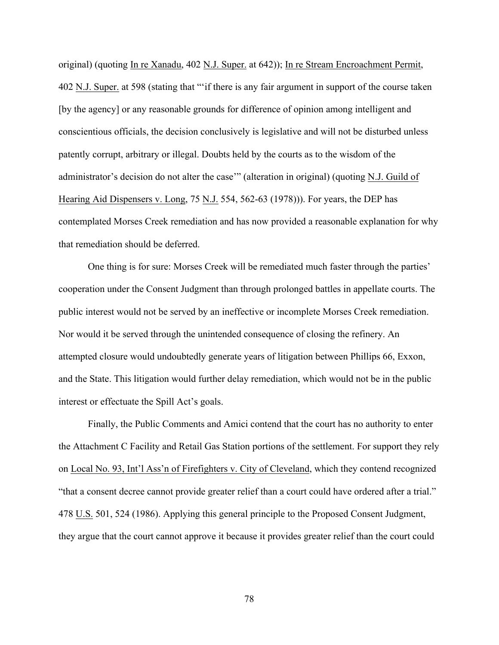original) (quoting In re Xanadu, 402 N.J. Super. at 642)); In re Stream Encroachment Permit, 402 N.J. Super. at 598 (stating that "'if there is any fair argument in support of the course taken [by the agency] or any reasonable grounds for difference of opinion among intelligent and conscientious officials, the decision conclusively is legislative and will not be disturbed unless patently corrupt, arbitrary or illegal. Doubts held by the courts as to the wisdom of the administrator's decision do not alter the case'" (alteration in original) (quoting N.J. Guild of Hearing Aid Dispensers v. Long, 75 N.J. 554, 562-63 (1978))). For years, the DEP has contemplated Morses Creek remediation and has now provided a reasonable explanation for why that remediation should be deferred.

One thing is for sure: Morses Creek will be remediated much faster through the parties' cooperation under the Consent Judgment than through prolonged battles in appellate courts. The public interest would not be served by an ineffective or incomplete Morses Creek remediation. Nor would it be served through the unintended consequence of closing the refinery. An attempted closure would undoubtedly generate years of litigation between Phillips 66, Exxon, and the State. This litigation would further delay remediation, which would not be in the public interest or effectuate the Spill Act's goals.

Finally, the Public Comments and Amici contend that the court has no authority to enter the Attachment C Facility and Retail Gas Station portions of the settlement. For support they rely on Local No. 93, Int'l Ass'n of Firefighters v. City of Cleveland, which they contend recognized "that a consent decree cannot provide greater relief than a court could have ordered after a trial." 478 U.S. 501, 524 (1986). Applying this general principle to the Proposed Consent Judgment, they argue that the court cannot approve it because it provides greater relief than the court could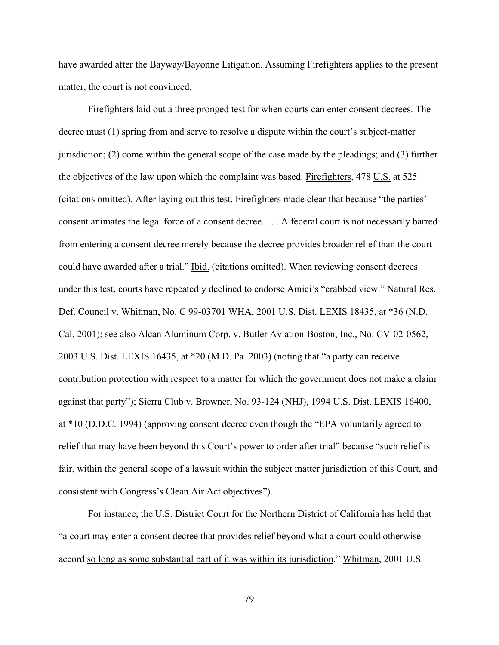have awarded after the Bayway/Bayonne Litigation. Assuming Firefighters applies to the present matter, the court is not convinced.

Firefighters laid out a three pronged test for when courts can enter consent decrees. The decree must (1) spring from and serve to resolve a dispute within the court's subject-matter jurisdiction; (2) come within the general scope of the case made by the pleadings; and (3) further the objectives of the law upon which the complaint was based. Firefighters, 478 U.S. at 525 (citations omitted). After laying out this test, Firefighters made clear that because "the parties' consent animates the legal force of a consent decree. . . . A federal court is not necessarily barred from entering a consent decree merely because the decree provides broader relief than the court could have awarded after a trial." Ibid. (citations omitted). When reviewing consent decrees under this test, courts have repeatedly declined to endorse Amici's "crabbed view." Natural Res. Def. Council v. Whitman, No. C 99-03701 WHA, 2001 U.S. Dist. LEXIS 18435, at \*36 (N.D. Cal. 2001); see also Alcan Aluminum Corp. v. Butler Aviation-Boston, Inc., No. CV-02-0562, 2003 U.S. Dist. LEXIS 16435, at \*20 (M.D. Pa. 2003) (noting that "a party can receive contribution protection with respect to a matter for which the government does not make a claim against that party"); Sierra Club v. Browner, No. 93-124 (NHJ), 1994 U.S. Dist. LEXIS 16400, at \*10 (D.D.C. 1994) (approving consent decree even though the "EPA voluntarily agreed to relief that may have been beyond this Court's power to order after trial" because "such relief is fair, within the general scope of a lawsuit within the subject matter jurisdiction of this Court, and consistent with Congress's Clean Air Act objectives").

For instance, the U.S. District Court for the Northern District of California has held that "a court may enter a consent decree that provides relief beyond what a court could otherwise accord so long as some substantial part of it was within its jurisdiction." Whitman, 2001 U.S.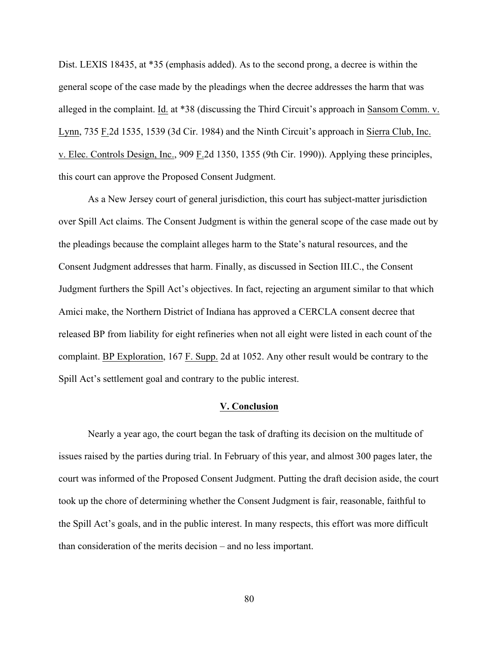Dist. LEXIS 18435, at \*35 (emphasis added). As to the second prong, a decree is within the general scope of the case made by the pleadings when the decree addresses the harm that was alleged in the complaint. Id. at \*38 (discussing the Third Circuit's approach in Sansom Comm. v. Lynn, 735 F.2d 1535, 1539 (3d Cir. 1984) and the Ninth Circuit's approach in Sierra Club, Inc. v. Elec. Controls Design, Inc., 909 F.2d 1350, 1355 (9th Cir. 1990)). Applying these principles, this court can approve the Proposed Consent Judgment.

As a New Jersey court of general jurisdiction, this court has subject-matter jurisdiction over Spill Act claims. The Consent Judgment is within the general scope of the case made out by the pleadings because the complaint alleges harm to the State's natural resources, and the Consent Judgment addresses that harm. Finally, as discussed in Section III.C., the Consent Judgment furthers the Spill Act's objectives. In fact, rejecting an argument similar to that which Amici make, the Northern District of Indiana has approved a CERCLA consent decree that released BP from liability for eight refineries when not all eight were listed in each count of the complaint. BP Exploration, 167 F. Supp. 2d at 1052. Any other result would be contrary to the Spill Act's settlement goal and contrary to the public interest.

## **V. Conclusion**

Nearly a year ago, the court began the task of drafting its decision on the multitude of issues raised by the parties during trial. In February of this year, and almost 300 pages later, the court was informed of the Proposed Consent Judgment. Putting the draft decision aside, the court took up the chore of determining whether the Consent Judgment is fair, reasonable, faithful to the Spill Act's goals, and in the public interest. In many respects, this effort was more difficult than consideration of the merits decision – and no less important.